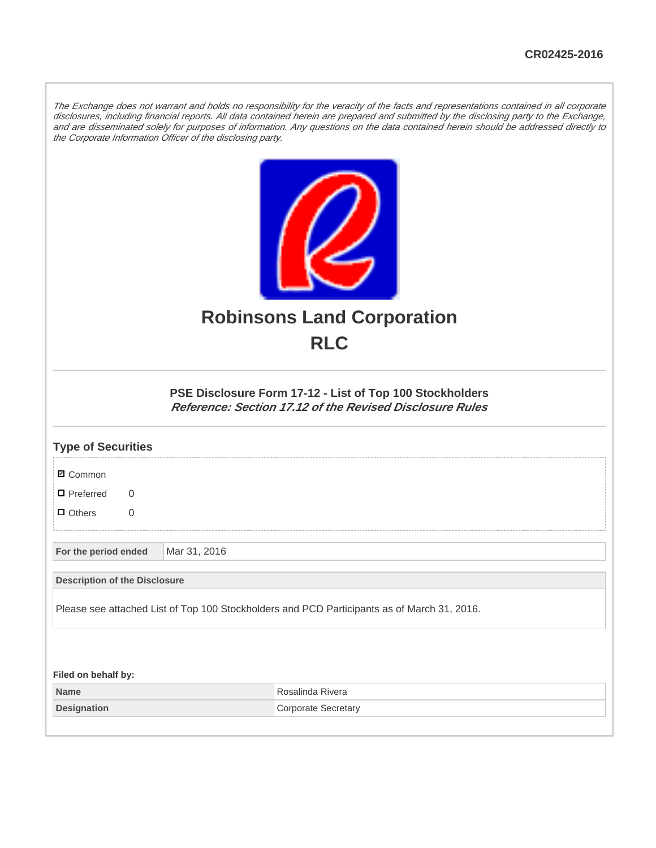The Exchange does not warrant and holds no responsibility for the veracity of the facts and representations contained in all corporate disclosures, including financial reports. All data contained herein are prepared and submitted by the disclosing party to the Exchange, and are disseminated solely for purposes of information. Any questions on the data contained herein should be addressed directly to the Corporate Information Officer of the disclosing party.



## **Robinsons Land Corporation RLC**

## **PSE Disclosure Form 17-12 - List of Top 100 Stockholders Reference: Section 17.12 of the Revised Disclosure Rules**

| <b>Type of Securities</b>            |              |                                                                                             |
|--------------------------------------|--------------|---------------------------------------------------------------------------------------------|
| <b>Ø</b> Common                      |              |                                                                                             |
| $\blacksquare$ Preferred<br>$\Omega$ |              |                                                                                             |
| $\Box$ Others<br>0                   |              |                                                                                             |
| For the period ended                 | Mar 31, 2016 |                                                                                             |
| <b>Description of the Disclosure</b> |              |                                                                                             |
|                                      |              | Please see attached List of Top 100 Stockholders and PCD Participants as of March 31, 2016. |
|                                      |              |                                                                                             |
| Filed on behalf by:                  |              |                                                                                             |
| <b>Name</b>                          |              | Rosalinda Rivera                                                                            |
| <b>Designation</b>                   |              | <b>Corporate Secretary</b>                                                                  |
|                                      |              |                                                                                             |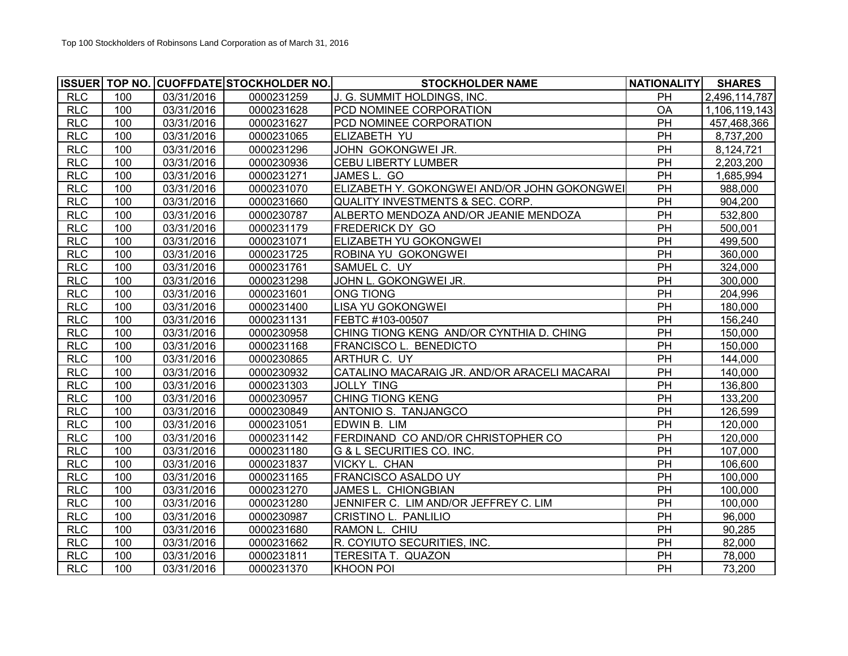|            |     |            | <b>ISSUER TOP NO. CUOFFDATE STOCKHOLDER NO.</b> | <b>STOCKHOLDER NAME</b>                      | <b>NATIONALITY</b> | <b>SHARES</b> |
|------------|-----|------------|-------------------------------------------------|----------------------------------------------|--------------------|---------------|
| <b>RLC</b> | 100 | 03/31/2016 | 0000231259                                      | J. G. SUMMIT HOLDINGS, INC.                  | PH                 | 2,496,114,787 |
| <b>RLC</b> | 100 | 03/31/2016 | 0000231628                                      | <b>PCD NOMINEE CORPORATION</b>               | <b>OA</b>          | 1,106,119,143 |
| <b>RLC</b> | 100 | 03/31/2016 | 0000231627                                      | PCD NOMINEE CORPORATION                      | PH                 | 457,468,366   |
| <b>RLC</b> | 100 | 03/31/2016 | 0000231065                                      | ELIZABETH YU                                 | PH                 | 8,737,200     |
| <b>RLC</b> | 100 | 03/31/2016 | 0000231296                                      | JOHN GOKONGWEI JR.                           | PH                 | 8,124,721     |
| <b>RLC</b> | 100 | 03/31/2016 | 0000230936                                      | <b>CEBU LIBERTY LUMBER</b>                   | PH                 | 2,203,200     |
| <b>RLC</b> | 100 | 03/31/2016 | 0000231271                                      | JAMES L. GO                                  | PH                 | 1,685,994     |
| <b>RLC</b> | 100 | 03/31/2016 | 0000231070                                      | ELIZABETH Y. GOKONGWEI AND/OR JOHN GOKONGWEI | <b>PH</b>          | 988,000       |
| <b>RLC</b> | 100 | 03/31/2016 | 0000231660                                      | QUALITY INVESTMENTS & SEC. CORP.             | PH                 | 904,200       |
| <b>RLC</b> | 100 | 03/31/2016 | 0000230787                                      | ALBERTO MENDOZA AND/OR JEANIE MENDOZA        | PH                 | 532,800       |
| <b>RLC</b> | 100 | 03/31/2016 | 0000231179                                      | <b>FREDERICK DY GO</b>                       | PH                 | 500,001       |
| <b>RLC</b> | 100 | 03/31/2016 | 0000231071                                      | ELIZABETH YU GOKONGWEI                       | PH                 | 499,500       |
| <b>RLC</b> | 100 | 03/31/2016 | 0000231725                                      | ROBINA YU GOKONGWEI                          | PH                 | 360,000       |
| <b>RLC</b> | 100 | 03/31/2016 | 0000231761                                      | SAMUEL C. UY                                 | PH                 | 324,000       |
| <b>RLC</b> | 100 | 03/31/2016 | 0000231298                                      | JOHN L. GOKONGWEI JR.                        | PH                 | 300,000       |
| <b>RLC</b> | 100 | 03/31/2016 | 0000231601                                      | <b>ONG TIONG</b>                             | PH                 | 204,996       |
| <b>RLC</b> | 100 | 03/31/2016 | 0000231400                                      | LISA YU GOKONGWEI                            | PH                 | 180,000       |
| <b>RLC</b> | 100 | 03/31/2016 | 0000231131                                      | FEBTC #103-00507                             | PH                 | 156,240       |
| <b>RLC</b> | 100 | 03/31/2016 | 0000230958                                      | CHING TIONG KENG AND/OR CYNTHIA D. CHING     | PH                 | 150,000       |
| <b>RLC</b> | 100 | 03/31/2016 | 0000231168                                      | FRANCISCO L. BENEDICTO                       | PH                 | 150,000       |
| <b>RLC</b> | 100 | 03/31/2016 | 0000230865                                      | ARTHUR C. UY                                 | PH                 | 144,000       |
| <b>RLC</b> | 100 | 03/31/2016 | 0000230932                                      | CATALINO MACARAIG JR. AND/OR ARACELI MACARAI | PH                 | 140,000       |
| <b>RLC</b> | 100 | 03/31/2016 | 0000231303                                      | <b>JOLLY TING</b>                            | PH                 | 136,800       |
| <b>RLC</b> | 100 | 03/31/2016 | 0000230957                                      | <b>CHING TIONG KENG</b>                      | PH                 | 133,200       |
| <b>RLC</b> | 100 | 03/31/2016 | 0000230849                                      | ANTONIO S. TANJANGCO                         | PH                 | 126,599       |
| <b>RLC</b> | 100 | 03/31/2016 | 0000231051                                      | EDWIN B. LIM                                 | PH                 | 120,000       |
| <b>RLC</b> | 100 | 03/31/2016 | 0000231142                                      | FERDINAND CO AND/OR CHRISTOPHER CO           | PH                 | 120,000       |
| <b>RLC</b> | 100 | 03/31/2016 | 0000231180                                      | G & L SECURITIES CO. INC.                    | PH                 | 107,000       |
| <b>RLC</b> | 100 | 03/31/2016 | 0000231837                                      | <b>VICKY L. CHAN</b>                         | PH                 | 106,600       |
| <b>RLC</b> | 100 | 03/31/2016 | 0000231165                                      | <b>FRANCISCO ASALDO UY</b>                   | PH                 | 100,000       |
| <b>RLC</b> | 100 | 03/31/2016 | 0000231270                                      | JAMES L. CHIONGBIAN                          | PH                 | 100,000       |
| <b>RLC</b> | 100 | 03/31/2016 | 0000231280                                      | JENNIFER C. LIM AND/OR JEFFREY C. LIM        | PH                 | 100,000       |
| <b>RLC</b> | 100 | 03/31/2016 | 0000230987                                      | CRISTINO L. PANLILIO                         | PH                 | 96,000        |
| <b>RLC</b> | 100 | 03/31/2016 | 0000231680                                      | RAMON L. CHIU                                | <b>PH</b>          | 90,285        |
| RLC        | 100 | 03/31/2016 | 0000231662                                      | R. COYIUTO SECURITIES, INC.                  | <b>PH</b>          | 82,000        |
| <b>RLC</b> | 100 | 03/31/2016 | 0000231811                                      | TERESITA T. QUAZON                           | PH                 | 78,000        |
| <b>RLC</b> | 100 | 03/31/2016 | 0000231370                                      | <b>KHOON POI</b>                             | PH                 | 73,200        |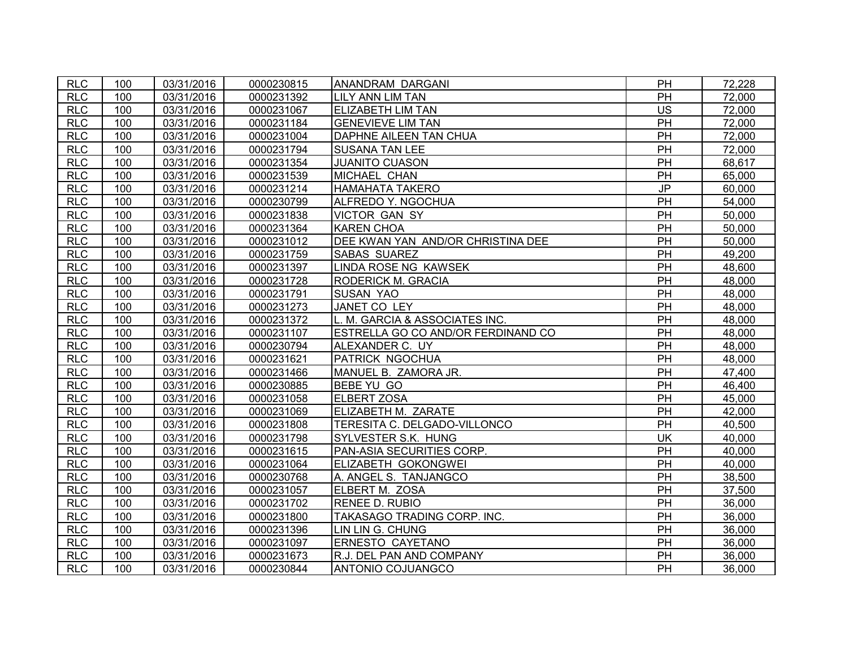| <b>RLC</b> | 100 | 03/31/2016 | 0000230815 | <b>ANANDRAM DARGANI</b>                   | <b>PH</b> | 72,228 |
|------------|-----|------------|------------|-------------------------------------------|-----------|--------|
| <b>RLC</b> | 100 | 03/31/2016 | 0000231392 | <b>LILY ANN LIM TAN</b>                   | PH        | 72,000 |
| RLC        | 100 | 03/31/2016 | 0000231067 | <b>ELIZABETH LIM TAN</b>                  | <b>US</b> | 72,000 |
| <b>RLC</b> | 100 | 03/31/2016 | 0000231184 | <b>GENEVIEVE LIM TAN</b>                  | PH        | 72,000 |
| <b>RLC</b> | 100 | 03/31/2016 | 0000231004 | <b>DAPHNE AILEEN TAN CHUA</b>             | PH        | 72,000 |
| <b>RLC</b> | 100 | 03/31/2016 | 0000231794 | <b>SUSANA TAN LEE</b>                     | PH        | 72,000 |
| <b>RLC</b> | 100 | 03/31/2016 | 0000231354 | <b>JUANITO CUASON</b>                     | PH        | 68,617 |
| <b>RLC</b> | 100 | 03/31/2016 | 0000231539 | MICHAEL CHAN                              | PH        | 65,000 |
| <b>RLC</b> | 100 | 03/31/2016 | 0000231214 | <b>HAMAHATA TAKERO</b>                    | <b>JP</b> | 60,000 |
| <b>RLC</b> | 100 | 03/31/2016 | 0000230799 | ALFREDO Y. NGOCHUA                        | PH        | 54,000 |
| RLC        | 100 | 03/31/2016 | 0000231838 | VICTOR GAN SY                             | PH        | 50,000 |
| <b>RLC</b> | 100 | 03/31/2016 | 0000231364 | <b>KAREN CHOA</b>                         | PH        | 50,000 |
| <b>RLC</b> | 100 | 03/31/2016 | 0000231012 | DEE KWAN YAN AND/OR CHRISTINA DEE         | PH        | 50,000 |
| <b>RLC</b> | 100 | 03/31/2016 | 0000231759 | <b>SABAS SUAREZ</b>                       | PH        | 49,200 |
| <b>RLC</b> | 100 | 03/31/2016 | 0000231397 | LINDA ROSE NG KAWSEK                      | PH        | 48,600 |
| <b>RLC</b> | 100 | 03/31/2016 | 0000231728 | <b>RODERICK M. GRACIA</b>                 | PH        | 48,000 |
| <b>RLC</b> | 100 | 03/31/2016 | 0000231791 | <b>SUSAN YAO</b>                          | PH        | 48,000 |
| <b>RLC</b> | 100 | 03/31/2016 | 0000231273 | JANET CO LEY                              | PH        | 48,000 |
| <b>RLC</b> | 100 | 03/31/2016 | 0000231372 | L. M. GARCIA & ASSOCIATES INC.            | PH        | 48,000 |
| RLC        | 100 | 03/31/2016 | 0000231107 | <b>ESTRELLA GO CO AND/OR FERDINAND CO</b> | PH        | 48,000 |
| <b>RLC</b> | 100 | 03/31/2016 | 0000230794 | ALEXANDER C. UY                           | PH        | 48,000 |
| <b>RLC</b> | 100 | 03/31/2016 | 0000231621 | <b>PATRICK NGOCHUA</b>                    | PH        | 48,000 |
| <b>RLC</b> | 100 | 03/31/2016 | 0000231466 | MANUEL B. ZAMORA JR.                      | PH        | 47,400 |
| <b>RLC</b> | 100 | 03/31/2016 | 0000230885 | <b>BEBE YU GO</b>                         | PH        | 46,400 |
| <b>RLC</b> | 100 | 03/31/2016 | 0000231058 | <b>ELBERT ZOSA</b>                        | PH        | 45,000 |
| <b>RLC</b> | 100 | 03/31/2016 | 0000231069 | ELIZABETH M. ZARATE                       | PH        | 42,000 |
| <b>RLC</b> | 100 | 03/31/2016 | 0000231808 | TERESITA C. DELGADO-VILLONCO              | PH        | 40,500 |
| <b>RLC</b> | 100 | 03/31/2016 | 0000231798 | SYLVESTER S.K. HUNG                       | <b>UK</b> | 40,000 |
| <b>RLC</b> | 100 | 03/31/2016 | 0000231615 | PAN-ASIA SECURITIES CORP.                 | PH        | 40,000 |
| <b>RLC</b> | 100 | 03/31/2016 | 0000231064 | ELIZABETH GOKONGWEI                       | PH        | 40,000 |
| <b>RLC</b> | 100 | 03/31/2016 | 0000230768 | A. ANGEL S. TANJANGCO                     | PH        | 38,500 |
| RLC        | 100 | 03/31/2016 | 0000231057 | ELBERT M. ZOSA                            | PH        | 37,500 |
| <b>RLC</b> | 100 | 03/31/2016 | 0000231702 | <b>RENEE D. RUBIO</b>                     | PH        | 36,000 |
| <b>RLC</b> | 100 | 03/31/2016 | 0000231800 | TAKASAGO TRADING CORP. INC.               | PH        | 36,000 |
| <b>RLC</b> | 100 | 03/31/2016 | 0000231396 | LIN LIN G. CHUNG                          | <b>PH</b> | 36,000 |
| <b>RLC</b> | 100 | 03/31/2016 | 0000231097 | <b>ERNESTO CAYETANO</b>                   | PH        | 36,000 |
| <b>RLC</b> | 100 | 03/31/2016 | 0000231673 | R.J. DEL PAN AND COMPANY                  | PH        | 36,000 |
| <b>RLC</b> | 100 | 03/31/2016 | 0000230844 | <b>ANTONIO COJUANGCO</b>                  | PH        | 36,000 |
|            |     |            |            |                                           |           |        |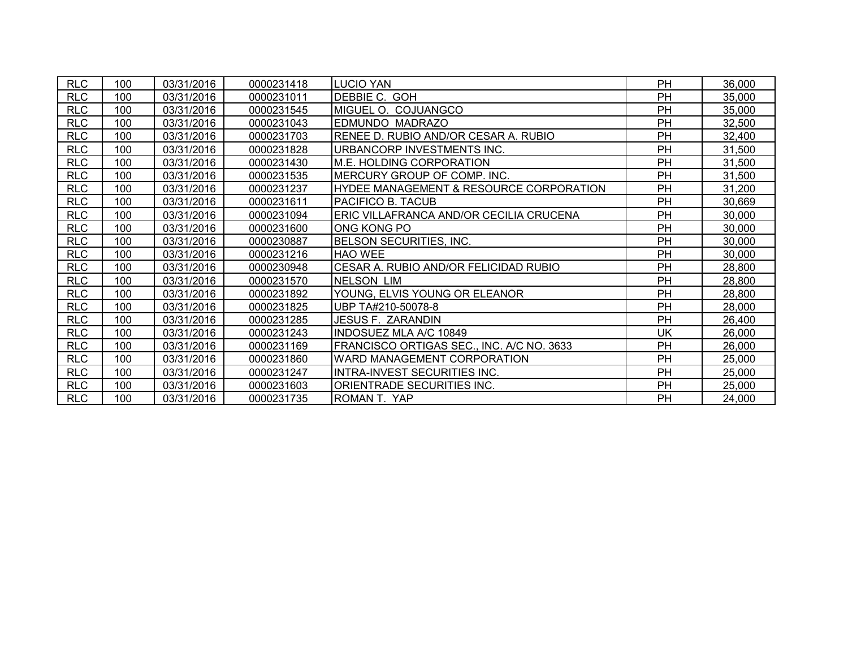| <b>RLC</b> | 100 | 03/31/2016 | 0000231418 | <b>ILUCIO YAN</b>                              | <b>PH</b> | 36,000 |
|------------|-----|------------|------------|------------------------------------------------|-----------|--------|
| <b>RLC</b> | 100 | 03/31/2016 | 0000231011 | DEBBIE C. GOH                                  | <b>PH</b> | 35,000 |
| <b>RLC</b> | 100 | 03/31/2016 | 0000231545 | MIGUEL O. COJUANGCO                            | <b>PH</b> | 35,000 |
| <b>RLC</b> | 100 | 03/31/2016 | 0000231043 | EDMUNDO MADRAZO                                | <b>PH</b> | 32,500 |
| <b>RLC</b> | 100 | 03/31/2016 | 0000231703 | RENEE D. RUBIO AND/OR CESAR A. RUBIO           | <b>PH</b> | 32,400 |
| <b>RLC</b> | 100 | 03/31/2016 | 0000231828 | URBANCORP INVESTMENTS INC.                     | PH        | 31,500 |
| <b>RLC</b> | 100 | 03/31/2016 | 0000231430 | IM.E. HOLDING CORPORATION                      | <b>PH</b> | 31,500 |
| <b>RLC</b> | 100 | 03/31/2016 | 0000231535 | IMERCURY GROUP OF COMP. INC.                   | PH        | 31,500 |
| <b>RLC</b> | 100 | 03/31/2016 | 0000231237 | HYDEE MANAGEMENT & RESOURCE CORPORATION        | <b>PH</b> | 31,200 |
| <b>RLC</b> | 100 | 03/31/2016 | 0000231611 | PACIFICO B. TACUB                              | <b>PH</b> | 30,669 |
| <b>RLC</b> | 100 | 03/31/2016 | 0000231094 | <b>ERIC VILLAFRANCA AND/OR CECILIA CRUCENA</b> | <b>PH</b> | 30,000 |
| <b>RLC</b> | 100 | 03/31/2016 | 0000231600 | ONG KONG PO                                    | <b>PH</b> | 30,000 |
| <b>RLC</b> | 100 | 03/31/2016 | 0000230887 | BELSON SECURITIES, INC.                        | <b>PH</b> | 30,000 |
| <b>RLC</b> | 100 | 03/31/2016 | 0000231216 | <b>HAO WEE</b>                                 | <b>PH</b> | 30,000 |
| <b>RLC</b> | 100 | 03/31/2016 | 0000230948 | CESAR A. RUBIO AND/OR FELICIDAD RUBIO          | <b>PH</b> | 28,800 |
| <b>RLC</b> | 100 | 03/31/2016 | 0000231570 | NELSON LIM                                     | <b>PH</b> | 28,800 |
| <b>RLC</b> | 100 | 03/31/2016 | 0000231892 | YOUNG, ELVIS YOUNG OR ELEANOR                  | <b>PH</b> | 28,800 |
| <b>RLC</b> | 100 | 03/31/2016 | 0000231825 | UBP TA#210-50078-8                             | <b>PH</b> | 28,000 |
| <b>RLC</b> | 100 | 03/31/2016 | 0000231285 | <b>JESUS F. ZARANDIN</b>                       | <b>PH</b> | 26,400 |
| <b>RLC</b> | 100 | 03/31/2016 | 0000231243 | <b>INDOSUEZ MLA A/C 10849</b>                  | UK        | 26,000 |
| <b>RLC</b> | 100 | 03/31/2016 | 0000231169 | FRANCISCO ORTIGAS SEC., INC. A/C NO. 3633      | <b>PH</b> | 26,000 |
| <b>RLC</b> | 100 | 03/31/2016 | 0000231860 | <b>WARD MANAGEMENT CORPORATION</b>             | <b>PH</b> | 25,000 |
| <b>RLC</b> | 100 | 03/31/2016 | 0000231247 | INTRA-INVEST SECURITIES INC.                   | <b>PH</b> | 25,000 |
| <b>RLC</b> | 100 | 03/31/2016 | 0000231603 | <b>ORIENTRADE SECURITIES INC.</b>              | PH        | 25,000 |
| <b>RLC</b> | 100 | 03/31/2016 | 0000231735 | <b>ROMAN T. YAP</b>                            | <b>PH</b> | 24,000 |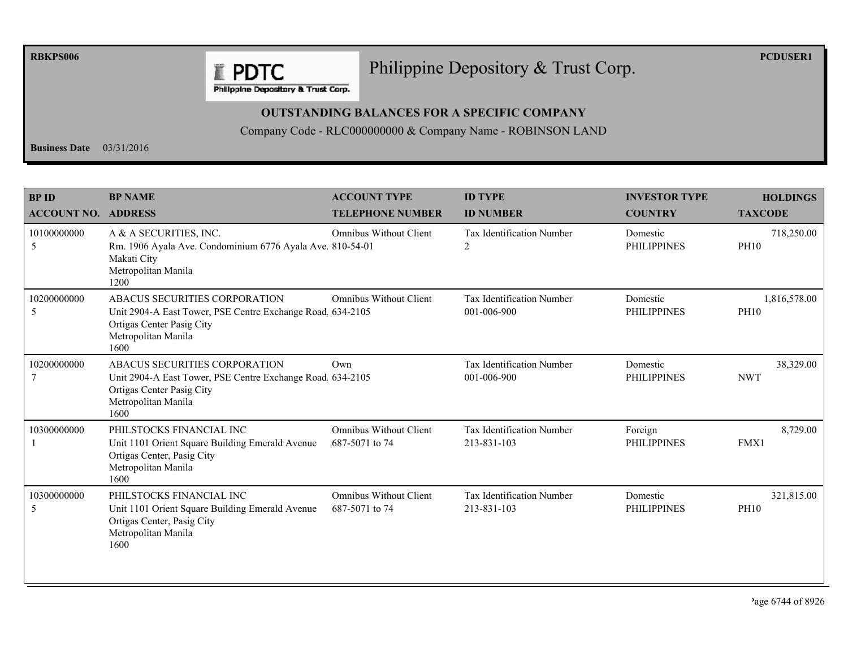**RBKPS006** 

## Philippine Depository & Trust Corp.

**PCDUSER1** 

Philippine Depository & Trust Corp.

**E PDTC** 

## **OUTSTANDING BALANCES FOR A SPECIFIC COMPANY**

Company Code - RLC000000000 & Company Name - ROBINSON LAND

**Business Date**  $03/31/2016$ 

| <b>BPID</b><br><b>ACCOUNT NO. ADDRESS</b> | <b>BP NAME</b>                                                                                                                                          | <b>ACCOUNT TYPE</b><br><b>TELEPHONE NUMBER</b>  | <b>ID TYPE</b><br><b>ID NUMBER</b>              | <b>INVESTOR TYPE</b><br><b>COUNTRY</b> | <b>HOLDINGS</b><br><b>TAXCODE</b> |
|-------------------------------------------|---------------------------------------------------------------------------------------------------------------------------------------------------------|-------------------------------------------------|-------------------------------------------------|----------------------------------------|-----------------------------------|
| 10100000000<br>5                          | A & A SECURITIES, INC.<br>Rm. 1906 Ayala Ave. Condominium 6776 Ayala Ave. 810-54-01<br>Makati City<br>Metropolitan Manila<br>1200                       | <b>Omnibus Without Client</b>                   | Tax Identification Number<br>2                  | Domestic<br><b>PHILIPPINES</b>         | 718,250.00<br><b>PH10</b>         |
| 10200000000<br>5                          | ABACUS SECURITIES CORPORATION<br>Unit 2904-A East Tower, PSE Centre Exchange Road, 634-2105<br>Ortigas Center Pasig City<br>Metropolitan Manila<br>1600 | <b>Omnibus Without Client</b>                   | Tax Identification Number<br>001-006-900        | Domestic<br><b>PHILIPPINES</b>         | 1,816,578.00<br><b>PH10</b>       |
| 10200000000                               | ABACUS SECURITIES CORPORATION<br>Unit 2904-A East Tower, PSE Centre Exchange Road 634-2105<br>Ortigas Center Pasig City<br>Metropolitan Manila<br>1600  | Own                                             | Tax Identification Number<br>001-006-900        | Domestic<br><b>PHILIPPINES</b>         | 38,329.00<br><b>NWT</b>           |
| 10300000000                               | PHILSTOCKS FINANCIAL INC<br>Unit 1101 Orient Square Building Emerald Avenue<br>Ortigas Center, Pasig City<br>Metropolitan Manila<br>1600                | <b>Omnibus Without Client</b><br>687-5071 to 74 | <b>Tax Identification Number</b><br>213-831-103 | Foreign<br><b>PHILIPPINES</b>          | 8,729.00<br>FMX1                  |
| 10300000000<br>5                          | PHILSTOCKS FINANCIAL INC<br>Unit 1101 Orient Square Building Emerald Avenue<br>Ortigas Center, Pasig City<br>Metropolitan Manila<br>1600                | <b>Omnibus Without Client</b><br>687-5071 to 74 | Tax Identification Number<br>213-831-103        | Domestic<br><b>PHILIPPINES</b>         | 321,815.00<br><b>PH10</b>         |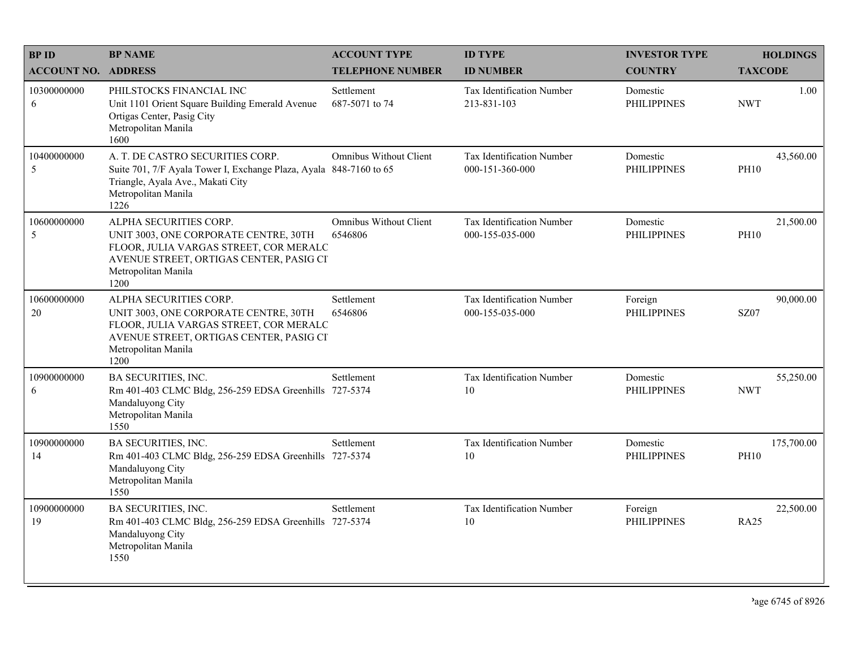| <b>BPID</b>        | <b>BP NAME</b>                                                                                                                                                                      | <b>ACCOUNT TYPE</b>                      | <b>ID TYPE</b>                                      | <b>INVESTOR TYPE</b>           | <b>HOLDINGS</b>           |
|--------------------|-------------------------------------------------------------------------------------------------------------------------------------------------------------------------------------|------------------------------------------|-----------------------------------------------------|--------------------------------|---------------------------|
| <b>ACCOUNT NO.</b> | <b>ADDRESS</b>                                                                                                                                                                      | <b>TELEPHONE NUMBER</b>                  | <b>ID NUMBER</b>                                    | <b>COUNTRY</b>                 | <b>TAXCODE</b>            |
| 10300000000<br>6   | PHILSTOCKS FINANCIAL INC<br>Unit 1101 Orient Square Building Emerald Avenue<br>Ortigas Center, Pasig City<br>Metropolitan Manila<br>1600                                            | Settlement<br>687-5071 to 74             | Tax Identification Number<br>213-831-103            | Domestic<br><b>PHILIPPINES</b> | 1.00<br><b>NWT</b>        |
| 10400000000<br>5   | A. T. DE CASTRO SECURITIES CORP.<br>Suite 701, 7/F Ayala Tower I, Exchange Plaza, Ayala 848-7160 to 65<br>Triangle, Ayala Ave., Makati City<br>Metropolitan Manila<br>1226          | Omnibus Without Client                   | Tax Identification Number<br>000-151-360-000        | Domestic<br><b>PHILIPPINES</b> | 43,560.00<br><b>PH10</b>  |
| 10600000000<br>5   | ALPHA SECURITIES CORP.<br>UNIT 3003, ONE CORPORATE CENTRE, 30TH<br>FLOOR, JULIA VARGAS STREET, COR MERALC<br>AVENUE STREET, ORTIGAS CENTER, PASIG CI<br>Metropolitan Manila<br>1200 | <b>Omnibus Without Client</b><br>6546806 | Tax Identification Number<br>000-155-035-000        | Domestic<br><b>PHILIPPINES</b> | 21,500.00<br><b>PH10</b>  |
| 10600000000<br>20  | ALPHA SECURITIES CORP.<br>UNIT 3003, ONE CORPORATE CENTRE, 30TH<br>FLOOR, JULIA VARGAS STREET, COR MERALC<br>AVENUE STREET, ORTIGAS CENTER, PASIG CI<br>Metropolitan Manila<br>1200 | Settlement<br>6546806                    | <b>Tax Identification Number</b><br>000-155-035-000 | Foreign<br><b>PHILIPPINES</b>  | 90,000.00<br>SZ07         |
| 10900000000<br>6   | BA SECURITIES, INC.<br>Rm 401-403 CLMC Bldg, 256-259 EDSA Greenhills 727-5374<br>Mandaluyong City<br>Metropolitan Manila<br>1550                                                    | Settlement                               | Tax Identification Number<br>10                     | Domestic<br><b>PHILIPPINES</b> | 55,250.00<br><b>NWT</b>   |
| 10900000000<br>14  | BA SECURITIES, INC.<br>Rm 401-403 CLMC Bldg, 256-259 EDSA Greenhills 727-5374<br>Mandaluyong City<br>Metropolitan Manila<br>1550                                                    | Settlement                               | Tax Identification Number<br>10                     | Domestic<br><b>PHILIPPINES</b> | 175,700.00<br><b>PH10</b> |
| 10900000000<br>19  | <b>BA SECURITIES, INC.</b><br>Rm 401-403 CLMC Bldg, 256-259 EDSA Greenhills 727-5374<br>Mandaluyong City<br>Metropolitan Manila<br>1550                                             | Settlement                               | Tax Identification Number<br>10                     | Foreign<br><b>PHILIPPINES</b>  | 22,500.00<br><b>RA25</b>  |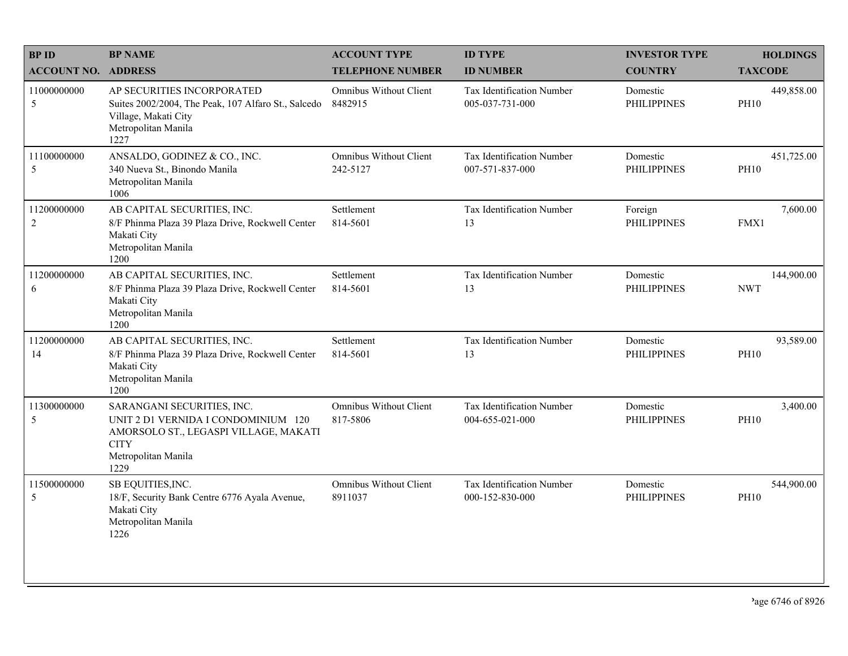| <b>BPID</b>                   | <b>BP NAME</b>                                                                                                                                           | <b>ACCOUNT TYPE</b>                       | <b>ID TYPE</b>                                      | <b>INVESTOR TYPE</b>           | <b>HOLDINGS</b>           |
|-------------------------------|----------------------------------------------------------------------------------------------------------------------------------------------------------|-------------------------------------------|-----------------------------------------------------|--------------------------------|---------------------------|
| <b>ACCOUNT NO. ADDRESS</b>    |                                                                                                                                                          | <b>TELEPHONE NUMBER</b>                   | <b>ID NUMBER</b>                                    | <b>COUNTRY</b>                 | <b>TAXCODE</b>            |
| 11000000000<br>5              | AP SECURITIES INCORPORATED<br>Suites 2002/2004, The Peak, 107 Alfaro St., Salcedo<br>Village, Makati City<br>Metropolitan Manila<br>1227                 | <b>Omnibus Without Client</b><br>8482915  | Tax Identification Number<br>005-037-731-000        | Domestic<br><b>PHILIPPINES</b> | 449,858.00<br><b>PH10</b> |
| 11100000000<br>5              | ANSALDO, GODINEZ & CO., INC.<br>340 Nueva St., Binondo Manila<br>Metropolitan Manila<br>1006                                                             | <b>Omnibus Without Client</b><br>242-5127 | Tax Identification Number<br>007-571-837-000        | Domestic<br><b>PHILIPPINES</b> | 451,725.00<br><b>PH10</b> |
| 11200000000<br>$\overline{2}$ | AB CAPITAL SECURITIES, INC.<br>8/F Phinma Plaza 39 Plaza Drive, Rockwell Center<br>Makati City<br>Metropolitan Manila<br>1200                            | Settlement<br>814-5601                    | Tax Identification Number<br>13                     | Foreign<br><b>PHILIPPINES</b>  | 7,600.00<br>FMX1          |
| 11200000000<br>6              | AB CAPITAL SECURITIES, INC.<br>8/F Phinma Plaza 39 Plaza Drive, Rockwell Center<br>Makati City<br>Metropolitan Manila<br>1200                            | Settlement<br>814-5601                    | Tax Identification Number<br>13                     | Domestic<br><b>PHILIPPINES</b> | 144,900.00<br><b>NWT</b>  |
| 11200000000<br>14             | AB CAPITAL SECURITIES, INC.<br>8/F Phinma Plaza 39 Plaza Drive, Rockwell Center<br>Makati City<br>Metropolitan Manila<br>1200                            | Settlement<br>814-5601                    | Tax Identification Number<br>13                     | Domestic<br><b>PHILIPPINES</b> | 93,589.00<br><b>PH10</b>  |
| 11300000000<br>5              | SARANGANI SECURITIES, INC.<br>UNIT 2 D1 VERNIDA I CONDOMINIUM 120<br>AMORSOLO ST., LEGASPI VILLAGE, MAKATI<br><b>CITY</b><br>Metropolitan Manila<br>1229 | <b>Omnibus Without Client</b><br>817-5806 | Tax Identification Number<br>004-655-021-000        | Domestic<br><b>PHILIPPINES</b> | 3,400.00<br><b>PH10</b>   |
| 11500000000<br>5              | SB EQUITIES, INC.<br>18/F, Security Bank Centre 6776 Ayala Avenue,<br>Makati City<br>Metropolitan Manila<br>1226                                         | <b>Omnibus Without Client</b><br>8911037  | <b>Tax Identification Number</b><br>000-152-830-000 | Domestic<br><b>PHILIPPINES</b> | 544,900.00<br><b>PH10</b> |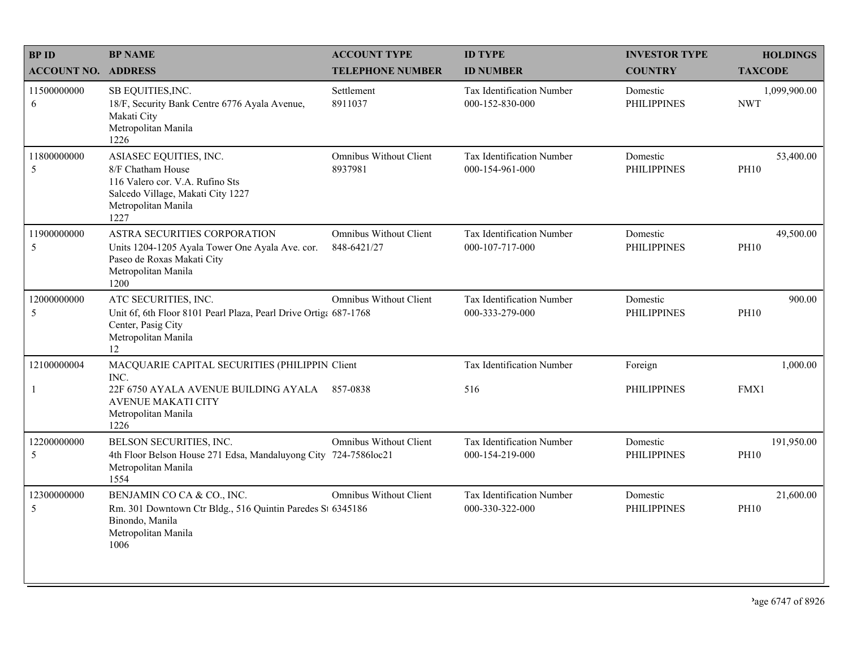| <b>BPID</b>                | <b>BP NAME</b>                                                                                                                                     | <b>ACCOUNT TYPE</b>                          | <b>ID TYPE</b>                                      | <b>INVESTOR TYPE</b>           | <b>HOLDINGS</b>            |
|----------------------------|----------------------------------------------------------------------------------------------------------------------------------------------------|----------------------------------------------|-----------------------------------------------------|--------------------------------|----------------------------|
| <b>ACCOUNT NO. ADDRESS</b> |                                                                                                                                                    | <b>TELEPHONE NUMBER</b>                      | <b>ID NUMBER</b>                                    | <b>COUNTRY</b>                 | <b>TAXCODE</b>             |
| 11500000000<br>6           | SB EQUITIES, INC.<br>18/F, Security Bank Centre 6776 Ayala Avenue,<br>Makati City<br>Metropolitan Manila<br>1226                                   | Settlement<br>8911037                        | <b>Tax Identification Number</b><br>000-152-830-000 | Domestic<br><b>PHILIPPINES</b> | 1,099,900.00<br><b>NWT</b> |
| 11800000000<br>5           | ASIASEC EQUITIES, INC.<br>8/F Chatham House<br>116 Valero cor. V.A. Rufino Sts<br>Salcedo Village, Makati City 1227<br>Metropolitan Manila<br>1227 | <b>Omnibus Without Client</b><br>8937981     | Tax Identification Number<br>000-154-961-000        | Domestic<br><b>PHILIPPINES</b> | 53,400.00<br><b>PH10</b>   |
| 11900000000<br>5           | ASTRA SECURITIES CORPORATION<br>Units 1204-1205 Ayala Tower One Ayala Ave. cor.<br>Paseo de Roxas Makati City<br>Metropolitan Manila<br>1200       | <b>Omnibus Without Client</b><br>848-6421/27 | <b>Tax Identification Number</b><br>000-107-717-000 | Domestic<br><b>PHILIPPINES</b> | 49,500.00<br><b>PH10</b>   |
| 12000000000<br>5           | ATC SECURITIES, INC.<br>Unit 6f, 6th Floor 8101 Pearl Plaza, Pearl Drive Ortiga 687-1768<br>Center, Pasig City<br>Metropolitan Manila<br>12        | <b>Omnibus Without Client</b>                | Tax Identification Number<br>000-333-279-000        | Domestic<br><b>PHILIPPINES</b> | 900.00<br><b>PH10</b>      |
| 12100000004                | MACQUARIE CAPITAL SECURITIES (PHILIPPIN Client<br>INC.                                                                                             |                                              | Tax Identification Number                           | Foreign                        | 1,000.00                   |
| $\mathbf{1}$               | 22F 6750 AYALA AVENUE BUILDING AYALA<br><b>AVENUE MAKATI CITY</b><br>Metropolitan Manila<br>1226                                                   | 857-0838                                     | 516                                                 | <b>PHILIPPINES</b>             | FMX1                       |
| 12200000000<br>5           | BELSON SECURITIES, INC.<br>4th Floor Belson House 271 Edsa, Mandaluyong City 724-7586loc21<br>Metropolitan Manila<br>1554                          | Omnibus Without Client                       | Tax Identification Number<br>000-154-219-000        | Domestic<br><b>PHILIPPINES</b> | 191,950.00<br><b>PH10</b>  |
| 12300000000<br>5           | BENJAMIN CO CA & CO., INC.<br>Rm. 301 Downtown Ctr Bldg., 516 Quintin Paredes St 6345186<br>Binondo, Manila<br>Metropolitan Manila<br>1006         | <b>Omnibus Without Client</b>                | Tax Identification Number<br>000-330-322-000        | Domestic<br><b>PHILIPPINES</b> | 21,600.00<br><b>PH10</b>   |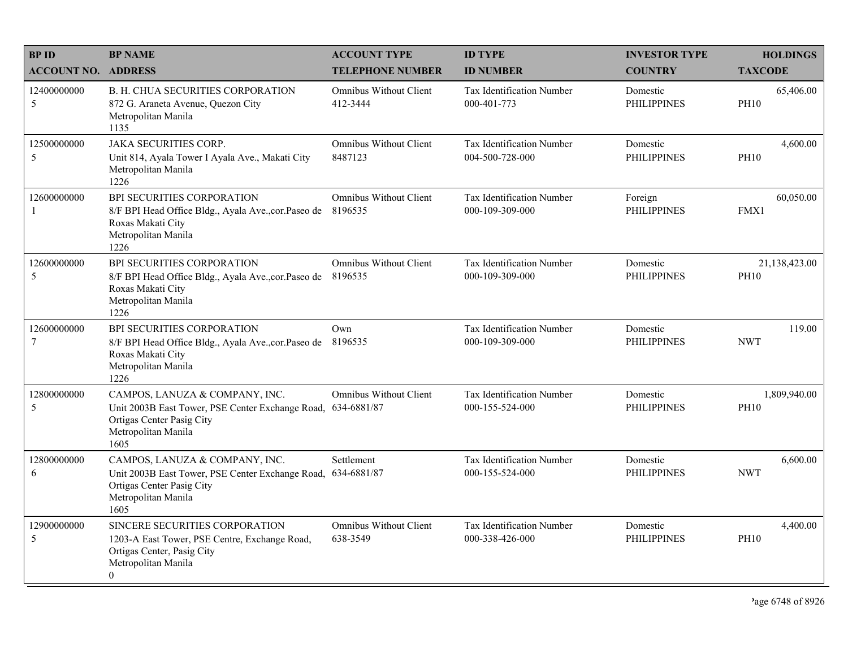| <b>BP ID</b><br><b>ACCOUNT NO. ADDRESS</b> | <b>BP NAME</b>                                                                                                                                             | <b>ACCOUNT TYPE</b><br><b>TELEPHONE NUMBER</b> | <b>ID TYPE</b><br><b>ID NUMBER</b>           | <b>INVESTOR TYPE</b><br><b>COUNTRY</b> | <b>HOLDINGS</b><br><b>TAXCODE</b> |
|--------------------------------------------|------------------------------------------------------------------------------------------------------------------------------------------------------------|------------------------------------------------|----------------------------------------------|----------------------------------------|-----------------------------------|
|                                            |                                                                                                                                                            |                                                |                                              |                                        |                                   |
| 12400000000<br>5                           | <b>B. H. CHUA SECURITIES CORPORATION</b><br>872 G. Araneta Avenue, Quezon City<br>Metropolitan Manila<br>1135                                              | Omnibus Without Client<br>412-3444             | Tax Identification Number<br>000-401-773     | Domestic<br><b>PHILIPPINES</b>         | 65,406.00<br><b>PH10</b>          |
| 12500000000<br>5                           | <b>JAKA SECURITIES CORP.</b><br>Unit 814, Ayala Tower I Ayala Ave., Makati City<br>Metropolitan Manila<br>1226                                             | <b>Omnibus Without Client</b><br>8487123       | Tax Identification Number<br>004-500-728-000 | Domestic<br><b>PHILIPPINES</b>         | 4,600.00<br><b>PH10</b>           |
| 12600000000<br>$\mathbf{1}$                | BPI SECURITIES CORPORATION<br>8/F BPI Head Office Bldg., Ayala Ave., cor. Paseo de<br>Roxas Makati City<br>Metropolitan Manila<br>1226                     | <b>Omnibus Without Client</b><br>8196535       | Tax Identification Number<br>000-109-309-000 | Foreign<br><b>PHILIPPINES</b>          | 60,050.00<br>FMX1                 |
| 12600000000<br>5                           | BPI SECURITIES CORPORATION<br>8/F BPI Head Office Bldg., Ayala Ave., cor. Paseo de 8196535<br>Roxas Makati City<br>Metropolitan Manila<br>1226             | <b>Omnibus Without Client</b>                  | Tax Identification Number<br>000-109-309-000 | Domestic<br><b>PHILIPPINES</b>         | 21,138,423.00<br><b>PH10</b>      |
| 12600000000<br>$\tau$                      | BPI SECURITIES CORPORATION<br>8/F BPI Head Office Bldg., Ayala Ave., cor. Paseo de 8196535<br>Roxas Makati City<br>Metropolitan Manila<br>1226             | Own                                            | Tax Identification Number<br>000-109-309-000 | Domestic<br><b>PHILIPPINES</b>         | 119.00<br><b>NWT</b>              |
| 12800000000<br>5                           | CAMPOS, LANUZA & COMPANY, INC.<br>Unit 2003B East Tower, PSE Center Exchange Road, 634-6881/87<br>Ortigas Center Pasig City<br>Metropolitan Manila<br>1605 | <b>Omnibus Without Client</b>                  | Tax Identification Number<br>000-155-524-000 | Domestic<br><b>PHILIPPINES</b>         | 1,809,940.00<br><b>PH10</b>       |
| 12800000000<br>6                           | CAMPOS, LANUZA & COMPANY, INC.<br>Unit 2003B East Tower, PSE Center Exchange Road,<br>Ortigas Center Pasig City<br>Metropolitan Manila<br>1605             | Settlement<br>634-6881/87                      | Tax Identification Number<br>000-155-524-000 | Domestic<br><b>PHILIPPINES</b>         | 6,600.00<br><b>NWT</b>            |
| 12900000000<br>5                           | SINCERE SECURITIES CORPORATION<br>1203-A East Tower, PSE Centre, Exchange Road,<br>Ortigas Center, Pasig City<br>Metropolitan Manila<br>$\overline{0}$     | <b>Omnibus Without Client</b><br>638-3549      | Tax Identification Number<br>000-338-426-000 | Domestic<br><b>PHILIPPINES</b>         | 4,400.00<br><b>PH10</b>           |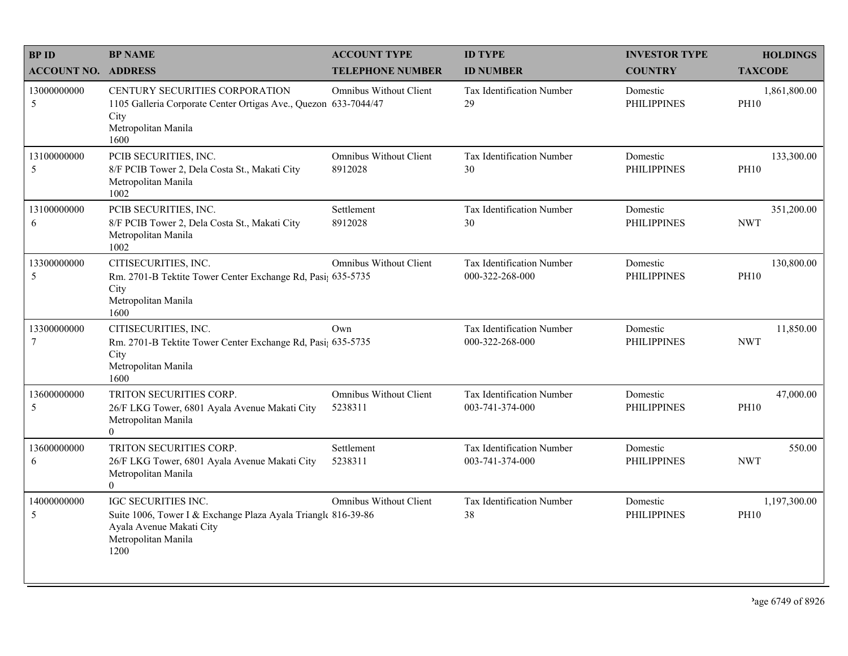| <b>BPID</b>                   | <b>BP NAME</b>                                                                                                                                         | <b>ACCOUNT TYPE</b>                      | <b>ID TYPE</b>                               | <b>INVESTOR TYPE</b>           | <b>HOLDINGS</b>             |
|-------------------------------|--------------------------------------------------------------------------------------------------------------------------------------------------------|------------------------------------------|----------------------------------------------|--------------------------------|-----------------------------|
| <b>ACCOUNT NO. ADDRESS</b>    |                                                                                                                                                        | <b>TELEPHONE NUMBER</b>                  | <b>ID NUMBER</b>                             | <b>COUNTRY</b>                 | <b>TAXCODE</b>              |
| 13000000000<br>5              | CENTURY SECURITIES CORPORATION<br>1105 Galleria Corporate Center Ortigas Ave., Quezon 633-7044/47<br>City<br>Metropolitan Manila<br>1600               | <b>Omnibus Without Client</b>            | <b>Tax Identification Number</b><br>29       | Domestic<br><b>PHILIPPINES</b> | 1,861,800.00<br><b>PH10</b> |
| 13100000000<br>5              | PCIB SECURITIES, INC.<br>8/F PCIB Tower 2, Dela Costa St., Makati City<br>Metropolitan Manila<br>1002                                                  | <b>Omnibus Without Client</b><br>8912028 | Tax Identification Number<br>30              | Domestic<br><b>PHILIPPINES</b> | 133,300.00<br><b>PH10</b>   |
| 13100000000<br>6              | PCIB SECURITIES, INC.<br>8/F PCIB Tower 2, Dela Costa St., Makati City<br>Metropolitan Manila<br>1002                                                  | Settlement<br>8912028                    | Tax Identification Number<br>30              | Domestic<br><b>PHILIPPINES</b> | 351,200.00<br><b>NWT</b>    |
| 13300000000<br>5              | CITISECURITIES, INC.<br>Rm. 2701-B Tektite Tower Center Exchange Rd, Pasi; 635-5735<br>City<br>Metropolitan Manila<br>1600                             | <b>Omnibus Without Client</b>            | Tax Identification Number<br>000-322-268-000 | Domestic<br><b>PHILIPPINES</b> | 130,800.00<br><b>PH10</b>   |
| 13300000000<br>$\overline{7}$ | CITISECURITIES, INC.<br>Rm. 2701-B Tektite Tower Center Exchange Rd, Pasi; 635-5735<br>City<br>Metropolitan Manila<br>1600                             | Own                                      | Tax Identification Number<br>000-322-268-000 | Domestic<br><b>PHILIPPINES</b> | 11,850.00<br><b>NWT</b>     |
| 13600000000<br>5              | TRITON SECURITIES CORP.<br>26/F LKG Tower, 6801 Ayala Avenue Makati City<br>Metropolitan Manila<br>$\overline{0}$                                      | <b>Omnibus Without Client</b><br>5238311 | Tax Identification Number<br>003-741-374-000 | Domestic<br><b>PHILIPPINES</b> | 47,000.00<br><b>PH10</b>    |
| 13600000000<br>6              | TRITON SECURITIES CORP.<br>26/F LKG Tower, 6801 Ayala Avenue Makati City<br>Metropolitan Manila<br>$\overline{0}$                                      | Settlement<br>5238311                    | Tax Identification Number<br>003-741-374-000 | Domestic<br><b>PHILIPPINES</b> | 550.00<br><b>NWT</b>        |
| 14000000000<br>5              | <b>IGC SECURITIES INC.</b><br>Suite 1006, Tower I & Exchange Plaza Ayala Triangle 816-39-86<br>Ayala Avenue Makati City<br>Metropolitan Manila<br>1200 | <b>Omnibus Without Client</b>            | Tax Identification Number<br>38              | Domestic<br><b>PHILIPPINES</b> | 1,197,300.00<br><b>PH10</b> |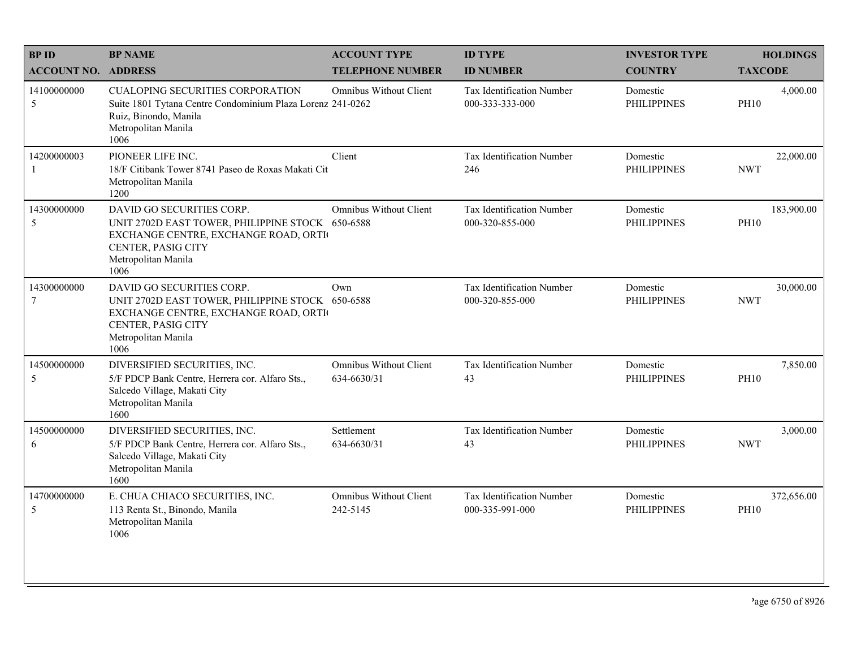| <b>BPID</b>                   | <b>BP NAME</b>                                                                                                                                                             | <b>ACCOUNT TYPE</b>                          | <b>ID TYPE</b>                                      | <b>INVESTOR TYPE</b>           | <b>HOLDINGS</b>           |
|-------------------------------|----------------------------------------------------------------------------------------------------------------------------------------------------------------------------|----------------------------------------------|-----------------------------------------------------|--------------------------------|---------------------------|
| <b>ACCOUNT NO. ADDRESS</b>    |                                                                                                                                                                            | <b>TELEPHONE NUMBER</b>                      | <b>ID NUMBER</b>                                    | <b>COUNTRY</b>                 | <b>TAXCODE</b>            |
| 14100000000<br>5              | <b>CUALOPING SECURITIES CORPORATION</b><br>Suite 1801 Tytana Centre Condominium Plaza Lorenz 241-0262<br>Ruiz, Binondo, Manila<br>Metropolitan Manila<br>1006              | <b>Omnibus Without Client</b>                | <b>Tax Identification Number</b><br>000-333-333-000 | Domestic<br><b>PHILIPPINES</b> | 4,000.00<br><b>PH10</b>   |
| 14200000003<br>$\mathbf{1}$   | PIONEER LIFE INC.<br>18/F Citibank Tower 8741 Paseo de Roxas Makati Cit<br>Metropolitan Manila<br>1200                                                                     | Client                                       | Tax Identification Number<br>246                    | Domestic<br><b>PHILIPPINES</b> | 22,000.00<br><b>NWT</b>   |
| 14300000000<br>$\sqrt{5}$     | DAVID GO SECURITIES CORP.<br>UNIT 2702D EAST TOWER, PHILIPPINE STOCK 650-6588<br>EXCHANGE CENTRE, EXCHANGE ROAD, ORTI<br>CENTER, PASIG CITY<br>Metropolitan Manila<br>1006 | <b>Omnibus Without Client</b>                | Tax Identification Number<br>000-320-855-000        | Domestic<br><b>PHILIPPINES</b> | 183,900.00<br><b>PH10</b> |
| 14300000000<br>$\overline{7}$ | DAVID GO SECURITIES CORP.<br>UNIT 2702D EAST TOWER, PHILIPPINE STOCK 650-6588<br>EXCHANGE CENTRE, EXCHANGE ROAD, ORTI<br>CENTER, PASIG CITY<br>Metropolitan Manila<br>1006 | Own                                          | <b>Tax Identification Number</b><br>000-320-855-000 | Domestic<br><b>PHILIPPINES</b> | 30,000.00<br><b>NWT</b>   |
| 14500000000<br>5              | DIVERSIFIED SECURITIES, INC.<br>5/F PDCP Bank Centre, Herrera cor. Alfaro Sts.,<br>Salcedo Village, Makati City<br>Metropolitan Manila<br>1600                             | <b>Omnibus Without Client</b><br>634-6630/31 | Tax Identification Number<br>43                     | Domestic<br><b>PHILIPPINES</b> | 7,850.00<br><b>PH10</b>   |
| 14500000000<br>6              | DIVERSIFIED SECURITIES, INC.<br>5/F PDCP Bank Centre, Herrera cor. Alfaro Sts.,<br>Salcedo Village, Makati City<br>Metropolitan Manila<br>1600                             | Settlement<br>634-6630/31                    | Tax Identification Number<br>43                     | Domestic<br><b>PHILIPPINES</b> | 3,000.00<br><b>NWT</b>    |
| 14700000000<br>5              | E. CHUA CHIACO SECURITIES, INC.<br>113 Renta St., Binondo, Manila<br>Metropolitan Manila<br>1006                                                                           | Omnibus Without Client<br>242-5145           | Tax Identification Number<br>000-335-991-000        | Domestic<br><b>PHILIPPINES</b> | 372,656.00<br><b>PH10</b> |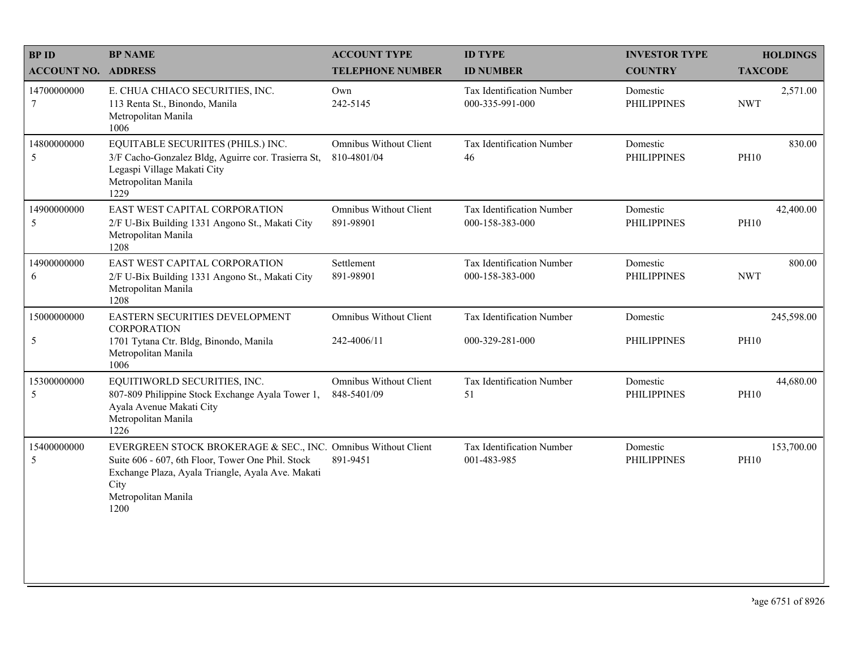| <b>BPID</b>                | <b>BP NAME</b>                                                                                                                                                                                                 | <b>ACCOUNT TYPE</b>                          | <b>ID TYPE</b>                               | <b>INVESTOR TYPE</b>           | <b>HOLDINGS</b>           |
|----------------------------|----------------------------------------------------------------------------------------------------------------------------------------------------------------------------------------------------------------|----------------------------------------------|----------------------------------------------|--------------------------------|---------------------------|
| <b>ACCOUNT NO. ADDRESS</b> |                                                                                                                                                                                                                | <b>TELEPHONE NUMBER</b>                      | <b>ID NUMBER</b>                             | <b>COUNTRY</b>                 | <b>TAXCODE</b>            |
| 14700000000<br>7           | E. CHUA CHIACO SECURITIES, INC.<br>113 Renta St., Binondo, Manila<br>Metropolitan Manila<br>1006                                                                                                               | Own<br>242-5145                              | Tax Identification Number<br>000-335-991-000 | Domestic<br><b>PHILIPPINES</b> | 2,571.00<br><b>NWT</b>    |
| 14800000000<br>5           | EQUITABLE SECURIITES (PHILS.) INC.<br>3/F Cacho-Gonzalez Bldg, Aguirre cor. Trasierra St,<br>Legaspi Village Makati City<br>Metropolitan Manila<br>1229                                                        | <b>Omnibus Without Client</b><br>810-4801/04 | Tax Identification Number<br>46              | Domestic<br><b>PHILIPPINES</b> | 830.00<br><b>PH10</b>     |
| 14900000000<br>5           | EAST WEST CAPITAL CORPORATION<br>2/F U-Bix Building 1331 Angono St., Makati City<br>Metropolitan Manila<br>1208                                                                                                | Omnibus Without Client<br>891-98901          | Tax Identification Number<br>000-158-383-000 | Domestic<br><b>PHILIPPINES</b> | 42,400.00<br><b>PH10</b>  |
| 14900000000<br>6           | EAST WEST CAPITAL CORPORATION<br>2/F U-Bix Building 1331 Angono St., Makati City<br>Metropolitan Manila<br>1208                                                                                                | Settlement<br>891-98901                      | Tax Identification Number<br>000-158-383-000 | Domestic<br><b>PHILIPPINES</b> | 800.00<br><b>NWT</b>      |
| 15000000000                | EASTERN SECURITIES DEVELOPMENT<br><b>CORPORATION</b>                                                                                                                                                           | <b>Omnibus Without Client</b>                | Tax Identification Number                    | Domestic                       | 245,598.00                |
| 5                          | 1701 Tytana Ctr. Bldg, Binondo, Manila<br>Metropolitan Manila<br>1006                                                                                                                                          | 242-4006/11                                  | 000-329-281-000                              | <b>PHILIPPINES</b>             | <b>PH10</b>               |
| 15300000000<br>5           | EQUITIWORLD SECURITIES, INC.<br>807-809 Philippine Stock Exchange Ayala Tower 1,<br>Ayala Avenue Makati City<br>Metropolitan Manila<br>1226                                                                    | <b>Omnibus Without Client</b><br>848-5401/09 | Tax Identification Number<br>51              | Domestic<br><b>PHILIPPINES</b> | 44,680.00<br><b>PH10</b>  |
| 15400000000<br>5           | EVERGREEN STOCK BROKERAGE & SEC., INC. Omnibus Without Client<br>Suite 606 - 607, 6th Floor, Tower One Phil. Stock<br>Exchange Plaza, Ayala Triangle, Ayala Ave. Makati<br>City<br>Metropolitan Manila<br>1200 | 891-9451                                     | Tax Identification Number<br>001-483-985     | Domestic<br><b>PHILIPPINES</b> | 153,700.00<br><b>PH10</b> |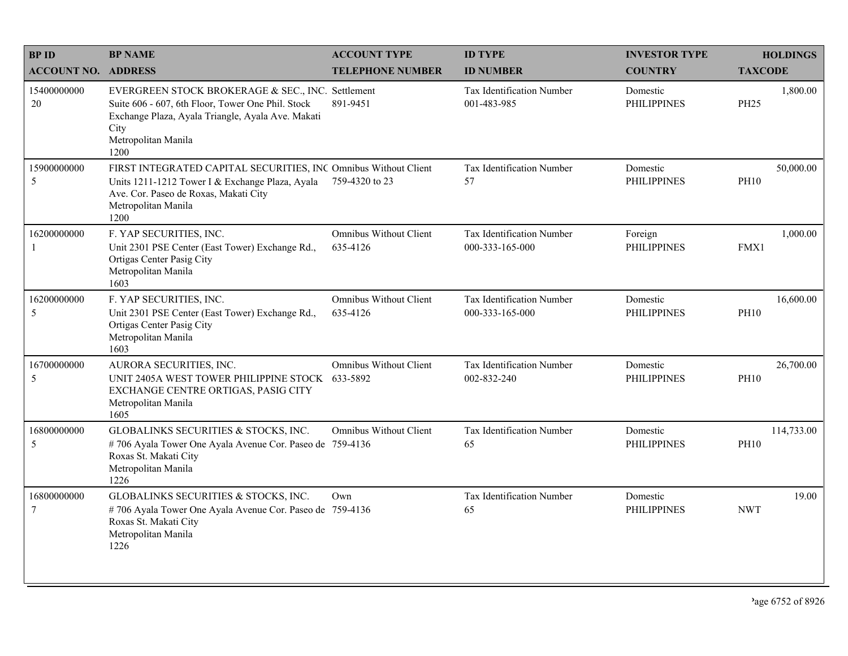| <b>BPID</b>                | <b>BP NAME</b>                                                                                                                                                                                     | <b>ACCOUNT TYPE</b>                       | <b>ID TYPE</b>                               | <b>INVESTOR TYPE</b>           | <b>HOLDINGS</b>           |
|----------------------------|----------------------------------------------------------------------------------------------------------------------------------------------------------------------------------------------------|-------------------------------------------|----------------------------------------------|--------------------------------|---------------------------|
| <b>ACCOUNT NO. ADDRESS</b> |                                                                                                                                                                                                    | <b>TELEPHONE NUMBER</b>                   | <b>ID NUMBER</b>                             | <b>COUNTRY</b>                 | <b>TAXCODE</b>            |
| 15400000000<br>20          | EVERGREEN STOCK BROKERAGE & SEC., INC. Settlement<br>Suite 606 - 607, 6th Floor, Tower One Phil. Stock<br>Exchange Plaza, Ayala Triangle, Ayala Ave. Makati<br>City<br>Metropolitan Manila<br>1200 | 891-9451                                  | Tax Identification Number<br>001-483-985     | Domestic<br><b>PHILIPPINES</b> | 1,800.00<br><b>PH25</b>   |
| 15900000000<br>5           | FIRST INTEGRATED CAPITAL SECURITIES, INC Omnibus Without Client<br>Units 1211-1212 Tower I & Exchange Plaza, Ayala<br>Ave. Cor. Paseo de Roxas, Makati City<br>Metropolitan Manila<br>1200         | 759-4320 to 23                            | Tax Identification Number<br>57              | Domestic<br><b>PHILIPPINES</b> | 50,000.00<br><b>PH10</b>  |
| 16200000000<br>-1          | F. YAP SECURITIES, INC.<br>Unit 2301 PSE Center (East Tower) Exchange Rd.,<br>Ortigas Center Pasig City<br>Metropolitan Manila<br>1603                                                             | <b>Omnibus Without Client</b><br>635-4126 | Tax Identification Number<br>000-333-165-000 | Foreign<br><b>PHILIPPINES</b>  | 1.000.00<br>FMX1          |
| 16200000000<br>5           | F. YAP SECURITIES, INC.<br>Unit 2301 PSE Center (East Tower) Exchange Rd.,<br>Ortigas Center Pasig City<br>Metropolitan Manila<br>1603                                                             | <b>Omnibus Without Client</b><br>635-4126 | Tax Identification Number<br>000-333-165-000 | Domestic<br><b>PHILIPPINES</b> | 16,600.00<br><b>PH10</b>  |
| 16700000000<br>5           | AURORA SECURITIES, INC.<br>UNIT 2405A WEST TOWER PHILIPPINE STOCK<br>EXCHANGE CENTRE ORTIGAS, PASIG CITY<br>Metropolitan Manila<br>1605                                                            | <b>Omnibus Without Client</b><br>633-5892 | Tax Identification Number<br>002-832-240     | Domestic<br><b>PHILIPPINES</b> | 26,700.00<br><b>PH10</b>  |
| 16800000000<br>5           | GLOBALINKS SECURITIES & STOCKS, INC.<br>#706 Ayala Tower One Ayala Avenue Cor. Paseo de 759-4136<br>Roxas St. Makati City<br>Metropolitan Manila<br>1226                                           | Omnibus Without Client                    | Tax Identification Number<br>65              | Domestic<br><b>PHILIPPINES</b> | 114,733.00<br><b>PH10</b> |
| 16800000000<br>$\tau$      | GLOBALINKS SECURITIES & STOCKS, INC.<br>#706 Ayala Tower One Ayala Avenue Cor. Paseo de 759-4136<br>Roxas St. Makati City<br>Metropolitan Manila<br>1226                                           | Own                                       | Tax Identification Number<br>65              | Domestic<br><b>PHILIPPINES</b> | 19.00<br><b>NWT</b>       |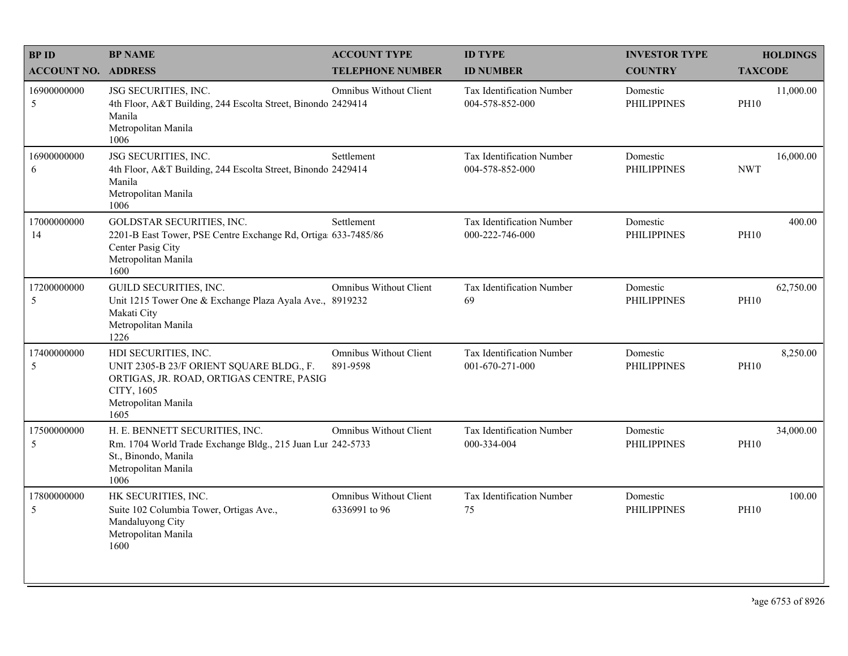| <b>BPID</b>                | <b>BP NAME</b>                                                                                                                                            | <b>ACCOUNT TYPE</b>                            | <b>ID TYPE</b>                               | <b>INVESTOR TYPE</b>           | <b>HOLDINGS</b>          |
|----------------------------|-----------------------------------------------------------------------------------------------------------------------------------------------------------|------------------------------------------------|----------------------------------------------|--------------------------------|--------------------------|
| <b>ACCOUNT NO. ADDRESS</b> |                                                                                                                                                           | <b>TELEPHONE NUMBER</b>                        | <b>ID NUMBER</b>                             | <b>COUNTRY</b>                 | <b>TAXCODE</b>           |
| 16900000000<br>5           | JSG SECURITIES, INC.<br>4th Floor, A&T Building, 244 Escolta Street, Binondo 2429414<br>Manila<br>Metropolitan Manila<br>1006                             | <b>Omnibus Without Client</b>                  | Tax Identification Number<br>004-578-852-000 | Domestic<br><b>PHILIPPINES</b> | 11,000.00<br><b>PH10</b> |
| 16900000000<br>6           | JSG SECURITIES, INC.<br>4th Floor, A&T Building, 244 Escolta Street, Binondo 2429414<br>Manila<br>Metropolitan Manila<br>1006                             | Settlement                                     | Tax Identification Number<br>004-578-852-000 | Domestic<br><b>PHILIPPINES</b> | 16,000.00<br><b>NWT</b>  |
| 17000000000<br>14          | GOLDSTAR SECURITIES, INC.<br>2201-B East Tower, PSE Centre Exchange Rd, Ortiga 633-7485/86<br>Center Pasig City<br>Metropolitan Manila<br>1600            | Settlement                                     | Tax Identification Number<br>000-222-746-000 | Domestic<br><b>PHILIPPINES</b> | 400.00<br><b>PH10</b>    |
| 17200000000<br>5           | <b>GUILD SECURITIES, INC.</b><br>Unit 1215 Tower One & Exchange Plaza Ayala Ave., 8919232<br>Makati City<br>Metropolitan Manila<br>1226                   | <b>Omnibus Without Client</b>                  | Tax Identification Number<br>69              | Domestic<br><b>PHILIPPINES</b> | 62,750.00<br><b>PH10</b> |
| 17400000000<br>5           | HDI SECURITIES, INC.<br>UNIT 2305-B 23/F ORIENT SQUARE BLDG., F.<br>ORTIGAS, JR. ROAD, ORTIGAS CENTRE, PASIG<br>CITY, 1605<br>Metropolitan Manila<br>1605 | <b>Omnibus Without Client</b><br>891-9598      | Tax Identification Number<br>001-670-271-000 | Domestic<br><b>PHILIPPINES</b> | 8,250.00<br><b>PH10</b>  |
| 17500000000<br>5           | H. E. BENNETT SECURITIES, INC.<br>Rm. 1704 World Trade Exchange Bldg., 215 Juan Lur 242-5733<br>St., Binondo, Manila<br>Metropolitan Manila<br>1006       | <b>Omnibus Without Client</b>                  | Tax Identification Number<br>000-334-004     | Domestic<br><b>PHILIPPINES</b> | 34,000.00<br><b>PH10</b> |
| 17800000000<br>5           | HK SECURITIES, INC.<br>Suite 102 Columbia Tower, Ortigas Ave.,<br>Mandaluyong City<br>Metropolitan Manila<br>1600                                         | <b>Omnibus Without Client</b><br>6336991 to 96 | Tax Identification Number<br>75              | Domestic<br><b>PHILIPPINES</b> | 100.00<br><b>PH10</b>    |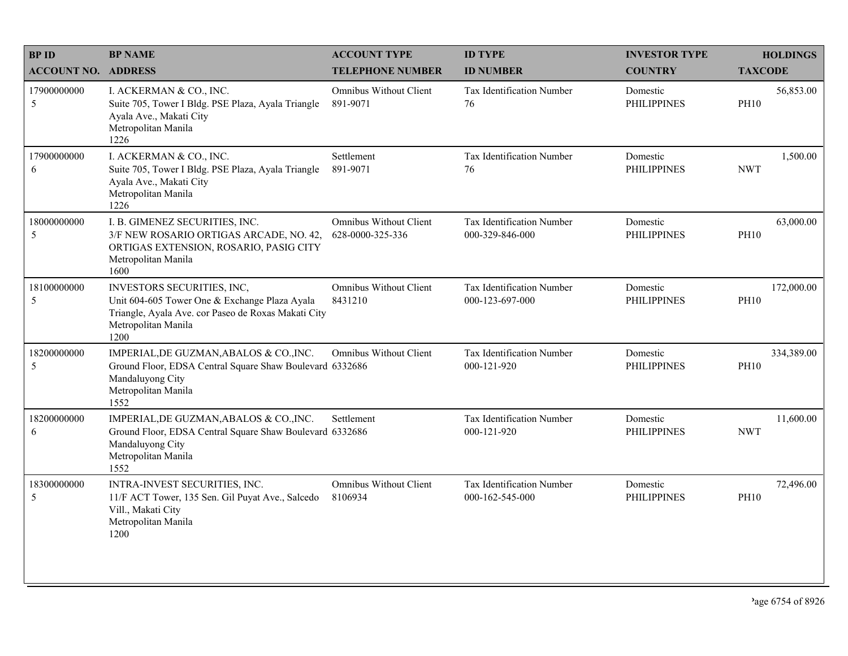| <b>BPID</b>                | <b>BP NAME</b>                                                                                                                                                    | <b>ACCOUNT TYPE</b>                               | <b>ID TYPE</b>                               | <b>INVESTOR TYPE</b>           | <b>HOLDINGS</b>           |
|----------------------------|-------------------------------------------------------------------------------------------------------------------------------------------------------------------|---------------------------------------------------|----------------------------------------------|--------------------------------|---------------------------|
| <b>ACCOUNT NO. ADDRESS</b> |                                                                                                                                                                   | <b>TELEPHONE NUMBER</b>                           | <b>ID NUMBER</b>                             | <b>COUNTRY</b>                 | <b>TAXCODE</b>            |
| 17900000000<br>5           | I. ACKERMAN & CO., INC.<br>Suite 705, Tower I Bldg. PSE Plaza, Ayala Triangle<br>Ayala Ave., Makati City<br>Metropolitan Manila<br>1226                           | <b>Omnibus Without Client</b><br>891-9071         | Tax Identification Number<br>76              | Domestic<br><b>PHILIPPINES</b> | 56,853.00<br><b>PH10</b>  |
| 17900000000<br>6           | I. ACKERMAN & CO., INC.<br>Suite 705, Tower I Bldg. PSE Plaza, Ayala Triangle<br>Ayala Ave., Makati City<br>Metropolitan Manila<br>1226                           | Settlement<br>891-9071                            | Tax Identification Number<br>76              | Domestic<br><b>PHILIPPINES</b> | 1,500.00<br><b>NWT</b>    |
| 18000000000<br>5           | I. B. GIMENEZ SECURITIES, INC.<br>3/F NEW ROSARIO ORTIGAS ARCADE, NO. 42,<br>ORTIGAS EXTENSION, ROSARIO, PASIG CITY<br>Metropolitan Manila<br>1600                | <b>Omnibus Without Client</b><br>628-0000-325-336 | Tax Identification Number<br>000-329-846-000 | Domestic<br><b>PHILIPPINES</b> | 63,000.00<br><b>PH10</b>  |
| 18100000000<br>$\sqrt{5}$  | INVESTORS SECURITIES, INC,<br>Unit 604-605 Tower One & Exchange Plaza Ayala<br>Triangle, Ayala Ave. cor Paseo de Roxas Makati City<br>Metropolitan Manila<br>1200 | <b>Omnibus Without Client</b><br>8431210          | Tax Identification Number<br>000-123-697-000 | Domestic<br><b>PHILIPPINES</b> | 172,000.00<br><b>PH10</b> |
| 18200000000<br>5           | IMPERIAL, DE GUZMAN, ABALOS & CO., INC.<br>Ground Floor, EDSA Central Square Shaw Boulevard 6332686<br>Mandaluyong City<br>Metropolitan Manila<br>1552            | <b>Omnibus Without Client</b>                     | Tax Identification Number<br>000-121-920     | Domestic<br><b>PHILIPPINES</b> | 334,389.00<br><b>PH10</b> |
| 18200000000<br>6           | IMPERIAL, DE GUZMAN, ABALOS & CO., INC.<br>Ground Floor, EDSA Central Square Shaw Boulevard 6332686<br>Mandaluyong City<br>Metropolitan Manila<br>1552            | Settlement                                        | Tax Identification Number<br>000-121-920     | Domestic<br><b>PHILIPPINES</b> | 11,600.00<br><b>NWT</b>   |
| 18300000000<br>5           | INTRA-INVEST SECURITIES, INC.<br>11/F ACT Tower, 135 Sen. Gil Puyat Ave., Salcedo<br>Vill., Makati City<br>Metropolitan Manila<br>1200                            | <b>Omnibus Without Client</b><br>8106934          | Tax Identification Number<br>000-162-545-000 | Domestic<br><b>PHILIPPINES</b> | 72,496.00<br><b>PH10</b>  |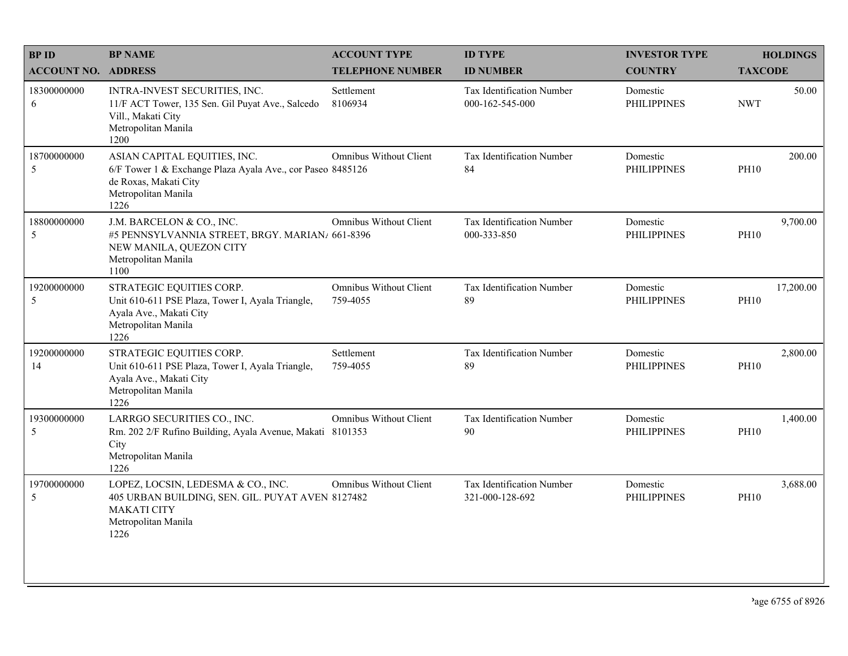| <b>BPID</b>                | <b>BP NAME</b>                                                                                                                                     | <b>ACCOUNT TYPE</b>                       | <b>ID TYPE</b>                                      | <b>INVESTOR TYPE</b>           | <b>HOLDINGS</b>          |
|----------------------------|----------------------------------------------------------------------------------------------------------------------------------------------------|-------------------------------------------|-----------------------------------------------------|--------------------------------|--------------------------|
| <b>ACCOUNT NO. ADDRESS</b> |                                                                                                                                                    | <b>TELEPHONE NUMBER</b>                   | <b>ID NUMBER</b>                                    | <b>COUNTRY</b>                 | <b>TAXCODE</b>           |
| 18300000000<br>6           | INTRA-INVEST SECURITIES, INC.<br>11/F ACT Tower, 135 Sen. Gil Puyat Ave., Salcedo<br>Vill., Makati City<br>Metropolitan Manila<br>1200             | Settlement<br>8106934                     | <b>Tax Identification Number</b><br>000-162-545-000 | Domestic<br><b>PHILIPPINES</b> | 50.00<br><b>NWT</b>      |
| 18700000000<br>5           | ASIAN CAPITAL EQUITIES, INC.<br>6/F Tower 1 & Exchange Plaza Ayala Ave., cor Paseo 8485126<br>de Roxas, Makati City<br>Metropolitan Manila<br>1226 | <b>Omnibus Without Client</b>             | Tax Identification Number<br>84                     | Domestic<br><b>PHILIPPINES</b> | 200.00<br><b>PH10</b>    |
| 18800000000<br>5           | J.M. BARCELON & CO., INC.<br>#5 PENNSYLVANNIA STREET, BRGY. MARIAN/ 661-8396<br>NEW MANILA, QUEZON CITY<br>Metropolitan Manila<br>1100             | <b>Omnibus Without Client</b>             | Tax Identification Number<br>000-333-850            | Domestic<br><b>PHILIPPINES</b> | 9,700.00<br><b>PH10</b>  |
| 19200000000<br>5           | STRATEGIC EQUITIES CORP.<br>Unit 610-611 PSE Plaza, Tower I, Ayala Triangle,<br>Ayala Ave., Makati City<br>Metropolitan Manila<br>1226             | <b>Omnibus Without Client</b><br>759-4055 | Tax Identification Number<br>89                     | Domestic<br><b>PHILIPPINES</b> | 17,200.00<br><b>PH10</b> |
| 19200000000<br>14          | STRATEGIC EQUITIES CORP.<br>Unit 610-611 PSE Plaza, Tower I, Ayala Triangle,<br>Ayala Ave., Makati City<br>Metropolitan Manila<br>1226             | Settlement<br>759-4055                    | Tax Identification Number<br>89                     | Domestic<br><b>PHILIPPINES</b> | 2,800.00<br><b>PH10</b>  |
| 19300000000<br>5           | LARRGO SECURITIES CO., INC.<br>Rm. 202 2/F Rufino Building, Ayala Avenue, Makati 8101353<br>City<br>Metropolitan Manila<br>1226                    | <b>Omnibus Without Client</b>             | Tax Identification Number<br>90                     | Domestic<br><b>PHILIPPINES</b> | 1,400.00<br><b>PH10</b>  |
| 19700000000<br>5           | LOPEZ, LOCSIN, LEDESMA & CO., INC.<br>405 URBAN BUILDING, SEN. GIL. PUYAT AVEN 8127482<br><b>MAKATI CITY</b><br>Metropolitan Manila<br>1226        | Omnibus Without Client                    | Tax Identification Number<br>321-000-128-692        | Domestic<br><b>PHILIPPINES</b> | 3,688.00<br><b>PH10</b>  |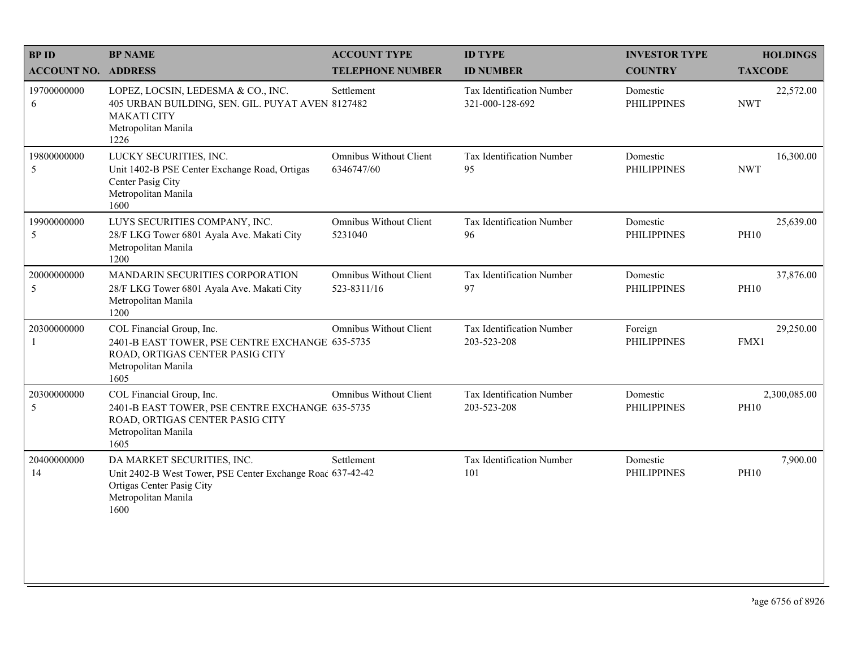| <b>BPID</b>                 | <b>BP NAME</b>                                                                                                                                       | <b>ACCOUNT TYPE</b>                      | <b>ID TYPE</b>                               | <b>INVESTOR TYPE</b>           | <b>HOLDINGS</b>             |
|-----------------------------|------------------------------------------------------------------------------------------------------------------------------------------------------|------------------------------------------|----------------------------------------------|--------------------------------|-----------------------------|
| <b>ACCOUNT NO. ADDRESS</b>  |                                                                                                                                                      | <b>TELEPHONE NUMBER</b>                  | <b>ID NUMBER</b>                             | <b>COUNTRY</b>                 | <b>TAXCODE</b>              |
| 19700000000<br>6            | LOPEZ, LOCSIN, LEDESMA & CO., INC.<br>405 URBAN BUILDING, SEN. GIL. PUYAT AVEN 8127482<br><b>MAKATI CITY</b><br>Metropolitan Manila<br>1226          | Settlement                               | Tax Identification Number<br>321-000-128-692 | Domestic<br><b>PHILIPPINES</b> | 22,572.00<br><b>NWT</b>     |
| 19800000000<br>5            | LUCKY SECURITIES, INC.<br>Unit 1402-B PSE Center Exchange Road, Ortigas<br>Center Pasig City<br>Metropolitan Manila<br>1600                          | Omnibus Without Client<br>6346747/60     | Tax Identification Number<br>95              | Domestic<br><b>PHILIPPINES</b> | 16,300.00<br><b>NWT</b>     |
| 19900000000<br>5            | LUYS SECURITIES COMPANY, INC.<br>28/F LKG Tower 6801 Ayala Ave. Makati City<br>Metropolitan Manila<br>1200                                           | <b>Omnibus Without Client</b><br>5231040 | Tax Identification Number<br>96              | Domestic<br><b>PHILIPPINES</b> | 25,639.00<br><b>PH10</b>    |
| 20000000000<br>$\sqrt{5}$   | MANDARIN SECURITIES CORPORATION<br>28/F LKG Tower 6801 Ayala Ave. Makati City<br>Metropolitan Manila<br>1200                                         | Omnibus Without Client<br>523-8311/16    | Tax Identification Number<br>97              | Domestic<br><b>PHILIPPINES</b> | 37,876.00<br><b>PH10</b>    |
| 20300000000<br>$\mathbf{1}$ | COL Financial Group, Inc.<br>2401-B EAST TOWER, PSE CENTRE EXCHANGE 635-5735<br>ROAD, ORTIGAS CENTER PASIG CITY<br>Metropolitan Manila<br>1605       | <b>Omnibus Without Client</b>            | Tax Identification Number<br>203-523-208     | Foreign<br><b>PHILIPPINES</b>  | 29,250.00<br>FMX1           |
| 20300000000<br>5            | COL Financial Group, Inc.<br>2401-B EAST TOWER, PSE CENTRE EXCHANGE 635-5735<br>ROAD, ORTIGAS CENTER PASIG CITY<br>Metropolitan Manila<br>1605       | <b>Omnibus Without Client</b>            | Tax Identification Number<br>203-523-208     | Domestic<br><b>PHILIPPINES</b> | 2,300,085.00<br><b>PH10</b> |
| 20400000000<br>14           | DA MARKET SECURITIES, INC.<br>Unit 2402-B West Tower, PSE Center Exchange Roac 637-42-42<br>Ortigas Center Pasig City<br>Metropolitan Manila<br>1600 | Settlement                               | Tax Identification Number<br>101             | Domestic<br><b>PHILIPPINES</b> | 7,900.00<br><b>PH10</b>     |
|                             |                                                                                                                                                      |                                          |                                              |                                |                             |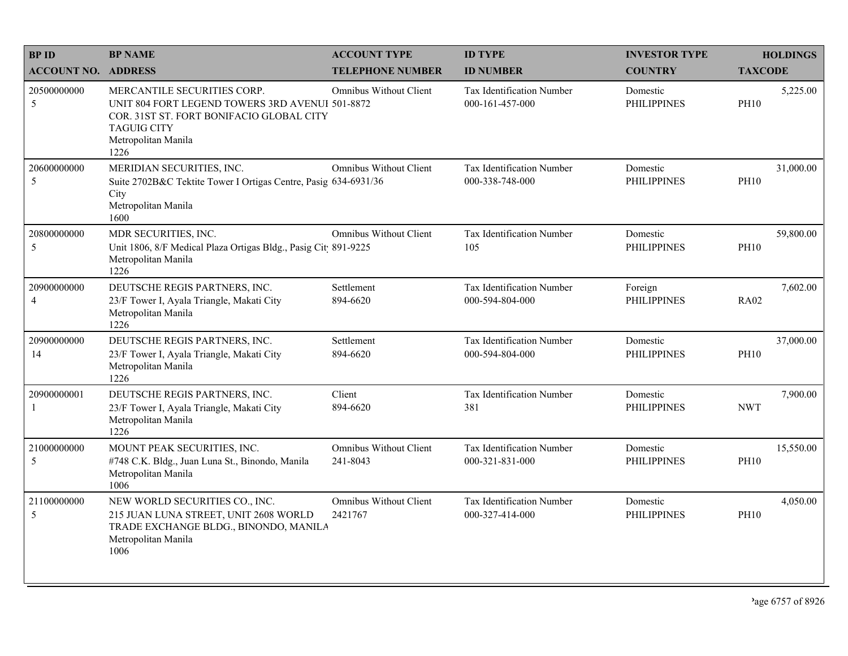| <b>BPID</b>                   | <b>BP NAME</b>                                                                                                                                                                  | <b>ACCOUNT TYPE</b>                       | <b>ID TYPE</b>                                      | <b>INVESTOR TYPE</b>           | <b>HOLDINGS</b>          |
|-------------------------------|---------------------------------------------------------------------------------------------------------------------------------------------------------------------------------|-------------------------------------------|-----------------------------------------------------|--------------------------------|--------------------------|
| <b>ACCOUNT NO. ADDRESS</b>    |                                                                                                                                                                                 | <b>TELEPHONE NUMBER</b>                   | <b>ID NUMBER</b>                                    | <b>COUNTRY</b>                 | <b>TAXCODE</b>           |
| 20500000000<br>5              | MERCANTILE SECURITIES CORP.<br>UNIT 804 FORT LEGEND TOWERS 3RD AVENUI 501-8872<br>COR. 31ST ST. FORT BONIFACIO GLOBAL CITY<br><b>TAGUIG CITY</b><br>Metropolitan Manila<br>1226 | Omnibus Without Client                    | <b>Tax Identification Number</b><br>000-161-457-000 | Domestic<br><b>PHILIPPINES</b> | 5,225.00<br><b>PH10</b>  |
| 20600000000<br>5              | MERIDIAN SECURITIES, INC.<br>Suite 2702B&C Tektite Tower I Ortigas Centre, Pasig 634-6931/36<br>City<br>Metropolitan Manila<br>1600                                             | <b>Omnibus Without Client</b>             | Tax Identification Number<br>000-338-748-000        | Domestic<br><b>PHILIPPINES</b> | 31,000.00<br><b>PH10</b> |
| 20800000000<br>5              | MDR SECURITIES, INC.<br>Unit 1806, 8/F Medical Plaza Ortigas Bldg., Pasig Cit 891-9225<br>Metropolitan Manila<br>1226                                                           | <b>Omnibus Without Client</b>             | Tax Identification Number<br>105                    | Domestic<br><b>PHILIPPINES</b> | 59,800.00<br><b>PH10</b> |
| 20900000000<br>$\overline{4}$ | DEUTSCHE REGIS PARTNERS, INC.<br>23/F Tower I, Ayala Triangle, Makati City<br>Metropolitan Manila<br>1226                                                                       | Settlement<br>894-6620                    | <b>Tax Identification Number</b><br>000-594-804-000 | Foreign<br><b>PHILIPPINES</b>  | 7,602.00<br><b>RA02</b>  |
| 20900000000<br>14             | DEUTSCHE REGIS PARTNERS, INC.<br>23/F Tower I, Ayala Triangle, Makati City<br>Metropolitan Manila<br>1226                                                                       | Settlement<br>894-6620                    | Tax Identification Number<br>000-594-804-000        | Domestic<br><b>PHILIPPINES</b> | 37,000.00<br><b>PH10</b> |
| 20900000001<br>$\overline{1}$ | DEUTSCHE REGIS PARTNERS, INC.<br>23/F Tower I, Ayala Triangle, Makati City<br>Metropolitan Manila<br>1226                                                                       | Client<br>894-6620                        | Tax Identification Number<br>381                    | Domestic<br><b>PHILIPPINES</b> | 7,900.00<br><b>NWT</b>   |
| 21000000000<br>5              | MOUNT PEAK SECURITIES, INC.<br>#748 C.K. Bldg., Juan Luna St., Binondo, Manila<br>Metropolitan Manila<br>1006                                                                   | <b>Omnibus Without Client</b><br>241-8043 | Tax Identification Number<br>000-321-831-000        | Domestic<br><b>PHILIPPINES</b> | 15,550.00<br><b>PH10</b> |
| 21100000000<br>5              | NEW WORLD SECURITIES CO., INC.<br>215 JUAN LUNA STREET, UNIT 2608 WORLD<br>TRADE EXCHANGE BLDG., BINONDO, MANILA<br>Metropolitan Manila<br>1006                                 | <b>Omnibus Without Client</b><br>2421767  | Tax Identification Number<br>000-327-414-000        | Domestic<br><b>PHILIPPINES</b> | 4,050.00<br><b>PH10</b>  |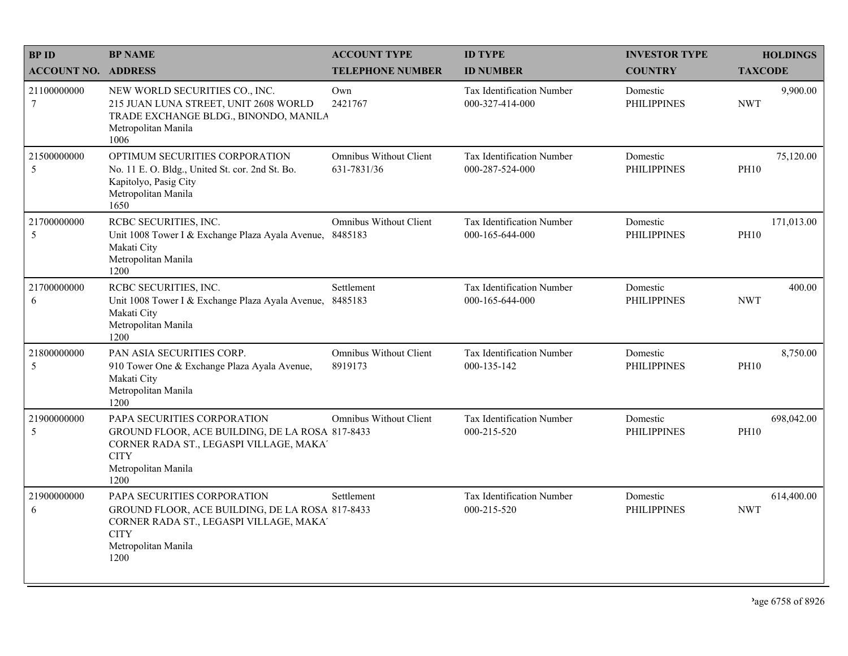| <b>BPID</b>                    | <b>BP NAME</b>                                                                                                                                                          | <b>ACCOUNT TYPE</b>                          | <b>ID TYPE</b>                                      | <b>INVESTOR TYPE</b>           | <b>HOLDINGS</b>           |
|--------------------------------|-------------------------------------------------------------------------------------------------------------------------------------------------------------------------|----------------------------------------------|-----------------------------------------------------|--------------------------------|---------------------------|
| <b>ACCOUNT NO. ADDRESS</b>     |                                                                                                                                                                         | <b>TELEPHONE NUMBER</b>                      | <b>ID NUMBER</b>                                    | <b>COUNTRY</b>                 | <b>TAXCODE</b>            |
| 21100000000<br>$7\phantom{.0}$ | NEW WORLD SECURITIES CO., INC.<br>215 JUAN LUNA STREET, UNIT 2608 WORLD<br>TRADE EXCHANGE BLDG., BINONDO, MANILA<br>Metropolitan Manila<br>1006                         | Own<br>2421767                               | <b>Tax Identification Number</b><br>000-327-414-000 | Domestic<br><b>PHILIPPINES</b> | 9,900.00<br><b>NWT</b>    |
| 21500000000<br>5               | OPTIMUM SECURITIES CORPORATION<br>No. 11 E. O. Bldg., United St. cor. 2nd St. Bo.<br>Kapitolyo, Pasig City<br>Metropolitan Manila<br>1650                               | <b>Omnibus Without Client</b><br>631-7831/36 | Tax Identification Number<br>000-287-524-000        | Domestic<br><b>PHILIPPINES</b> | 75,120.00<br><b>PH10</b>  |
| 21700000000<br>5               | RCBC SECURITIES, INC.<br>Unit 1008 Tower I & Exchange Plaza Ayala Avenue,<br>Makati City<br>Metropolitan Manila<br>1200                                                 | <b>Omnibus Without Client</b><br>8485183     | Tax Identification Number<br>000-165-644-000        | Domestic<br><b>PHILIPPINES</b> | 171,013.00<br><b>PH10</b> |
| 21700000000<br>6               | RCBC SECURITIES, INC.<br>Unit 1008 Tower I & Exchange Plaza Ayala Avenue,<br>Makati City<br>Metropolitan Manila<br>1200                                                 | Settlement<br>8485183                        | Tax Identification Number<br>000-165-644-000        | Domestic<br><b>PHILIPPINES</b> | 400.00<br><b>NWT</b>      |
| 21800000000<br>5               | PAN ASIA SECURITIES CORP.<br>910 Tower One & Exchange Plaza Ayala Avenue,<br>Makati City<br>Metropolitan Manila<br>1200                                                 | Omnibus Without Client<br>8919173            | Tax Identification Number<br>000-135-142            | Domestic<br><b>PHILIPPINES</b> | 8,750.00<br><b>PH10</b>   |
| 21900000000<br>5               | PAPA SECURITIES CORPORATION<br>GROUND FLOOR, ACE BUILDING, DE LA ROSA 817-8433<br>CORNER RADA ST., LEGASPI VILLAGE, MAKA'<br><b>CITY</b><br>Metropolitan Manila<br>1200 | <b>Omnibus Without Client</b>                | Tax Identification Number<br>000-215-520            | Domestic<br><b>PHILIPPINES</b> | 698,042.00<br><b>PH10</b> |
| 21900000000<br>6               | PAPA SECURITIES CORPORATION<br>GROUND FLOOR, ACE BUILDING, DE LA ROSA 817-8433<br>CORNER RADA ST., LEGASPI VILLAGE, MAKA'<br><b>CITY</b><br>Metropolitan Manila<br>1200 | Settlement                                   | Tax Identification Number<br>000-215-520            | Domestic<br><b>PHILIPPINES</b> | 614,400.00<br><b>NWT</b>  |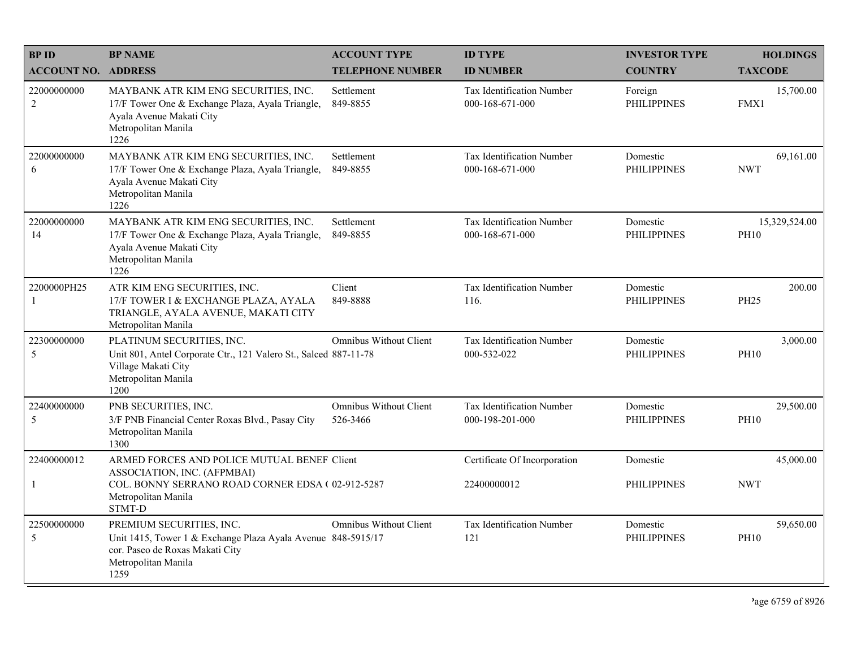| <b>BP ID</b>                  | <b>BP NAME</b>                                                                                                                                             | <b>ACCOUNT TYPE</b>                       | <b>ID TYPE</b>                                      | <b>INVESTOR TYPE</b>           | <b>HOLDINGS</b>              |
|-------------------------------|------------------------------------------------------------------------------------------------------------------------------------------------------------|-------------------------------------------|-----------------------------------------------------|--------------------------------|------------------------------|
| <b>ACCOUNT NO. ADDRESS</b>    |                                                                                                                                                            | <b>TELEPHONE NUMBER</b>                   | <b>ID NUMBER</b>                                    | <b>COUNTRY</b>                 | <b>TAXCODE</b>               |
| 22000000000<br>$\overline{2}$ | MAYBANK ATR KIM ENG SECURITIES, INC.<br>17/F Tower One & Exchange Plaza, Ayala Triangle,<br>Ayala Avenue Makati City<br>Metropolitan Manila<br>1226        | Settlement<br>849-8855                    | <b>Tax Identification Number</b><br>000-168-671-000 | Foreign<br><b>PHILIPPINES</b>  | 15,700.00<br>FMX1            |
| 22000000000<br>6              | MAYBANK ATR KIM ENG SECURITIES, INC.<br>17/F Tower One & Exchange Plaza, Ayala Triangle,<br>Ayala Avenue Makati City<br>Metropolitan Manila<br>1226        | Settlement<br>849-8855                    | Tax Identification Number<br>000-168-671-000        | Domestic<br><b>PHILIPPINES</b> | 69,161.00<br><b>NWT</b>      |
| 22000000000<br>14             | MAYBANK ATR KIM ENG SECURITIES, INC.<br>17/F Tower One & Exchange Plaza, Ayala Triangle,<br>Ayala Avenue Makati City<br>Metropolitan Manila<br>1226        | Settlement<br>849-8855                    | <b>Tax Identification Number</b><br>000-168-671-000 | Domestic<br><b>PHILIPPINES</b> | 15,329,524.00<br><b>PH10</b> |
| 2200000PH25<br>-1             | ATR KIM ENG SECURITIES, INC.<br>17/F TOWER I & EXCHANGE PLAZA, AYALA<br>TRIANGLE, AYALA AVENUE, MAKATI CITY<br>Metropolitan Manila                         | Client<br>849-8888                        | <b>Tax Identification Number</b><br>116.            | Domestic<br><b>PHILIPPINES</b> | 200.00<br><b>PH25</b>        |
| 22300000000<br>5              | PLATINUM SECURITIES, INC.<br>Unit 801, Antel Corporate Ctr., 121 Valero St., Salced 887-11-78<br>Village Makati City<br>Metropolitan Manila<br>1200        | <b>Omnibus Without Client</b>             | Tax Identification Number<br>000-532-022            | Domestic<br><b>PHILIPPINES</b> | 3,000.00<br><b>PH10</b>      |
| 22400000000<br>5              | PNB SECURITIES, INC.<br>3/F PNB Financial Center Roxas Blvd., Pasay City<br>Metropolitan Manila<br>1300                                                    | <b>Omnibus Without Client</b><br>526-3466 | Tax Identification Number<br>000-198-201-000        | Domestic<br><b>PHILIPPINES</b> | 29,500.00<br><b>PH10</b>     |
| 22400000012                   | ARMED FORCES AND POLICE MUTUAL BENEF Client<br>ASSOCIATION, INC. (AFPMBAI)                                                                                 |                                           | Certificate Of Incorporation                        | Domestic                       | 45,000.00                    |
| -1                            | COL. BONNY SERRANO ROAD CORNER EDSA (02-912-5287<br>Metropolitan Manila<br>STMT-D                                                                          |                                           | 22400000012                                         | PHILIPPINES                    | <b>NWT</b>                   |
| 22500000000<br>5              | PREMIUM SECURITIES, INC.<br>Unit 1415, Tower 1 & Exchange Plaza Ayala Avenue 848-5915/17<br>cor. Paseo de Roxas Makati City<br>Metropolitan Manila<br>1259 | <b>Omnibus Without Client</b>             | Tax Identification Number<br>121                    | Domestic<br><b>PHILIPPINES</b> | 59,650.00<br><b>PH10</b>     |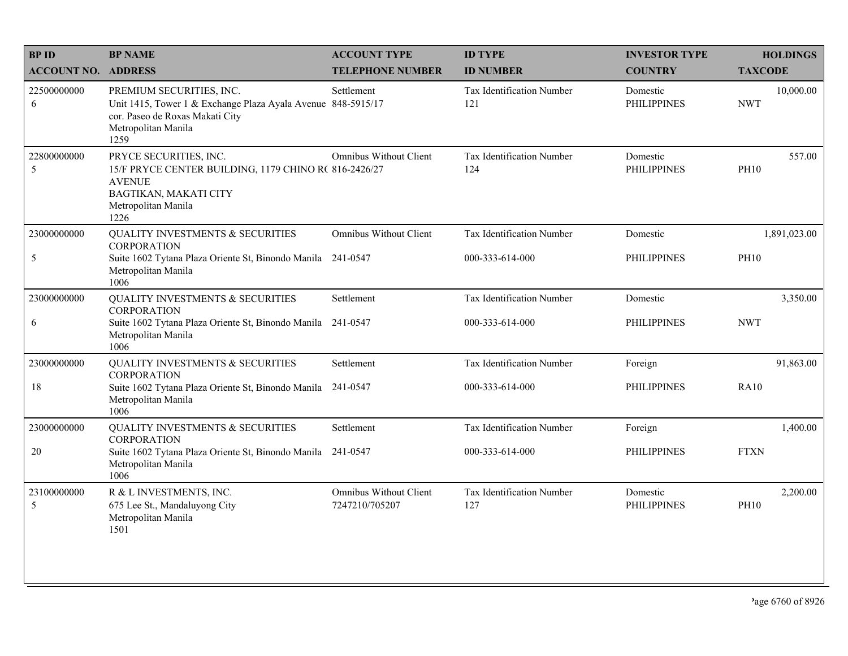| <b>BP NAME</b>                                                                                  | <b>ACCOUNT TYPE</b>                                                                                                | <b>ID TYPE</b>                                                                                                                                                                                                                                                  | <b>INVESTOR TYPE</b>           | <b>HOLDINGS</b>         |
|-------------------------------------------------------------------------------------------------|--------------------------------------------------------------------------------------------------------------------|-----------------------------------------------------------------------------------------------------------------------------------------------------------------------------------------------------------------------------------------------------------------|--------------------------------|-------------------------|
|                                                                                                 | <b>TELEPHONE NUMBER</b>                                                                                            | <b>ID NUMBER</b>                                                                                                                                                                                                                                                | <b>COUNTRY</b>                 | <b>TAXCODE</b>          |
| PREMIUM SECURITIES, INC.<br>cor. Paseo de Roxas Makati City<br>Metropolitan Manila<br>1259      | Settlement                                                                                                         | Tax Identification Number<br>121                                                                                                                                                                                                                                | Domestic<br><b>PHILIPPINES</b> | 10,000.00<br><b>NWT</b> |
| PRYCE SECURITIES, INC.<br><b>AVENUE</b><br>BAGTIKAN, MAKATI CITY<br>Metropolitan Manila<br>1226 | <b>Omnibus Without Client</b>                                                                                      | Tax Identification Number<br>124                                                                                                                                                                                                                                | Domestic<br><b>PHILIPPINES</b> | 557.00<br><b>PH10</b>   |
| QUALITY INVESTMENTS & SECURITIES                                                                | <b>Omnibus Without Client</b>                                                                                      | Tax Identification Number                                                                                                                                                                                                                                       | Domestic                       | 1,891,023.00            |
| Metropolitan Manila<br>1006                                                                     |                                                                                                                    | 000-333-614-000                                                                                                                                                                                                                                                 | <b>PHILIPPINES</b>             | <b>PH10</b>             |
| QUALITY INVESTMENTS & SECURITIES                                                                | Settlement                                                                                                         | Tax Identification Number                                                                                                                                                                                                                                       | Domestic                       | 3,350.00                |
| Suite 1602 Tytana Plaza Oriente St, Binondo Manila<br>Metropolitan Manila<br>1006               | 241-0547                                                                                                           | 000-333-614-000                                                                                                                                                                                                                                                 | <b>PHILIPPINES</b>             | <b>NWT</b>              |
| QUALITY INVESTMENTS & SECURITIES                                                                | Settlement                                                                                                         | Tax Identification Number                                                                                                                                                                                                                                       | Foreign                        | 91,863.00               |
| Metropolitan Manila<br>1006                                                                     |                                                                                                                    | 000-333-614-000                                                                                                                                                                                                                                                 | <b>PHILIPPINES</b>             | <b>RA10</b>             |
| QUALITY INVESTMENTS & SECURITIES                                                                | Settlement                                                                                                         | Tax Identification Number                                                                                                                                                                                                                                       | Foreign                        | 1,400.00                |
| Suite 1602 Tytana Plaza Oriente St, Binondo Manila<br>Metropolitan Manila<br>1006               |                                                                                                                    | 000-333-614-000                                                                                                                                                                                                                                                 | <b>PHILIPPINES</b>             | <b>FTXN</b>             |
| R & L INVESTMENTS, INC.<br>675 Lee St., Mandaluyong City<br>Metropolitan Manila<br>1501         | <b>Omnibus Without Client</b><br>7247210/705207                                                                    | Tax Identification Number<br>127                                                                                                                                                                                                                                | Domestic<br><b>PHILIPPINES</b> | 2,200.00<br><b>PH10</b> |
|                                                                                                 | <b>ACCOUNT NO. ADDRESS</b><br><b>CORPORATION</b><br><b>CORPORATION</b><br><b>CORPORATION</b><br><b>CORPORATION</b> | Unit 1415, Tower 1 & Exchange Plaza Ayala Avenue 848-5915/17<br>15/F PRYCE CENTER BUILDING, 1179 CHINO R( 816-2426/27<br>Suite 1602 Tytana Plaza Oriente St, Binondo Manila 241-0547<br>Suite 1602 Tytana Plaza Oriente St, Binondo Manila 241-0547<br>241-0547 |                                |                         |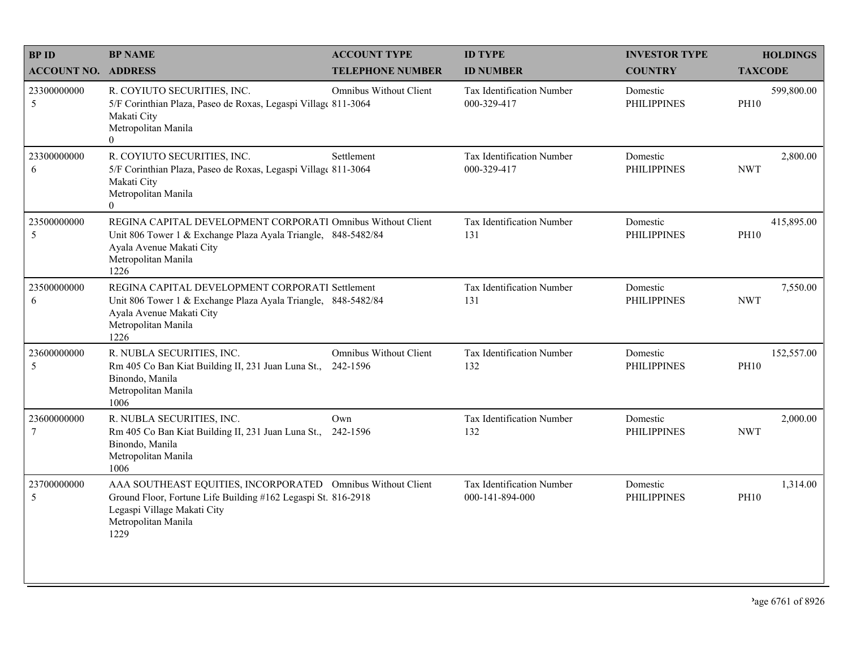| <b>BPID</b>                    | <b>BP NAME</b>                                                                                                                                                                             | <b>ACCOUNT TYPE</b>                       | <b>ID TYPE</b>                               | <b>INVESTOR TYPE</b>           | <b>HOLDINGS</b>           |
|--------------------------------|--------------------------------------------------------------------------------------------------------------------------------------------------------------------------------------------|-------------------------------------------|----------------------------------------------|--------------------------------|---------------------------|
| <b>ACCOUNT NO. ADDRESS</b>     |                                                                                                                                                                                            | <b>TELEPHONE NUMBER</b>                   | <b>ID NUMBER</b>                             | <b>COUNTRY</b>                 | <b>TAXCODE</b>            |
| 23300000000<br>5               | R. COYIUTO SECURITIES, INC.<br>5/F Corinthian Plaza, Paseo de Roxas, Legaspi Village 811-3064<br>Makati City<br>Metropolitan Manila<br>$\overline{0}$                                      | Omnibus Without Client                    | Tax Identification Number<br>000-329-417     | Domestic<br><b>PHILIPPINES</b> | 599,800.00<br><b>PH10</b> |
| 23300000000<br>6               | R. COYIUTO SECURITIES, INC.<br>5/F Corinthian Plaza, Paseo de Roxas, Legaspi Villag( 811-3064<br>Makati City<br>Metropolitan Manila<br>$\theta$                                            | Settlement                                | Tax Identification Number<br>000-329-417     | Domestic<br><b>PHILIPPINES</b> | 2,800.00<br><b>NWT</b>    |
| 23500000000<br>5               | REGINA CAPITAL DEVELOPMENT CORPORATI Omnibus Without Client<br>Unit 806 Tower 1 & Exchange Plaza Ayala Triangle, 848-5482/84<br>Ayala Avenue Makati City<br>Metropolitan Manila<br>1226    |                                           | Tax Identification Number<br>131             | Domestic<br><b>PHILIPPINES</b> | 415,895.00<br><b>PH10</b> |
| 23500000000<br>6               | REGINA CAPITAL DEVELOPMENT CORPORATI Settlement<br>Unit 806 Tower 1 & Exchange Plaza Ayala Triangle, 848-5482/84<br>Ayala Avenue Makati City<br>Metropolitan Manila<br>1226                |                                           | Tax Identification Number<br>131             | Domestic<br><b>PHILIPPINES</b> | 7,550.00<br><b>NWT</b>    |
| 23600000000<br>5               | R. NUBLA SECURITIES, INC.<br>Rm 405 Co Ban Kiat Building II, 231 Juan Luna St.,<br>Binondo, Manila<br>Metropolitan Manila<br>1006                                                          | <b>Omnibus Without Client</b><br>242-1596 | Tax Identification Number<br>132             | Domestic<br><b>PHILIPPINES</b> | 152,557.00<br><b>PH10</b> |
| 23600000000<br>$7\phantom{.0}$ | R. NUBLA SECURITIES, INC.<br>Rm 405 Co Ban Kiat Building II, 231 Juan Luna St.,<br>Binondo, Manila<br>Metropolitan Manila<br>1006                                                          | Own<br>242-1596                           | Tax Identification Number<br>132             | Domestic<br><b>PHILIPPINES</b> | 2,000.00<br><b>NWT</b>    |
| 23700000000<br>5               | AAA SOUTHEAST EQUITIES, INCORPORATED Omnibus Without Client<br>Ground Floor, Fortune Life Building #162 Legaspi St. 816-2918<br>Legaspi Village Makati City<br>Metropolitan Manila<br>1229 |                                           | Tax Identification Number<br>000-141-894-000 | Domestic<br><b>PHILIPPINES</b> | 1,314.00<br><b>PH10</b>   |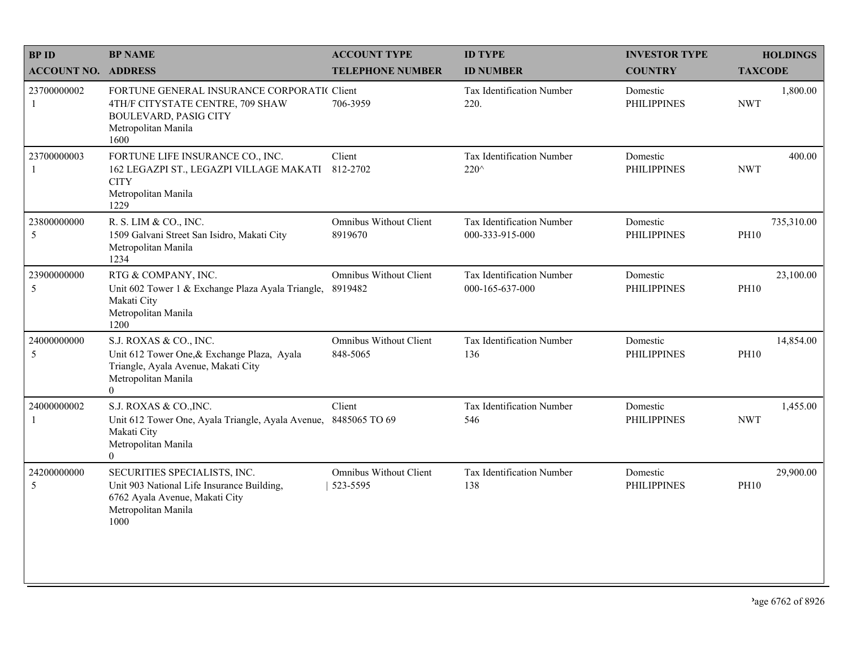| <b>BP ID</b>               | <b>BP NAME</b>                                                                                                                                        | <b>ACCOUNT TYPE</b>                       | <b>ID TYPE</b>                               | <b>INVESTOR TYPE</b>           | <b>HOLDINGS</b>           |
|----------------------------|-------------------------------------------------------------------------------------------------------------------------------------------------------|-------------------------------------------|----------------------------------------------|--------------------------------|---------------------------|
| <b>ACCOUNT NO. ADDRESS</b> |                                                                                                                                                       | <b>TELEPHONE NUMBER</b>                   | <b>ID NUMBER</b>                             | <b>COUNTRY</b>                 | <b>TAXCODE</b>            |
| 23700000002<br>1           | FORTUNE GENERAL INSURANCE CORPORATIC Client<br>4TH/F CITYSTATE CENTRE, 709 SHAW<br>BOULEVARD, PASIG CITY<br>Metropolitan Manila<br>1600               | 706-3959                                  | Tax Identification Number<br>220.            | Domestic<br><b>PHILIPPINES</b> | 1,800.00<br><b>NWT</b>    |
| 23700000003<br>1           | FORTUNE LIFE INSURANCE CO., INC.<br>162 LEGAZPI ST., LEGAZPI VILLAGE MAKATI<br><b>CITY</b><br>Metropolitan Manila<br>1229                             | Client<br>812-2702                        | Tax Identification Number<br>$220^{\circ}$   | Domestic<br><b>PHILIPPINES</b> | 400.00<br><b>NWT</b>      |
| 23800000000<br>5           | R. S. LIM & CO., INC.<br>1509 Galvani Street San Isidro, Makati City<br>Metropolitan Manila<br>1234                                                   | <b>Omnibus Without Client</b><br>8919670  | Tax Identification Number<br>000-333-915-000 | Domestic<br><b>PHILIPPINES</b> | 735,310.00<br><b>PH10</b> |
| 23900000000<br>5           | RTG & COMPANY, INC.<br>Unit 602 Tower 1 & Exchange Plaza Ayala Triangle,<br>Makati City<br>Metropolitan Manila<br>1200                                | <b>Omnibus Without Client</b><br>8919482  | Tax Identification Number<br>000-165-637-000 | Domestic<br><b>PHILIPPINES</b> | 23,100.00<br><b>PH10</b>  |
| 24000000000<br>5           | S.J. ROXAS & CO., INC.<br>Unit 612 Tower One, & Exchange Plaza, Ayala<br>Triangle, Ayala Avenue, Makati City<br>Metropolitan Manila<br>$\overline{0}$ | <b>Omnibus Without Client</b><br>848-5065 | Tax Identification Number<br>136             | Domestic<br><b>PHILIPPINES</b> | 14,854.00<br><b>PH10</b>  |
| 24000000002<br>1           | S.J. ROXAS & CO., INC.<br>Unit 612 Tower One, Ayala Triangle, Ayala Avenue, 8485065 TO 69<br>Makati City<br>Metropolitan Manila<br>$\theta$           | Client                                    | Tax Identification Number<br>546             | Domestic<br><b>PHILIPPINES</b> | 1,455.00<br><b>NWT</b>    |
| 24200000000<br>5           | SECURITIES SPECIALISTS, INC.<br>Unit 903 National Life Insurance Building,<br>6762 Ayala Avenue, Makati City<br>Metropolitan Manila<br>1000           | <b>Omnibus Without Client</b><br>523-5595 | Tax Identification Number<br>138             | Domestic<br><b>PHILIPPINES</b> | 29,900.00<br><b>PH10</b>  |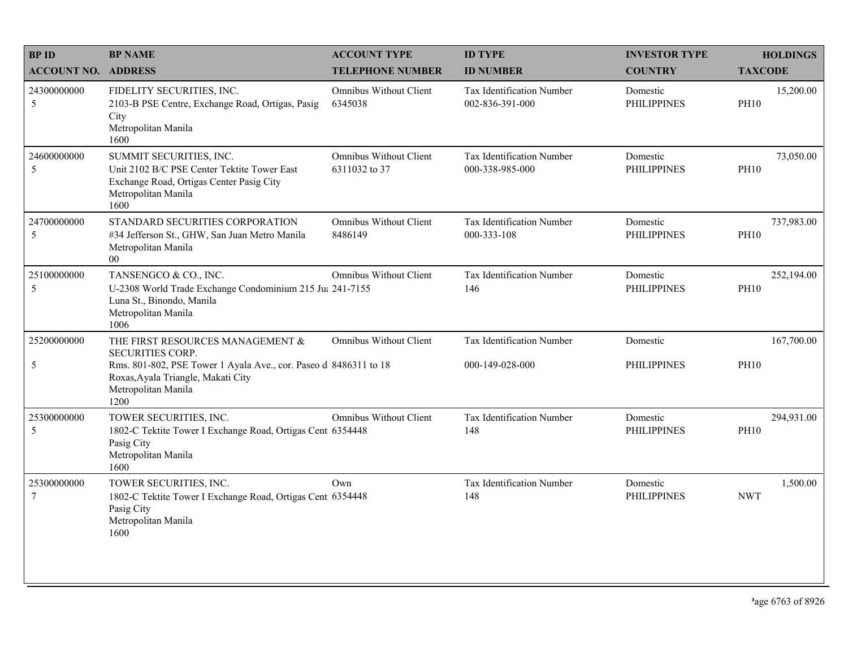| <b>BPID</b>                    | <b>BP NAME</b>                                                                                                                                                                                       | <b>ACCOUNT TYPE</b>                     | <b>ID TYPE</b>                               | <b>INVESTOR TYPE</b>           | <b>HOLDINGS</b>           |
|--------------------------------|------------------------------------------------------------------------------------------------------------------------------------------------------------------------------------------------------|-----------------------------------------|----------------------------------------------|--------------------------------|---------------------------|
| <b>ACCOUNT NO. ADDRESS</b>     |                                                                                                                                                                                                      | <b>TELEPHONE NUMBER</b>                 | <b>ID NUMBER</b>                             | <b>COUNTRY</b>                 | <b>TAXCODE</b>            |
| 24300000000<br>5               | FIDELITY SECURITIES, INC.<br>2103-B PSE Centre, Exchange Road, Ortigas, Pasig<br>City<br>Metropolitan Manila<br>1600                                                                                 | Omnibus Without Client<br>6345038       | Tax Identification Number<br>002-836-391-000 | Domestic<br><b>PHILIPPINES</b> | 15,200.00<br><b>PH10</b>  |
| 24600000000<br>5               | SUMMIT SECURITIES, INC.<br>Unit 2102 B/C PSE Center Tektite Tower East<br>Exchange Road, Ortigas Center Pasig City<br>Metropolitan Manila<br>1600                                                    | Omnibus Without Client<br>6311032 to 37 | Tax Identification Number<br>000-338-985-000 | Domestic<br><b>PHILIPPINES</b> | 73,050.00<br><b>PH10</b>  |
| 24700000000<br>5               | STANDARD SECURITIES CORPORATION<br>#34 Jefferson St., GHW, San Juan Metro Manila<br>Metropolitan Manila<br>$00\,$                                                                                    | Omnibus Without Client<br>8486149       | Tax Identification Number<br>000-333-108     | Domestic<br><b>PHILIPPINES</b> | 737,983.00<br><b>PH10</b> |
| 25100000000<br>5               | TANSENGCO & CO., INC.<br>U-2308 World Trade Exchange Condominium 215 Ju: 241-7155<br>Luna St., Binondo, Manila<br>Metropolitan Manila<br>1006                                                        | <b>Omnibus Without Client</b>           | Tax Identification Number<br>146             | Domestic<br><b>PHILIPPINES</b> | 252,194.00<br><b>PH10</b> |
| 25200000000<br>5               | THE FIRST RESOURCES MANAGEMENT &<br><b>SECURITIES CORP.</b><br>Rms. 801-802, PSE Tower 1 Ayala Ave., cor. Paseo d 8486311 to 18<br>Roxas, Ayala Triangle, Makati City<br>Metropolitan Manila<br>1200 | <b>Omnibus Without Client</b>           | Tax Identification Number<br>000-149-028-000 | Domestic<br><b>PHILIPPINES</b> | 167,700.00<br><b>PH10</b> |
| 25300000000<br>$\sqrt{5}$      | TOWER SECURITIES, INC.<br>1802-C Tektite Tower I Exchange Road, Ortigas Cent 6354448<br>Pasig City<br>Metropolitan Manila<br>1600                                                                    | <b>Omnibus Without Client</b>           | Tax Identification Number<br>148             | Domestic<br><b>PHILIPPINES</b> | 294,931.00<br><b>PH10</b> |
| 25300000000<br>$7\phantom{.0}$ | TOWER SECURITIES, INC.<br>1802-C Tektite Tower I Exchange Road, Ortigas Cent 6354448<br>Pasig City<br>Metropolitan Manila<br>1600                                                                    | Own                                     | Tax Identification Number<br>148             | Domestic<br><b>PHILIPPINES</b> | 1,500.00<br><b>NWT</b>    |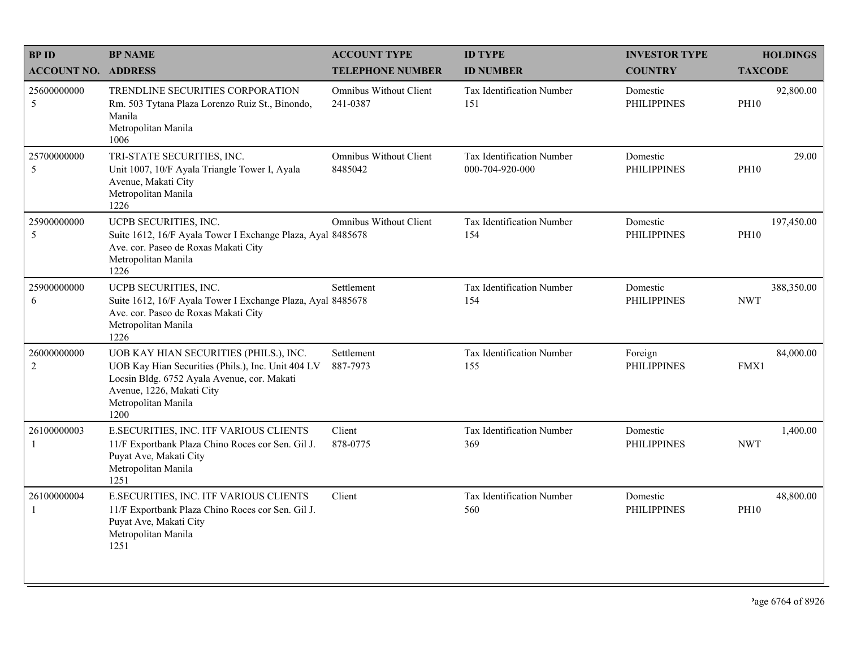| <b>BPID</b>                   | <b>BP NAME</b>                                                                                                                                                                                          | <b>ACCOUNT TYPE</b>                | <b>ID TYPE</b>                               | <b>INVESTOR TYPE</b>           | <b>HOLDINGS</b>           |
|-------------------------------|---------------------------------------------------------------------------------------------------------------------------------------------------------------------------------------------------------|------------------------------------|----------------------------------------------|--------------------------------|---------------------------|
| <b>ACCOUNT NO. ADDRESS</b>    |                                                                                                                                                                                                         | <b>TELEPHONE NUMBER</b>            | <b>ID NUMBER</b>                             | <b>COUNTRY</b>                 | <b>TAXCODE</b>            |
| 25600000000<br>5              | TRENDLINE SECURITIES CORPORATION<br>Rm. 503 Tytana Plaza Lorenzo Ruiz St., Binondo,<br>Manila<br>Metropolitan Manila<br>1006                                                                            | Omnibus Without Client<br>241-0387 | Tax Identification Number<br>151             | Domestic<br><b>PHILIPPINES</b> | 92,800.00<br><b>PH10</b>  |
| 25700000000<br>5              | TRI-STATE SECURITIES, INC.<br>Unit 1007, 10/F Ayala Triangle Tower I, Ayala<br>Avenue, Makati City<br>Metropolitan Manila<br>1226                                                                       | Omnibus Without Client<br>8485042  | Tax Identification Number<br>000-704-920-000 | Domestic<br><b>PHILIPPINES</b> | 29.00<br><b>PH10</b>      |
| 25900000000<br>5              | UCPB SECURITIES, INC.<br>Suite 1612, 16/F Ayala Tower I Exchange Plaza, Ayal 8485678<br>Ave. cor. Paseo de Roxas Makati City<br>Metropolitan Manila<br>1226                                             | <b>Omnibus Without Client</b>      | Tax Identification Number<br>154             | Domestic<br><b>PHILIPPINES</b> | 197,450.00<br><b>PH10</b> |
| 25900000000<br>6              | UCPB SECURITIES, INC.<br>Suite 1612, 16/F Ayala Tower I Exchange Plaza, Ayal 8485678<br>Ave. cor. Paseo de Roxas Makati City<br>Metropolitan Manila<br>1226                                             | Settlement                         | Tax Identification Number<br>154             | Domestic<br><b>PHILIPPINES</b> | 388,350.00<br><b>NWT</b>  |
| 26000000000<br>$\overline{2}$ | UOB KAY HIAN SECURITIES (PHILS.), INC.<br>UOB Kay Hian Securities (Phils.), Inc. Unit 404 LV<br>Locsin Bldg. 6752 Ayala Avenue, cor. Makati<br>Avenue, 1226, Makati City<br>Metropolitan Manila<br>1200 | Settlement<br>887-7973             | Tax Identification Number<br>155             | Foreign<br><b>PHILIPPINES</b>  | 84,000.00<br>FMX1         |
| 26100000003<br>-1             | E.SECURITIES, INC. ITF VARIOUS CLIENTS<br>11/F Exportbank Plaza Chino Roces cor Sen. Gil J.<br>Puyat Ave, Makati City<br>Metropolitan Manila<br>1251                                                    | Client<br>878-0775                 | Tax Identification Number<br>369             | Domestic<br><b>PHILIPPINES</b> | 1,400.00<br><b>NWT</b>    |
| 26100000004<br>$\overline{1}$ | E.SECURITIES, INC. ITF VARIOUS CLIENTS<br>11/F Exportbank Plaza Chino Roces cor Sen. Gil J.<br>Puyat Ave, Makati City<br>Metropolitan Manila<br>1251                                                    | Client                             | Tax Identification Number<br>560             | Domestic<br><b>PHILIPPINES</b> | 48,800.00<br><b>PH10</b>  |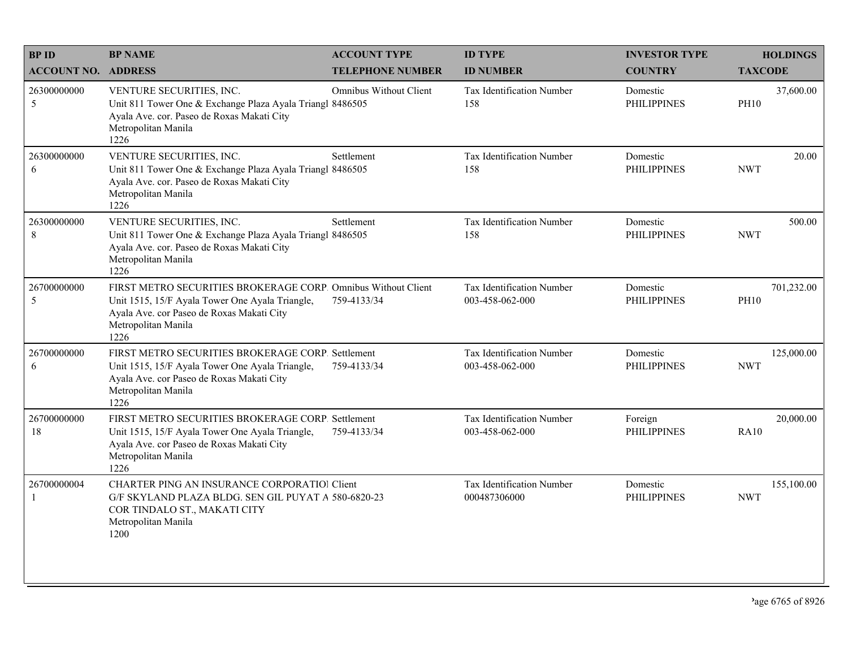| <b>BPID</b>                 | <b>BP NAME</b>                                                                                                                                                                               | <b>ACCOUNT TYPE</b>           | <b>ID TYPE</b>                                      | <b>INVESTOR TYPE</b>           | <b>HOLDINGS</b>           |
|-----------------------------|----------------------------------------------------------------------------------------------------------------------------------------------------------------------------------------------|-------------------------------|-----------------------------------------------------|--------------------------------|---------------------------|
| <b>ACCOUNT NO. ADDRESS</b>  |                                                                                                                                                                                              | <b>TELEPHONE NUMBER</b>       | <b>ID NUMBER</b>                                    | <b>COUNTRY</b>                 | <b>TAXCODE</b>            |
| 26300000000<br>5            | VENTURE SECURITIES, INC.<br>Unit 811 Tower One & Exchange Plaza Ayala Triangl 8486505<br>Ayala Ave. cor. Paseo de Roxas Makati City<br>Metropolitan Manila<br>1226                           | <b>Omnibus Without Client</b> | <b>Tax Identification Number</b><br>158             | Domestic<br><b>PHILIPPINES</b> | 37,600.00<br><b>PH10</b>  |
| 26300000000<br>6            | VENTURE SECURITIES, INC.<br>Unit 811 Tower One & Exchange Plaza Ayala Triangl 8486505<br>Ayala Ave. cor. Paseo de Roxas Makati City<br>Metropolitan Manila<br>1226                           | Settlement                    | Tax Identification Number<br>158                    | Domestic<br><b>PHILIPPINES</b> | 20.00<br><b>NWT</b>       |
| 26300000000<br>$8\,$        | VENTURE SECURITIES, INC.<br>Unit 811 Tower One & Exchange Plaza Ayala Triangl 8486505<br>Ayala Ave. cor. Paseo de Roxas Makati City<br>Metropolitan Manila<br>1226                           | Settlement                    | Tax Identification Number<br>158                    | Domestic<br><b>PHILIPPINES</b> | 500.00<br><b>NWT</b>      |
| 26700000000<br>5            | FIRST METRO SECURITIES BROKERAGE CORP. Omnibus Without Client<br>Unit 1515, 15/F Ayala Tower One Ayala Triangle,<br>Ayala Ave. cor Paseo de Roxas Makati City<br>Metropolitan Manila<br>1226 | 759-4133/34                   | Tax Identification Number<br>003-458-062-000        | Domestic<br><b>PHILIPPINES</b> | 701,232.00<br><b>PH10</b> |
| 26700000000<br>6            | FIRST METRO SECURITIES BROKERAGE CORP. Settlement<br>Unit 1515, 15/F Ayala Tower One Ayala Triangle,<br>Ayala Ave. cor Paseo de Roxas Makati City<br>Metropolitan Manila<br>1226             | 759-4133/34                   | <b>Tax Identification Number</b><br>003-458-062-000 | Domestic<br><b>PHILIPPINES</b> | 125,000.00<br><b>NWT</b>  |
| 26700000000<br>18           | FIRST METRO SECURITIES BROKERAGE CORP. Settlement<br>Unit 1515, 15/F Ayala Tower One Ayala Triangle,<br>Ayala Ave. cor Paseo de Roxas Makati City<br>Metropolitan Manila<br>1226             | 759-4133/34                   | Tax Identification Number<br>003-458-062-000        | Foreign<br><b>PHILIPPINES</b>  | 20,000.00<br><b>RA10</b>  |
| 26700000004<br>$\mathbf{1}$ | CHARTER PING AN INSURANCE CORPORATIOI Client<br>G/F SKYLAND PLAZA BLDG. SEN GIL PUYAT A 580-6820-23<br>COR TINDALO ST., MAKATI CITY<br>Metropolitan Manila<br>1200                           |                               | Tax Identification Number<br>000487306000           | Domestic<br><b>PHILIPPINES</b> | 155,100.00<br><b>NWT</b>  |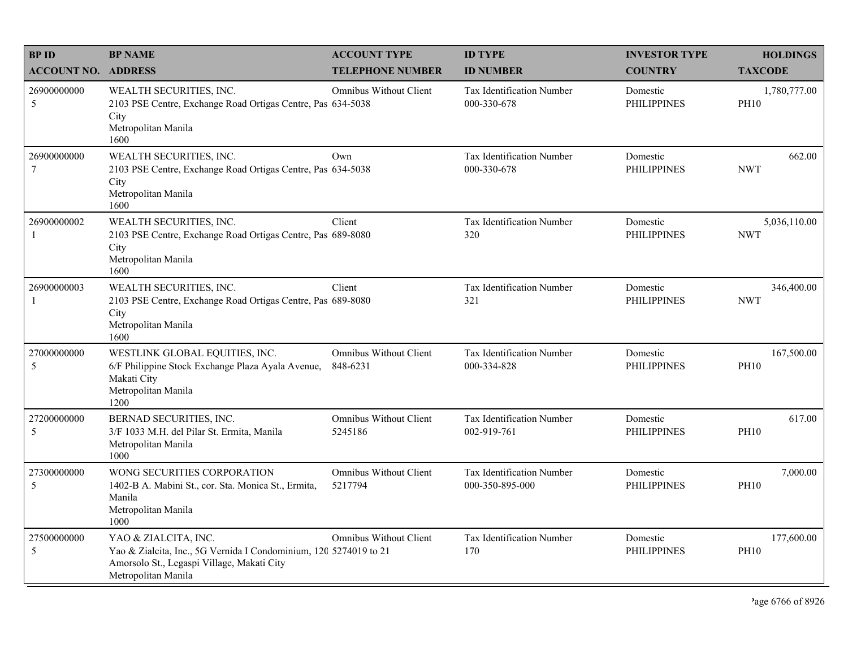| <b>BPID</b>                   | <b>BP NAME</b>                                                                                                                                                 | <b>ACCOUNT TYPE</b>                       | <b>ID TYPE</b>                                  | <b>INVESTOR TYPE</b>           | <b>HOLDINGS</b>             |
|-------------------------------|----------------------------------------------------------------------------------------------------------------------------------------------------------------|-------------------------------------------|-------------------------------------------------|--------------------------------|-----------------------------|
| <b>ACCOUNT NO. ADDRESS</b>    |                                                                                                                                                                | <b>TELEPHONE NUMBER</b>                   | <b>ID NUMBER</b>                                | <b>COUNTRY</b>                 | <b>TAXCODE</b>              |
| 26900000000<br>5              | WEALTH SECURITIES, INC.<br>2103 PSE Centre, Exchange Road Ortigas Centre, Pas 634-5038<br>City<br>Metropolitan Manila<br>1600                                  | <b>Omnibus Without Client</b>             | <b>Tax Identification Number</b><br>000-330-678 | Domestic<br><b>PHILIPPINES</b> | 1,780,777.00<br><b>PH10</b> |
| 26900000000<br>$\overline{7}$ | WEALTH SECURITIES, INC.<br>2103 PSE Centre, Exchange Road Ortigas Centre, Pas 634-5038<br>City<br>Metropolitan Manila<br>1600                                  | Own                                       | Tax Identification Number<br>000-330-678        | Domestic<br><b>PHILIPPINES</b> | 662.00<br><b>NWT</b>        |
| 26900000002<br>-1             | WEALTH SECURITIES, INC.<br>2103 PSE Centre, Exchange Road Ortigas Centre, Pas 689-8080<br>City<br>Metropolitan Manila<br>1600                                  | Client                                    | Tax Identification Number<br>320                | Domestic<br><b>PHILIPPINES</b> | 5,036,110.00<br><b>NWT</b>  |
| 26900000003<br>$\overline{1}$ | WEALTH SECURITIES, INC.<br>2103 PSE Centre, Exchange Road Ortigas Centre, Pas 689-8080<br>City<br>Metropolitan Manila<br>1600                                  | Client                                    | Tax Identification Number<br>321                | Domestic<br><b>PHILIPPINES</b> | 346,400.00<br><b>NWT</b>    |
| 27000000000<br>5              | WESTLINK GLOBAL EQUITIES, INC.<br>6/F Philippine Stock Exchange Plaza Ayala Avenue,<br>Makati City<br>Metropolitan Manila<br>1200                              | <b>Omnibus Without Client</b><br>848-6231 | <b>Tax Identification Number</b><br>000-334-828 | Domestic<br><b>PHILIPPINES</b> | 167,500.00<br><b>PH10</b>   |
| 27200000000<br>5              | BERNAD SECURITIES, INC.<br>3/F 1033 M.H. del Pilar St. Ermita, Manila<br>Metropolitan Manila<br>1000                                                           | <b>Omnibus Without Client</b><br>5245186  | Tax Identification Number<br>002-919-761        | Domestic<br>PHILIPPINES        | 617.00<br><b>PH10</b>       |
| 27300000000<br>5              | WONG SECURITIES CORPORATION<br>1402-B A. Mabini St., cor. Sta. Monica St., Ermita,<br>Manila<br>Metropolitan Manila<br>1000                                    | <b>Omnibus Without Client</b><br>5217794  | Tax Identification Number<br>000-350-895-000    | Domestic<br><b>PHILIPPINES</b> | 7,000.00<br><b>PH10</b>     |
| 27500000000<br>5              | YAO & ZIALCITA, INC.<br>Yao & Zialcita, Inc., 5G Vernida I Condominium, 120 5274019 to 21<br>Amorsolo St., Legaspi Village, Makati City<br>Metropolitan Manila | <b>Omnibus Without Client</b>             | Tax Identification Number<br>170                | Domestic<br><b>PHILIPPINES</b> | 177,600.00<br><b>PH10</b>   |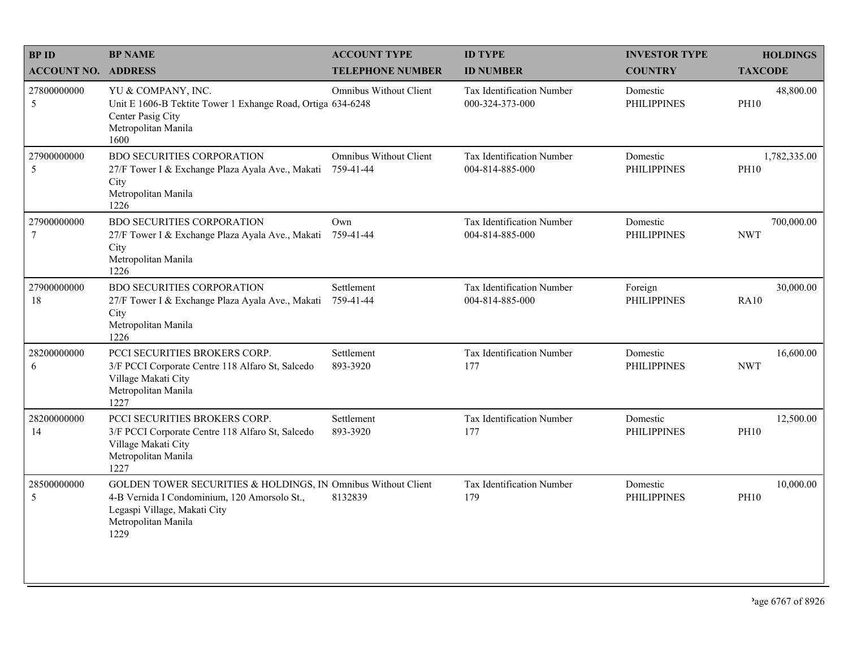| <b>BPID</b>                     | <b>BP NAME</b>                                                                                                                                                               | <b>ACCOUNT TYPE</b>                 | <b>ID TYPE</b>                                      | <b>INVESTOR TYPE</b>           | <b>HOLDINGS</b>             |
|---------------------------------|------------------------------------------------------------------------------------------------------------------------------------------------------------------------------|-------------------------------------|-----------------------------------------------------|--------------------------------|-----------------------------|
| <b>ACCOUNT NO. ADDRESS</b>      |                                                                                                                                                                              | <b>TELEPHONE NUMBER</b>             | <b>ID NUMBER</b>                                    | <b>COUNTRY</b>                 | <b>TAXCODE</b>              |
| 27800000000<br>5                | YU & COMPANY, INC.<br>Unit E 1606-B Tektite Tower 1 Exhange Road, Ortiga 634-6248<br>Center Pasig City<br>Metropolitan Manila<br>1600                                        | Omnibus Without Client              | <b>Tax Identification Number</b><br>000-324-373-000 | Domestic<br><b>PHILIPPINES</b> | 48,800.00<br><b>PH10</b>    |
| 27900000000<br>5                | <b>BDO SECURITIES CORPORATION</b><br>27/F Tower I & Exchange Plaza Ayala Ave., Makati<br>City<br>Metropolitan Manila<br>1226                                                 | Omnibus Without Client<br>759-41-44 | Tax Identification Number<br>004-814-885-000        | Domestic<br><b>PHILIPPINES</b> | 1,782,335.00<br><b>PH10</b> |
| 27900000000<br>$\boldsymbol{7}$ | <b>BDO SECURITIES CORPORATION</b><br>27/F Tower I & Exchange Plaza Ayala Ave., Makati<br>City<br>Metropolitan Manila<br>1226                                                 | Own<br>759-41-44                    | Tax Identification Number<br>004-814-885-000        | Domestic<br><b>PHILIPPINES</b> | 700,000.00<br><b>NWT</b>    |
| 27900000000<br>18               | <b>BDO SECURITIES CORPORATION</b><br>27/F Tower I & Exchange Plaza Ayala Ave., Makati<br>City<br>Metropolitan Manila<br>1226                                                 | Settlement<br>759-41-44             | Tax Identification Number<br>004-814-885-000        | Foreign<br><b>PHILIPPINES</b>  | 30,000.00<br><b>RA10</b>    |
| 28200000000<br>6                | PCCI SECURITIES BROKERS CORP.<br>3/F PCCI Corporate Centre 118 Alfaro St, Salcedo<br>Village Makati City<br>Metropolitan Manila<br>1227                                      | Settlement<br>893-3920              | Tax Identification Number<br>177                    | Domestic<br><b>PHILIPPINES</b> | 16,600.00<br><b>NWT</b>     |
| 28200000000<br>14               | PCCI SECURITIES BROKERS CORP.<br>3/F PCCI Corporate Centre 118 Alfaro St, Salcedo<br>Village Makati City<br>Metropolitan Manila<br>1227                                      | Settlement<br>893-3920              | Tax Identification Number<br>177                    | Domestic<br><b>PHILIPPINES</b> | 12,500.00<br><b>PH10</b>    |
| 28500000000<br>5                | GOLDEN TOWER SECURITIES & HOLDINGS, IN Omnibus Without Client<br>4-B Vernida I Condominium, 120 Amorsolo St.,<br>Legaspi Village, Makati City<br>Metropolitan Manila<br>1229 | 8132839                             | Tax Identification Number<br>179                    | Domestic<br><b>PHILIPPINES</b> | 10,000.00<br><b>PH10</b>    |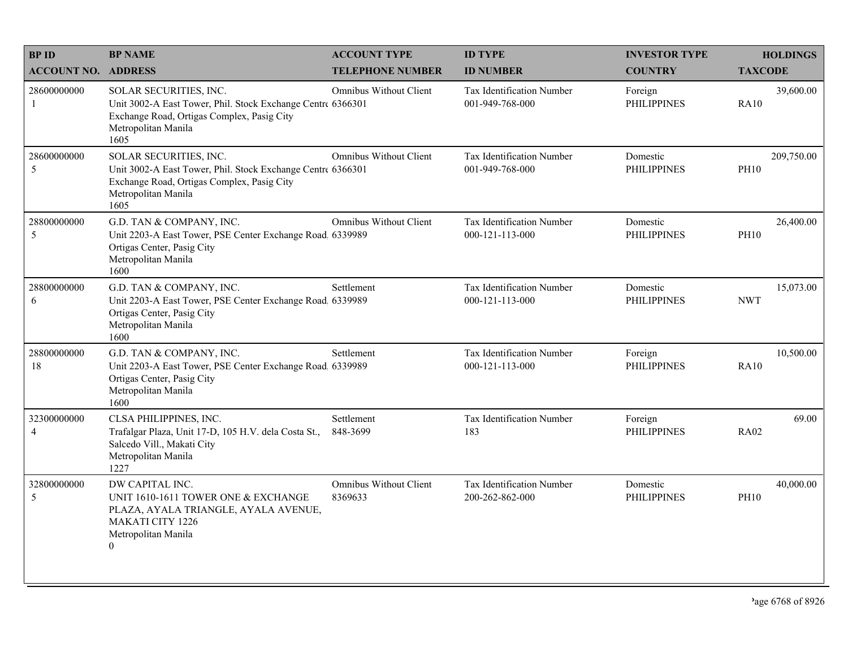| <b>BPID</b>                   | <b>BP NAME</b>                                                                                                                                                     | <b>ACCOUNT TYPE</b>                      | <b>ID TYPE</b>                                      | <b>INVESTOR TYPE</b>           | <b>HOLDINGS</b>           |
|-------------------------------|--------------------------------------------------------------------------------------------------------------------------------------------------------------------|------------------------------------------|-----------------------------------------------------|--------------------------------|---------------------------|
| <b>ACCOUNT NO. ADDRESS</b>    |                                                                                                                                                                    | <b>TELEPHONE NUMBER</b>                  | <b>ID NUMBER</b>                                    | <b>COUNTRY</b>                 | <b>TAXCODE</b>            |
| 28600000000<br>1              | SOLAR SECURITIES, INC.<br>Unit 3002-A East Tower, Phil. Stock Exchange Centre 6366301<br>Exchange Road, Ortigas Complex, Pasig City<br>Metropolitan Manila<br>1605 | <b>Omnibus Without Client</b>            | <b>Tax Identification Number</b><br>001-949-768-000 | Foreign<br><b>PHILIPPINES</b>  | 39,600.00<br><b>RA10</b>  |
| 28600000000<br>5              | SOLAR SECURITIES, INC.<br>Unit 3002-A East Tower, Phil. Stock Exchange Centre 6366301<br>Exchange Road, Ortigas Complex, Pasig City<br>Metropolitan Manila<br>1605 | <b>Omnibus Without Client</b>            | <b>Tax Identification Number</b><br>001-949-768-000 | Domestic<br><b>PHILIPPINES</b> | 209,750.00<br><b>PH10</b> |
| 28800000000<br>5              | G.D. TAN & COMPANY, INC.<br>Unit 2203-A East Tower, PSE Center Exchange Road. 6339989<br>Ortigas Center, Pasig City<br>Metropolitan Manila<br>1600                 | <b>Omnibus Without Client</b>            | Tax Identification Number<br>000-121-113-000        | Domestic<br><b>PHILIPPINES</b> | 26,400.00<br><b>PH10</b>  |
| 28800000000<br>6              | G.D. TAN & COMPANY, INC.<br>Unit 2203-A East Tower, PSE Center Exchange Road. 6339989<br>Ortigas Center, Pasig City<br>Metropolitan Manila<br>1600                 | Settlement                               | Tax Identification Number<br>000-121-113-000        | Domestic<br><b>PHILIPPINES</b> | 15,073.00<br><b>NWT</b>   |
| 28800000000<br>18             | G.D. TAN & COMPANY, INC.<br>Unit 2203-A East Tower, PSE Center Exchange Road 6339989<br>Ortigas Center, Pasig City<br>Metropolitan Manila<br>1600                  | Settlement                               | Tax Identification Number<br>000-121-113-000        | Foreign<br><b>PHILIPPINES</b>  | 10,500.00<br><b>RA10</b>  |
| 32300000000<br>$\overline{4}$ | CLSA PHILIPPINES, INC.<br>Trafalgar Plaza, Unit 17-D, 105 H.V. dela Costa St.,<br>Salcedo Vill., Makati City<br>Metropolitan Manila<br>1227                        | Settlement<br>848-3699                   | Tax Identification Number<br>183                    | Foreign<br><b>PHILIPPINES</b>  | 69.00<br><b>RA02</b>      |
| 32800000000<br>5              | DW CAPITAL INC.<br>UNIT 1610-1611 TOWER ONE & EXCHANGE<br>PLAZA, AYALA TRIANGLE, AYALA AVENUE,<br>MAKATI CITY 1226<br>Metropolitan Manila<br>$\theta$              | <b>Omnibus Without Client</b><br>8369633 | Tax Identification Number<br>200-262-862-000        | Domestic<br><b>PHILIPPINES</b> | 40,000.00<br><b>PH10</b>  |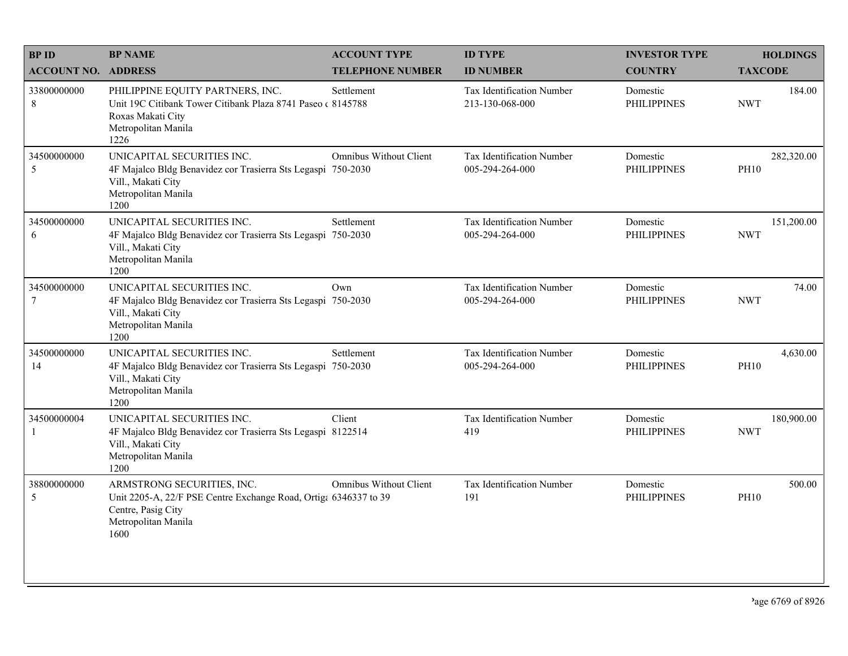| <b>BPID</b>                    | <b>BP NAME</b>                                                                                                                                      | <b>ACCOUNT TYPE</b>           | <b>ID TYPE</b>                               | <b>INVESTOR TYPE</b>           | <b>HOLDINGS</b>           |
|--------------------------------|-----------------------------------------------------------------------------------------------------------------------------------------------------|-------------------------------|----------------------------------------------|--------------------------------|---------------------------|
| <b>ACCOUNT NO. ADDRESS</b>     |                                                                                                                                                     | <b>TELEPHONE NUMBER</b>       | <b>ID NUMBER</b>                             | <b>COUNTRY</b>                 | <b>TAXCODE</b>            |
| 33800000000<br>8               | PHILIPPINE EQUITY PARTNERS, INC.<br>Unit 19C Citibank Tower Citibank Plaza 8741 Paseo (8145788)<br>Roxas Makati City<br>Metropolitan Manila<br>1226 | Settlement                    | Tax Identification Number<br>213-130-068-000 | Domestic<br><b>PHILIPPINES</b> | 184.00<br><b>NWT</b>      |
| 34500000000<br>5               | UNICAPITAL SECURITIES INC.<br>4F Majalco Bldg Benavidez cor Trasierra Sts Legaspi 750-2030<br>Vill., Makati City<br>Metropolitan Manila<br>1200     | <b>Omnibus Without Client</b> | Tax Identification Number<br>005-294-264-000 | Domestic<br><b>PHILIPPINES</b> | 282,320.00<br><b>PH10</b> |
| 34500000000<br>6               | UNICAPITAL SECURITIES INC.<br>4F Majalco Bldg Benavidez cor Trasierra Sts Legaspi<br>Vill., Makati City<br>Metropolitan Manila<br>1200              | Settlement<br>750-2030        | Tax Identification Number<br>005-294-264-000 | Domestic<br><b>PHILIPPINES</b> | 151,200.00<br><b>NWT</b>  |
| 34500000000<br>$7\phantom{.0}$ | UNICAPITAL SECURITIES INC.<br>4F Majalco Bldg Benavidez cor Trasierra Sts Legaspi 750-2030<br>Vill., Makati City<br>Metropolitan Manila<br>1200     | Own                           | Tax Identification Number<br>005-294-264-000 | Domestic<br><b>PHILIPPINES</b> | 74.00<br><b>NWT</b>       |
| 34500000000<br>14              | UNICAPITAL SECURITIES INC.<br>4F Majalco Bldg Benavidez cor Trasierra Sts Legaspi<br>Vill., Makati City<br>Metropolitan Manila<br>1200              | Settlement<br>750-2030        | Tax Identification Number<br>005-294-264-000 | Domestic<br><b>PHILIPPINES</b> | 4,630.00<br><b>PH10</b>   |
| 34500000004<br>1               | UNICAPITAL SECURITIES INC.<br>4F Majalco Bldg Benavidez cor Trasierra Sts Legaspi 8122514<br>Vill., Makati City<br>Metropolitan Manila<br>1200      | Client                        | Tax Identification Number<br>419             | Domestic<br><b>PHILIPPINES</b> | 180,900.00<br><b>NWT</b>  |
| 38800000000<br>5               | ARMSTRONG SECURITIES, INC.<br>Unit 2205-A, 22/F PSE Centre Exchange Road, Ortiga 6346337 to 39<br>Centre, Pasig City<br>Metropolitan Manila<br>1600 | <b>Omnibus Without Client</b> | Tax Identification Number<br>191             | Domestic<br><b>PHILIPPINES</b> | 500.00<br><b>PH10</b>     |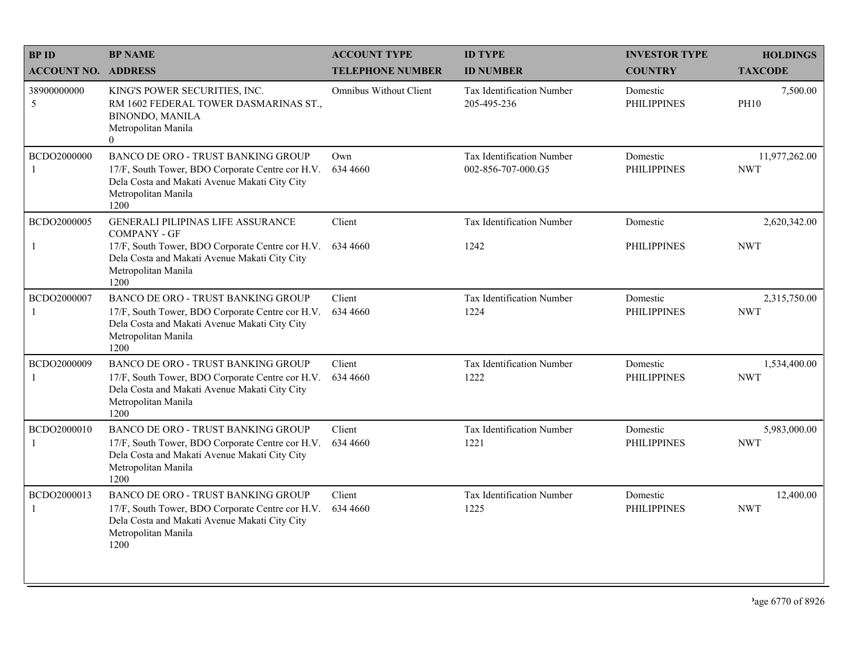| <b>BPID</b>                | <b>BP NAME</b>                                                                                                                                                                | <b>ACCOUNT TYPE</b>           | <b>ID TYPE</b>                                  | <b>INVESTOR TYPE</b>           | <b>HOLDINGS</b>             |
|----------------------------|-------------------------------------------------------------------------------------------------------------------------------------------------------------------------------|-------------------------------|-------------------------------------------------|--------------------------------|-----------------------------|
| <b>ACCOUNT NO. ADDRESS</b> |                                                                                                                                                                               | <b>TELEPHONE NUMBER</b>       | <b>ID NUMBER</b>                                | <b>COUNTRY</b>                 | <b>TAXCODE</b>              |
| 38900000000<br>5           | KING'S POWER SECURITIES, INC.<br>RM 1602 FEDERAL TOWER DASMARINAS ST.,<br><b>BINONDO, MANILA</b><br>Metropolitan Manila<br>$\theta$                                           | <b>Omnibus Without Client</b> | Tax Identification Number<br>205-495-236        | Domestic<br><b>PHILIPPINES</b> | 7,500.00<br><b>PH10</b>     |
| BCDO2000000<br>1           | <b>BANCO DE ORO - TRUST BANKING GROUP</b><br>17/F, South Tower, BDO Corporate Centre cor H.V.<br>Dela Costa and Makati Avenue Makati City City<br>Metropolitan Manila<br>1200 | Own<br>634 4660               | Tax Identification Number<br>002-856-707-000.G5 | Domestic<br><b>PHILIPPINES</b> | 11,977,262.00<br><b>NWT</b> |
| BCDO2000005                | <b>GENERALI PILIPINAS LIFE ASSURANCE</b><br><b>COMPANY - GF</b>                                                                                                               | Client                        | Tax Identification Number                       | Domestic                       | 2,620,342.00                |
| $\mathbf{1}$               | 17/F, South Tower, BDO Corporate Centre cor H.V.<br>Dela Costa and Makati Avenue Makati City City<br>Metropolitan Manila<br>1200                                              | 634 4660                      | 1242                                            | <b>PHILIPPINES</b>             | <b>NWT</b>                  |
| BCDO2000007<br>1           | <b>BANCO DE ORO - TRUST BANKING GROUP</b><br>17/F, South Tower, BDO Corporate Centre cor H.V.<br>Dela Costa and Makati Avenue Makati City City<br>Metropolitan Manila<br>1200 | Client<br>634 4660            | Tax Identification Number<br>1224               | Domestic<br><b>PHILIPPINES</b> | 2,315,750.00<br><b>NWT</b>  |
| BCDO2000009<br>1           | <b>BANCO DE ORO - TRUST BANKING GROUP</b><br>17/F, South Tower, BDO Corporate Centre cor H.V.<br>Dela Costa and Makati Avenue Makati City City<br>Metropolitan Manila<br>1200 | Client<br>634 4660            | Tax Identification Number<br>1222               | Domestic<br><b>PHILIPPINES</b> | 1,534,400.00<br><b>NWT</b>  |
| BCDO2000010<br>1           | BANCO DE ORO - TRUST BANKING GROUP<br>17/F, South Tower, BDO Corporate Centre cor H.V.<br>Dela Costa and Makati Avenue Makati City City<br>Metropolitan Manila<br>1200        | Client<br>634 4660            | Tax Identification Number<br>1221               | Domestic<br><b>PHILIPPINES</b> | 5,983,000.00<br><b>NWT</b>  |
| BCDO2000013<br>1           | BANCO DE ORO - TRUST BANKING GROUP<br>17/F, South Tower, BDO Corporate Centre cor H.V.<br>Dela Costa and Makati Avenue Makati City City<br>Metropolitan Manila<br>1200        | Client<br>634 4660            | Tax Identification Number<br>1225               | Domestic<br><b>PHILIPPINES</b> | 12,400.00<br><b>NWT</b>     |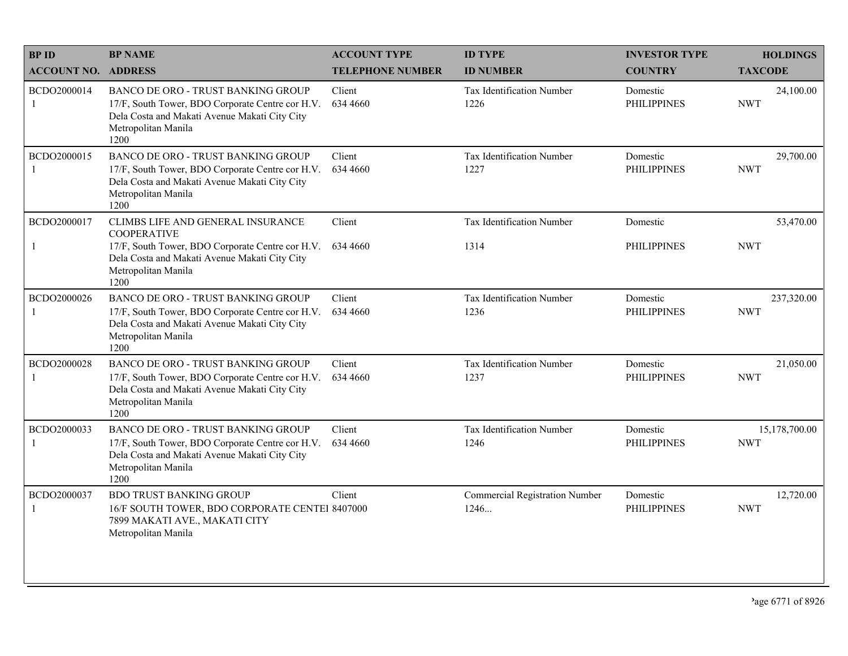| <b>BPID</b>                 | <b>BP NAME</b>                                                                                                                                                                | <b>ACCOUNT TYPE</b>     | <b>ID TYPE</b>                                | <b>INVESTOR TYPE</b>           | <b>HOLDINGS</b>             |
|-----------------------------|-------------------------------------------------------------------------------------------------------------------------------------------------------------------------------|-------------------------|-----------------------------------------------|--------------------------------|-----------------------------|
| <b>ACCOUNT NO. ADDRESS</b>  |                                                                                                                                                                               | <b>TELEPHONE NUMBER</b> | <b>ID NUMBER</b>                              | <b>COUNTRY</b>                 | <b>TAXCODE</b>              |
| BCDO2000014<br>$\mathbf{1}$ | <b>BANCO DE ORO - TRUST BANKING GROUP</b><br>17/F, South Tower, BDO Corporate Centre cor H.V.<br>Dela Costa and Makati Avenue Makati City City<br>Metropolitan Manila<br>1200 | Client<br>634 4660      | Tax Identification Number<br>1226             | Domestic<br><b>PHILIPPINES</b> | 24,100.00<br><b>NWT</b>     |
| BCDO2000015                 | <b>BANCO DE ORO - TRUST BANKING GROUP</b><br>17/F, South Tower, BDO Corporate Centre cor H.V.<br>Dela Costa and Makati Avenue Makati City City<br>Metropolitan Manila<br>1200 | Client<br>634 4660      | Tax Identification Number<br>1227             | Domestic<br><b>PHILIPPINES</b> | 29,700.00<br><b>NWT</b>     |
| BCDO2000017                 | CLIMBS LIFE AND GENERAL INSURANCE<br><b>COOPERATIVE</b>                                                                                                                       | Client                  | Tax Identification Number                     | Domestic                       | 53,470.00                   |
| $\mathbf{1}$                | 17/F, South Tower, BDO Corporate Centre cor H.V.<br>Dela Costa and Makati Avenue Makati City City<br>Metropolitan Manila<br>1200                                              | 634 4660                | 1314                                          | <b>PHILIPPINES</b>             | <b>NWT</b>                  |
| BCDO2000026<br>1            | <b>BANCO DE ORO - TRUST BANKING GROUP</b><br>17/F, South Tower, BDO Corporate Centre cor H.V.<br>Dela Costa and Makati Avenue Makati City City<br>Metropolitan Manila<br>1200 | Client<br>634 4660      | Tax Identification Number<br>1236             | Domestic<br><b>PHILIPPINES</b> | 237,320.00<br><b>NWT</b>    |
| BCDO2000028<br>1            | BANCO DE ORO - TRUST BANKING GROUP<br>17/F, South Tower, BDO Corporate Centre cor H.V.<br>Dela Costa and Makati Avenue Makati City City<br>Metropolitan Manila<br>1200        | Client<br>634 4660      | Tax Identification Number<br>1237             | Domestic<br><b>PHILIPPINES</b> | 21,050.00<br><b>NWT</b>     |
| BCDO2000033<br>1            | BANCO DE ORO - TRUST BANKING GROUP<br>17/F, South Tower, BDO Corporate Centre cor H.V.<br>Dela Costa and Makati Avenue Makati City City<br>Metropolitan Manila<br>1200        | Client<br>634 4660      | Tax Identification Number<br>1246             | Domestic<br><b>PHILIPPINES</b> | 15,178,700.00<br><b>NWT</b> |
| BCDO2000037<br>1            | <b>BDO TRUST BANKING GROUP</b><br>16/F SOUTH TOWER, BDO CORPORATE CENTEI 8407000<br>7899 MAKATI AVE., MAKATI CITY<br>Metropolitan Manila                                      | Client                  | <b>Commercial Registration Number</b><br>1246 | Domestic<br><b>PHILIPPINES</b> | 12,720.00<br><b>NWT</b>     |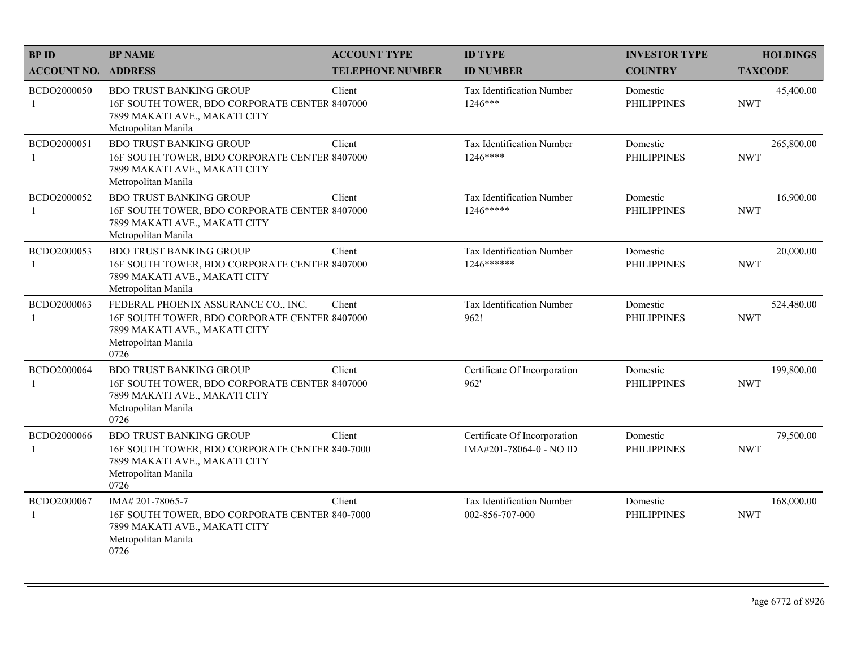| <b>BPID</b>                 | <b>BP NAME</b>                                                                                                                                       | <b>ACCOUNT TYPE</b>     | <b>ID TYPE</b>                                          | <b>INVESTOR TYPE</b>           | <b>HOLDINGS</b>          |
|-----------------------------|------------------------------------------------------------------------------------------------------------------------------------------------------|-------------------------|---------------------------------------------------------|--------------------------------|--------------------------|
| <b>ACCOUNT NO. ADDRESS</b>  |                                                                                                                                                      | <b>TELEPHONE NUMBER</b> | <b>ID NUMBER</b>                                        | <b>COUNTRY</b>                 | <b>TAXCODE</b>           |
| BCDO2000050<br>1            | <b>BDO TRUST BANKING GROUP</b><br>16F SOUTH TOWER, BDO CORPORATE CENTER 8407000<br>7899 MAKATI AVE., MAKATI CITY<br>Metropolitan Manila              | Client                  | <b>Tax Identification Number</b><br>1246***             | Domestic<br><b>PHILIPPINES</b> | 45,400.00<br><b>NWT</b>  |
| BCDO2000051<br>$\mathbf{1}$ | <b>BDO TRUST BANKING GROUP</b><br>16F SOUTH TOWER, BDO CORPORATE CENTER 8407000<br>7899 MAKATI AVE., MAKATI CITY<br>Metropolitan Manila              | Client                  | Tax Identification Number<br>$1246***$                  | Domestic<br><b>PHILIPPINES</b> | 265,800.00<br><b>NWT</b> |
| BCDO2000052<br>$\mathbf{1}$ | <b>BDO TRUST BANKING GROUP</b><br>16F SOUTH TOWER, BDO CORPORATE CENTER 8407000<br>7899 MAKATI AVE., MAKATI CITY<br>Metropolitan Manila              | Client                  | Tax Identification Number<br>1246 *****                 | Domestic<br><b>PHILIPPINES</b> | 16,900.00<br><b>NWT</b>  |
| BCDO2000053<br>1            | <b>BDO TRUST BANKING GROUP</b><br>16F SOUTH TOWER, BDO CORPORATE CENTER 8407000<br>7899 MAKATI AVE., MAKATI CITY<br>Metropolitan Manila              | Client                  | Tax Identification Number<br>1246******                 | Domestic<br><b>PHILIPPINES</b> | 20,000.00<br><b>NWT</b>  |
| BCDO2000063<br>$\mathbf{1}$ | FEDERAL PHOENIX ASSURANCE CO., INC.<br>16F SOUTH TOWER, BDO CORPORATE CENTER 8407000<br>7899 MAKATI AVE., MAKATI CITY<br>Metropolitan Manila<br>0726 | Client                  | Tax Identification Number<br>962!                       | Domestic<br><b>PHILIPPINES</b> | 524,480.00<br><b>NWT</b> |
| BCDO2000064<br>1            | <b>BDO TRUST BANKING GROUP</b><br>16F SOUTH TOWER, BDO CORPORATE CENTER 8407000<br>7899 MAKATI AVE., MAKATI CITY<br>Metropolitan Manila<br>0726      | Client                  | Certificate Of Incorporation<br>962'                    | Domestic<br><b>PHILIPPINES</b> | 199,800.00<br><b>NWT</b> |
| BCDO2000066<br>1            | <b>BDO TRUST BANKING GROUP</b><br>16F SOUTH TOWER, BDO CORPORATE CENTER 840-7000<br>7899 MAKATI AVE., MAKATI CITY<br>Metropolitan Manila<br>0726     | Client                  | Certificate Of Incorporation<br>IMA#201-78064-0 - NO ID | Domestic<br><b>PHILIPPINES</b> | 79,500.00<br><b>NWT</b>  |
| BCDO2000067<br>1            | IMA# 201-78065-7<br>16F SOUTH TOWER, BDO CORPORATE CENTER 840-7000<br>7899 MAKATI AVE., MAKATI CITY<br>Metropolitan Manila<br>0726                   | Client                  | Tax Identification Number<br>002-856-707-000            | Domestic<br><b>PHILIPPINES</b> | 168,000.00<br><b>NWT</b> |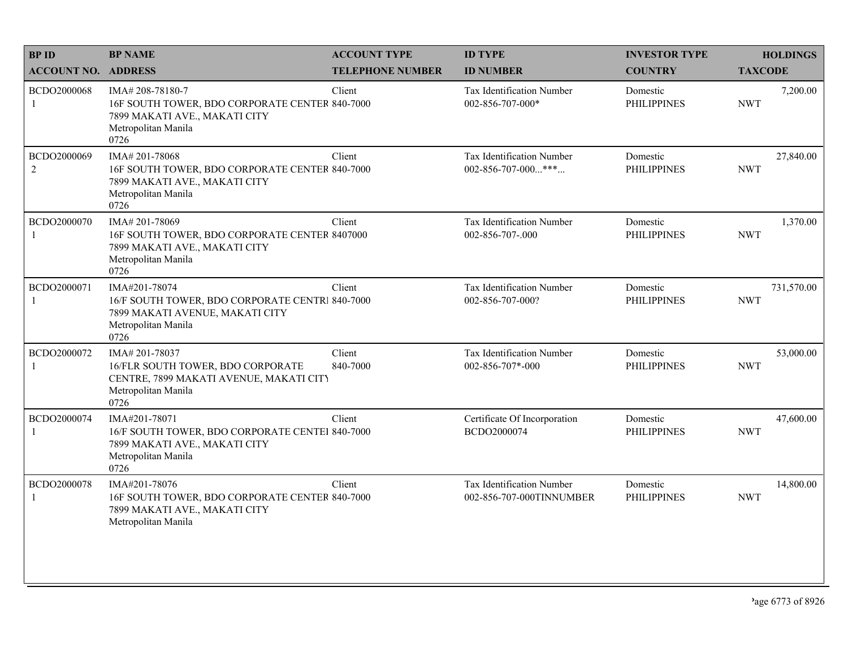| <b>BPID</b>                | <b>BP NAME</b>                                                                                                                     | <b>ACCOUNT TYPE</b>     | <b>ID TYPE</b>                                        | <b>INVESTOR TYPE</b>           | <b>HOLDINGS</b>          |
|----------------------------|------------------------------------------------------------------------------------------------------------------------------------|-------------------------|-------------------------------------------------------|--------------------------------|--------------------------|
| <b>ACCOUNT NO. ADDRESS</b> |                                                                                                                                    | <b>TELEPHONE NUMBER</b> | <b>ID NUMBER</b>                                      | <b>COUNTRY</b>                 | <b>TAXCODE</b>           |
| BCDO2000068                | IMA#208-78180-7<br>16F SOUTH TOWER, BDO CORPORATE CENTER 840-7000<br>7899 MAKATI AVE., MAKATI CITY<br>Metropolitan Manila<br>0726  | Client                  | Tax Identification Number<br>002-856-707-000*         | Domestic<br><b>PHILIPPINES</b> | 7,200.00<br><b>NWT</b>   |
| BCDO2000069<br>2           | IMA#201-78068<br>16F SOUTH TOWER, BDO CORPORATE CENTER 840-7000<br>7899 MAKATI AVE., MAKATI CITY<br>Metropolitan Manila<br>0726    | Client                  | Tax Identification Number<br>002-856-707-000***       | Domestic<br><b>PHILIPPINES</b> | 27,840.00<br><b>NWT</b>  |
| BCDO2000070                | IMA# 201-78069<br>16F SOUTH TOWER, BDO CORPORATE CENTER 8407000<br>7899 MAKATI AVE., MAKATI CITY<br>Metropolitan Manila<br>0726    | Client                  | Tax Identification Number<br>002-856-707-.000         | Domestic<br><b>PHILIPPINES</b> | 1,370.00<br><b>NWT</b>   |
| BCDO2000071                | IMA#201-78074<br>16/F SOUTH TOWER, BDO CORPORATE CENTRI 840-7000<br>7899 MAKATI AVENUE, MAKATI CITY<br>Metropolitan Manila<br>0726 | Client                  | Tax Identification Number<br>002-856-707-000?         | Domestic<br><b>PHILIPPINES</b> | 731,570.00<br><b>NWT</b> |
| BCDO2000072                | IMA#201-78037<br>16/FLR SOUTH TOWER, BDO CORPORATE<br>CENTRE, 7899 MAKATI AVENUE, MAKATI CITY<br>Metropolitan Manila<br>0726       | Client<br>840-7000      | Tax Identification Number<br>002-856-707*-000         | Domestic<br><b>PHILIPPINES</b> | 53,000.00<br><b>NWT</b>  |
| BCDO2000074                | IMA#201-78071<br>16/F SOUTH TOWER, BDO CORPORATE CENTEI 840-7000<br>7899 MAKATI AVE., MAKATI CITY<br>Metropolitan Manila<br>0726   | Client                  | Certificate Of Incorporation<br>BCDO2000074           | Domestic<br><b>PHILIPPINES</b> | 47,600.00<br><b>NWT</b>  |
| BCDO2000078                | IMA#201-78076<br>16F SOUTH TOWER, BDO CORPORATE CENTER 840-7000<br>7899 MAKATI AVE., MAKATI CITY<br>Metropolitan Manila            | Client                  | Tax Identification Number<br>002-856-707-000TINNUMBER | Domestic<br><b>PHILIPPINES</b> | 14,800.00<br><b>NWT</b>  |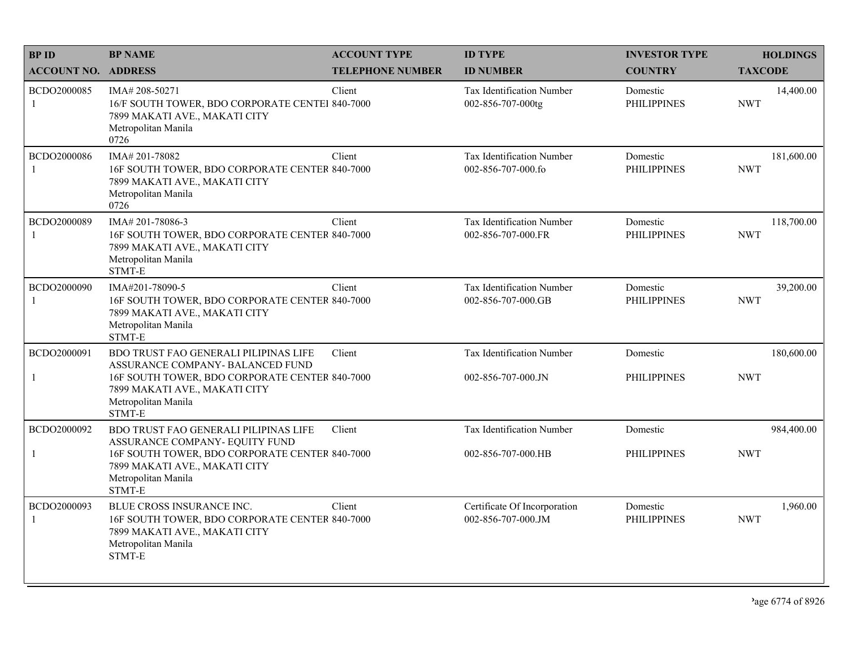| <b>BPID</b>                   | <b>BP NAME</b>                                                                                                                                | <b>ACCOUNT TYPE</b>     | <b>ID TYPE</b>                                     | <b>INVESTOR TYPE</b>           | <b>HOLDINGS</b>          |
|-------------------------------|-----------------------------------------------------------------------------------------------------------------------------------------------|-------------------------|----------------------------------------------------|--------------------------------|--------------------------|
| <b>ACCOUNT NO. ADDRESS</b>    |                                                                                                                                               | <b>TELEPHONE NUMBER</b> | <b>ID NUMBER</b>                                   | <b>COUNTRY</b>                 | <b>TAXCODE</b>           |
| BCDO2000085<br>1              | IMA# 208-50271<br>16/F SOUTH TOWER, BDO CORPORATE CENTEI 840-7000<br>7899 MAKATI AVE., MAKATI CITY<br>Metropolitan Manila<br>0726             | Client                  | Tax Identification Number<br>002-856-707-000tg     | Domestic<br><b>PHILIPPINES</b> | 14,400.00<br><b>NWT</b>  |
| BCDO2000086<br>1              | IMA# 201-78082<br>16F SOUTH TOWER, BDO CORPORATE CENTER 840-7000<br>7899 MAKATI AVE., MAKATI CITY<br>Metropolitan Manila<br>0726              | Client                  | Tax Identification Number<br>002-856-707-000.fo    | Domestic<br><b>PHILIPPINES</b> | 181,600.00<br><b>NWT</b> |
| BCDO2000089<br>$\overline{1}$ | IMA#201-78086-3<br>16F SOUTH TOWER, BDO CORPORATE CENTER 840-7000<br>7899 MAKATI AVE., MAKATI CITY<br>Metropolitan Manila<br>STMT-E           | Client                  | Tax Identification Number<br>002-856-707-000.FR    | Domestic<br><b>PHILIPPINES</b> | 118,700.00<br><b>NWT</b> |
| BCDO2000090<br>-1             | IMA#201-78090-5<br>16F SOUTH TOWER, BDO CORPORATE CENTER 840-7000<br>7899 MAKATI AVE., MAKATI CITY<br>Metropolitan Manila<br>STMT-E           | Client                  | Tax Identification Number<br>002-856-707-000.GB    | Domestic<br><b>PHILIPPINES</b> | 39,200.00<br><b>NWT</b>  |
| BCDO2000091                   | BDO TRUST FAO GENERALI PILIPINAS LIFE<br>ASSURANCE COMPANY- BALANCED FUND                                                                     | Client                  | Tax Identification Number                          | Domestic                       | 180,600.00               |
| $\mathbf{1}$                  | 16F SOUTH TOWER, BDO CORPORATE CENTER 840-7000<br>7899 MAKATI AVE., MAKATI CITY<br>Metropolitan Manila<br>STMT-E                              |                         | 002-856-707-000.JN                                 | <b>PHILIPPINES</b>             | <b>NWT</b>               |
| BCDO2000092                   | BDO TRUST FAO GENERALI PILIPINAS LIFE<br>ASSURANCE COMPANY- EQUITY FUND                                                                       | Client                  | Tax Identification Number                          | Domestic                       | 984,400.00               |
| $\mathbf{1}$                  | 16F SOUTH TOWER, BDO CORPORATE CENTER 840-7000<br>7899 MAKATI AVE., MAKATI CITY<br>Metropolitan Manila<br>STMT-E                              |                         | 002-856-707-000.HB                                 | <b>PHILIPPINES</b>             | <b>NWT</b>               |
| BCDO2000093<br>$\mathbf{1}$   | BLUE CROSS INSURANCE INC.<br>16F SOUTH TOWER, BDO CORPORATE CENTER 840-7000<br>7899 MAKATI AVE., MAKATI CITY<br>Metropolitan Manila<br>STMT-E | Client                  | Certificate Of Incorporation<br>002-856-707-000.JM | Domestic<br><b>PHILIPPINES</b> | 1,960.00<br><b>NWT</b>   |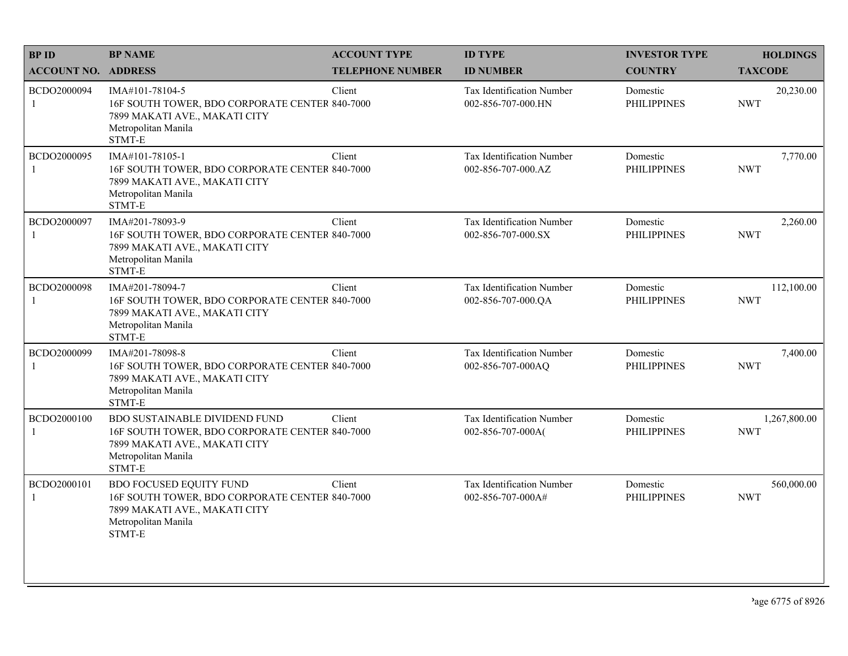| <b>BPID</b>                 | <b>BP NAME</b>                                                                                                                                            | <b>ACCOUNT TYPE</b>     | <b>ID TYPE</b>                                  | <b>INVESTOR TYPE</b>           | <b>HOLDINGS</b>            |
|-----------------------------|-----------------------------------------------------------------------------------------------------------------------------------------------------------|-------------------------|-------------------------------------------------|--------------------------------|----------------------------|
| <b>ACCOUNT NO. ADDRESS</b>  |                                                                                                                                                           | <b>TELEPHONE NUMBER</b> | <b>ID NUMBER</b>                                | <b>COUNTRY</b>                 | <b>TAXCODE</b>             |
| BCDO2000094<br>1            | IMA#101-78104-5<br>16F SOUTH TOWER, BDO CORPORATE CENTER 840-7000<br>7899 MAKATI AVE., MAKATI CITY<br>Metropolitan Manila<br>STMT-E                       | Client                  | Tax Identification Number<br>002-856-707-000.HN | Domestic<br><b>PHILIPPINES</b> | 20,230.00<br><b>NWT</b>    |
| BCDO2000095                 | IMA#101-78105-1<br>16F SOUTH TOWER, BDO CORPORATE CENTER 840-7000<br>7899 MAKATI AVE., MAKATI CITY<br>Metropolitan Manila<br>STMT-E                       | Client                  | Tax Identification Number<br>002-856-707-000.AZ | Domestic<br><b>PHILIPPINES</b> | 7,770.00<br><b>NWT</b>     |
| BCDO2000097                 | IMA#201-78093-9<br>16F SOUTH TOWER, BDO CORPORATE CENTER 840-7000<br>7899 MAKATI AVE., MAKATI CITY<br>Metropolitan Manila<br>STMT-E                       | Client                  | Tax Identification Number<br>002-856-707-000.SX | Domestic<br><b>PHILIPPINES</b> | 2,260.00<br><b>NWT</b>     |
| BCDO2000098                 | IMA#201-78094-7<br>16F SOUTH TOWER, BDO CORPORATE CENTER 840-7000<br>7899 MAKATI AVE., MAKATI CITY<br>Metropolitan Manila<br>STMT-E                       | Client                  | Tax Identification Number<br>002-856-707-000.QA | Domestic<br><b>PHILIPPINES</b> | 112,100.00<br><b>NWT</b>   |
| BCDO2000099                 | IMA#201-78098-8<br>16F SOUTH TOWER, BDO CORPORATE CENTER 840-7000<br>7899 MAKATI AVE., MAKATI CITY<br>Metropolitan Manila<br>STMT-E                       | Client                  | Tax Identification Number<br>002-856-707-000AQ  | Domestic<br><b>PHILIPPINES</b> | 7,400.00<br><b>NWT</b>     |
| BCDO2000100<br>$\mathbf{1}$ | <b>BDO SUSTAINABLE DIVIDEND FUND</b><br>16F SOUTH TOWER, BDO CORPORATE CENTER 840-7000<br>7899 MAKATI AVE., MAKATI CITY<br>Metropolitan Manila<br>STMT-E  | Client                  | Tax Identification Number<br>002-856-707-000A   | Domestic<br><b>PHILIPPINES</b> | 1,267,800.00<br><b>NWT</b> |
| BCDO2000101                 | <b>BDO FOCUSED EQUITY FUND</b><br>16F SOUTH TOWER, BDO CORPORATE CENTER 840-7000<br>7899 MAKATI AVE., MAKATI CITY<br>Metropolitan Manila<br><b>STMT-E</b> | Client                  | Tax Identification Number<br>002-856-707-000A#  | Domestic<br><b>PHILIPPINES</b> | 560,000.00<br><b>NWT</b>   |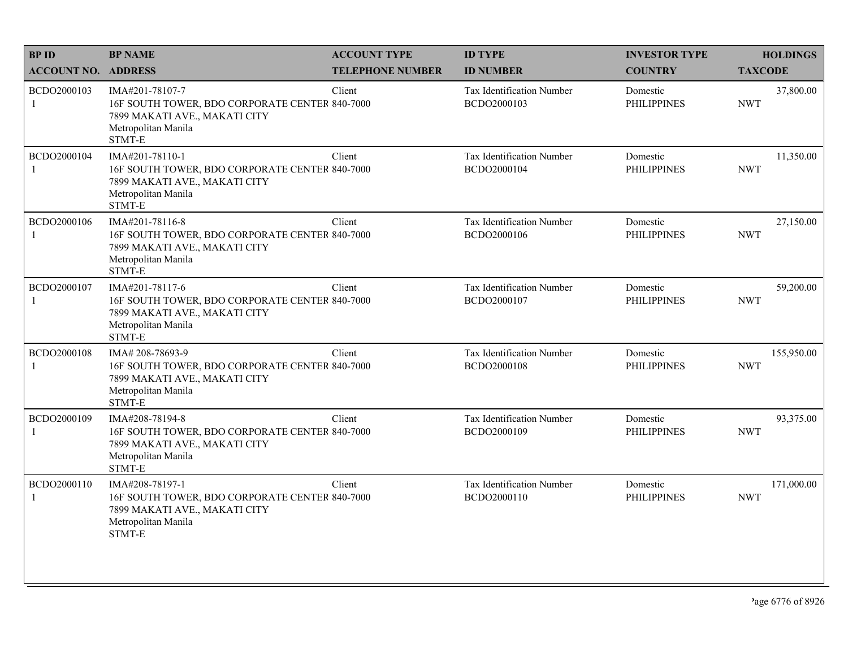| <b>BPID</b>                 | <b>BP NAME</b>                                                                                                                       | <b>ACCOUNT TYPE</b>     | <b>ID TYPE</b>                           | <b>INVESTOR TYPE</b>           | <b>HOLDINGS</b>          |
|-----------------------------|--------------------------------------------------------------------------------------------------------------------------------------|-------------------------|------------------------------------------|--------------------------------|--------------------------|
| <b>ACCOUNT NO. ADDRESS</b>  |                                                                                                                                      | <b>TELEPHONE NUMBER</b> | <b>ID NUMBER</b>                         | <b>COUNTRY</b>                 | <b>TAXCODE</b>           |
| BCDO2000103<br>1            | IMA#201-78107-7<br>16F SOUTH TOWER, BDO CORPORATE CENTER 840-7000<br>7899 MAKATI AVE., MAKATI CITY<br>Metropolitan Manila<br>STMT-E  | Client                  | Tax Identification Number<br>BCDO2000103 | Domestic<br><b>PHILIPPINES</b> | 37,800.00<br><b>NWT</b>  |
| BCDO2000104                 | IMA#201-78110-1<br>16F SOUTH TOWER, BDO CORPORATE CENTER 840-7000<br>7899 MAKATI AVE., MAKATI CITY<br>Metropolitan Manila<br>STMT-E  | Client                  | Tax Identification Number<br>BCDO2000104 | Domestic<br><b>PHILIPPINES</b> | 11,350.00<br><b>NWT</b>  |
| BCDO2000106                 | IMA#201-78116-8<br>16F SOUTH TOWER, BDO CORPORATE CENTER 840-7000<br>7899 MAKATI AVE., MAKATI CITY<br>Metropolitan Manila<br>STMT-E  | Client                  | Tax Identification Number<br>BCDO2000106 | Domestic<br><b>PHILIPPINES</b> | 27,150.00<br><b>NWT</b>  |
| BCDO2000107                 | IMA#201-78117-6<br>16F SOUTH TOWER, BDO CORPORATE CENTER 840-7000<br>7899 MAKATI AVE., MAKATI CITY<br>Metropolitan Manila<br>STMT-E  | Client                  | Tax Identification Number<br>BCDO2000107 | Domestic<br><b>PHILIPPINES</b> | 59,200.00<br><b>NWT</b>  |
| BCDO2000108                 | IMA# 208-78693-9<br>16F SOUTH TOWER, BDO CORPORATE CENTER 840-7000<br>7899 MAKATI AVE., MAKATI CITY<br>Metropolitan Manila<br>STMT-E | Client                  | Tax Identification Number<br>BCDO2000108 | Domestic<br><b>PHILIPPINES</b> | 155,950.00<br><b>NWT</b> |
| BCDO2000109<br>-1           | IMA#208-78194-8<br>16F SOUTH TOWER, BDO CORPORATE CENTER 840-7000<br>7899 MAKATI AVE., MAKATI CITY<br>Metropolitan Manila<br>STMT-E  | Client                  | Tax Identification Number<br>BCDO2000109 | Domestic<br><b>PHILIPPINES</b> | 93,375.00<br><b>NWT</b>  |
| BCDO2000110<br>$\mathbf{1}$ | IMA#208-78197-1<br>16F SOUTH TOWER, BDO CORPORATE CENTER 840-7000<br>7899 MAKATI AVE., MAKATI CITY<br>Metropolitan Manila<br>STMT-E  | Client                  | Tax Identification Number<br>BCDO2000110 | Domestic<br><b>PHILIPPINES</b> | 171,000.00<br><b>NWT</b> |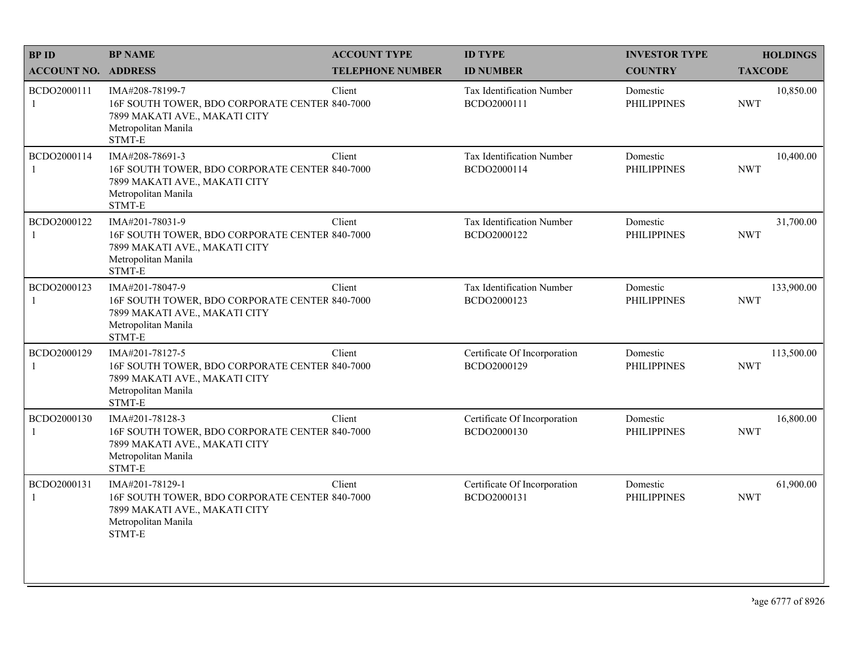| <b>BPID</b>                 | <b>BP NAME</b>                                                                                                                      | <b>ACCOUNT TYPE</b>     | <b>ID TYPE</b>                              | <b>INVESTOR TYPE</b>           | <b>HOLDINGS</b>          |
|-----------------------------|-------------------------------------------------------------------------------------------------------------------------------------|-------------------------|---------------------------------------------|--------------------------------|--------------------------|
| <b>ACCOUNT NO. ADDRESS</b>  |                                                                                                                                     | <b>TELEPHONE NUMBER</b> | <b>ID NUMBER</b>                            | <b>COUNTRY</b>                 | <b>TAXCODE</b>           |
| BCDO2000111<br>1            | IMA#208-78199-7<br>16F SOUTH TOWER, BDO CORPORATE CENTER 840-7000<br>7899 MAKATI AVE., MAKATI CITY<br>Metropolitan Manila<br>STMT-E | Client                  | Tax Identification Number<br>BCDO2000111    | Domestic<br><b>PHILIPPINES</b> | 10,850.00<br><b>NWT</b>  |
| BCDO2000114                 | IMA#208-78691-3<br>16F SOUTH TOWER, BDO CORPORATE CENTER 840-7000<br>7899 MAKATI AVE., MAKATI CITY<br>Metropolitan Manila<br>STMT-E | Client                  | Tax Identification Number<br>BCDO2000114    | Domestic<br><b>PHILIPPINES</b> | 10,400.00<br><b>NWT</b>  |
| BCDO2000122                 | IMA#201-78031-9<br>16F SOUTH TOWER, BDO CORPORATE CENTER 840-7000<br>7899 MAKATI AVE., MAKATI CITY<br>Metropolitan Manila<br>STMT-E | Client                  | Tax Identification Number<br>BCDO2000122    | Domestic<br><b>PHILIPPINES</b> | 31,700.00<br><b>NWT</b>  |
| BCDO2000123                 | IMA#201-78047-9<br>16F SOUTH TOWER, BDO CORPORATE CENTER 840-7000<br>7899 MAKATI AVE., MAKATI CITY<br>Metropolitan Manila<br>STMT-E | Client                  | Tax Identification Number<br>BCDO2000123    | Domestic<br><b>PHILIPPINES</b> | 133,900.00<br><b>NWT</b> |
| BCDO2000129                 | IMA#201-78127-5<br>16F SOUTH TOWER, BDO CORPORATE CENTER 840-7000<br>7899 MAKATI AVE., MAKATI CITY<br>Metropolitan Manila<br>STMT-E | Client                  | Certificate Of Incorporation<br>BCDO2000129 | Domestic<br><b>PHILIPPINES</b> | 113,500.00<br><b>NWT</b> |
| BCDO2000130<br>-1           | IMA#201-78128-3<br>16F SOUTH TOWER, BDO CORPORATE CENTER 840-7000<br>7899 MAKATI AVE., MAKATI CITY<br>Metropolitan Manila<br>STMT-E | Client                  | Certificate Of Incorporation<br>BCDO2000130 | Domestic<br><b>PHILIPPINES</b> | 16,800.00<br><b>NWT</b>  |
| BCDO2000131<br>$\mathbf{1}$ | IMA#201-78129-1<br>16F SOUTH TOWER, BDO CORPORATE CENTER 840-7000<br>7899 MAKATI AVE., MAKATI CITY<br>Metropolitan Manila<br>STMT-E | Client                  | Certificate Of Incorporation<br>BCDO2000131 | Domestic<br><b>PHILIPPINES</b> | 61,900.00<br><b>NWT</b>  |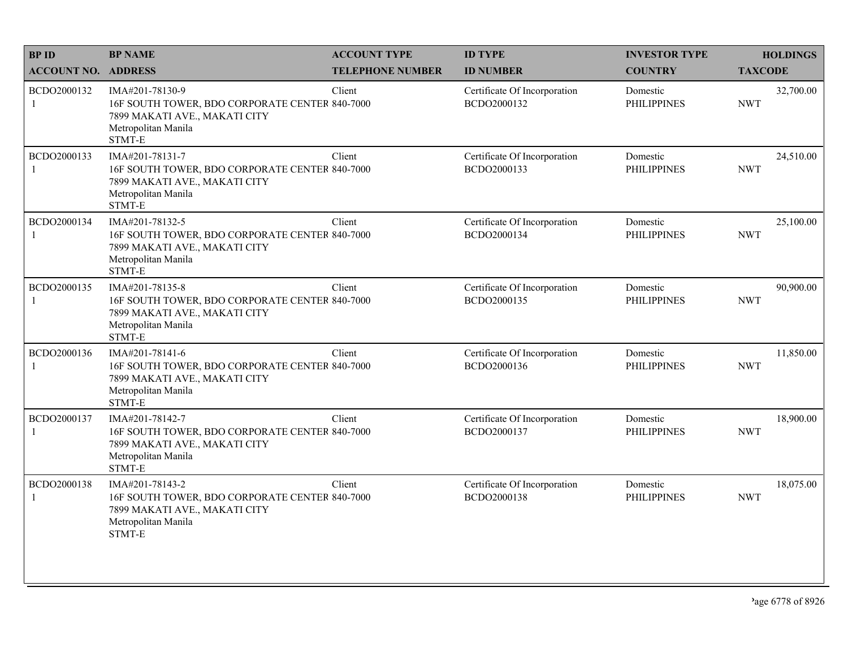| <b>BPID</b>                | <b>BP NAME</b>                                                                                                                      | <b>ACCOUNT TYPE</b>     | <b>ID TYPE</b>                              | <b>INVESTOR TYPE</b>           | <b>HOLDINGS</b>         |
|----------------------------|-------------------------------------------------------------------------------------------------------------------------------------|-------------------------|---------------------------------------------|--------------------------------|-------------------------|
| <b>ACCOUNT NO. ADDRESS</b> |                                                                                                                                     | <b>TELEPHONE NUMBER</b> | <b>ID NUMBER</b>                            | <b>COUNTRY</b>                 | <b>TAXCODE</b>          |
| BCDO2000132                | IMA#201-78130-9<br>16F SOUTH TOWER, BDO CORPORATE CENTER 840-7000<br>7899 MAKATI AVE., MAKATI CITY<br>Metropolitan Manila<br>STMT-E | Client                  | Certificate Of Incorporation<br>BCDO2000132 | Domestic<br><b>PHILIPPINES</b> | 32,700.00<br><b>NWT</b> |
| BCDO2000133                | IMA#201-78131-7<br>16F SOUTH TOWER, BDO CORPORATE CENTER 840-7000<br>7899 MAKATI AVE., MAKATI CITY<br>Metropolitan Manila<br>STMT-E | Client                  | Certificate Of Incorporation<br>BCDO2000133 | Domestic<br><b>PHILIPPINES</b> | 24,510.00<br><b>NWT</b> |
| BCDO2000134                | IMA#201-78132-5<br>16F SOUTH TOWER, BDO CORPORATE CENTER 840-7000<br>7899 MAKATI AVE., MAKATI CITY<br>Metropolitan Manila<br>STMT-E | Client                  | Certificate Of Incorporation<br>BCDO2000134 | Domestic<br><b>PHILIPPINES</b> | 25,100.00<br><b>NWT</b> |
| BCDO2000135                | IMA#201-78135-8<br>16F SOUTH TOWER, BDO CORPORATE CENTER 840-7000<br>7899 MAKATI AVE., MAKATI CITY<br>Metropolitan Manila<br>STMT-E | Client                  | Certificate Of Incorporation<br>BCDO2000135 | Domestic<br><b>PHILIPPINES</b> | 90,900.00<br><b>NWT</b> |
| BCDO2000136                | IMA#201-78141-6<br>16F SOUTH TOWER, BDO CORPORATE CENTER 840-7000<br>7899 MAKATI AVE., MAKATI CITY<br>Metropolitan Manila<br>STMT-E | Client                  | Certificate Of Incorporation<br>BCDO2000136 | Domestic<br><b>PHILIPPINES</b> | 11,850.00<br><b>NWT</b> |
| BCDO2000137<br>1           | IMA#201-78142-7<br>16F SOUTH TOWER, BDO CORPORATE CENTER 840-7000<br>7899 MAKATI AVE., MAKATI CITY<br>Metropolitan Manila<br>STMT-E | Client                  | Certificate Of Incorporation<br>BCDO2000137 | Domestic<br><b>PHILIPPINES</b> | 18,900.00<br><b>NWT</b> |
| BCDO2000138                | IMA#201-78143-2<br>16F SOUTH TOWER, BDO CORPORATE CENTER 840-7000<br>7899 MAKATI AVE., MAKATI CITY<br>Metropolitan Manila<br>STMT-E | Client                  | Certificate Of Incorporation<br>BCDO2000138 | Domestic<br><b>PHILIPPINES</b> | 18,075.00<br><b>NWT</b> |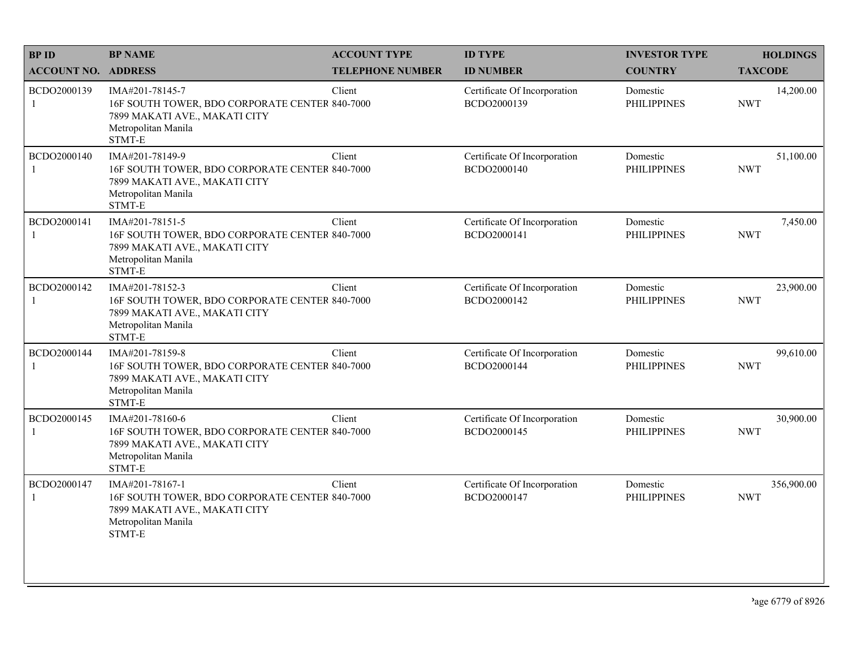| <b>BPID</b>                 | <b>BP NAME</b>                                                                                                                      | <b>ACCOUNT TYPE</b>     | <b>ID TYPE</b>                              | <b>INVESTOR TYPE</b>           | <b>HOLDINGS</b>          |
|-----------------------------|-------------------------------------------------------------------------------------------------------------------------------------|-------------------------|---------------------------------------------|--------------------------------|--------------------------|
| <b>ACCOUNT NO. ADDRESS</b>  |                                                                                                                                     | <b>TELEPHONE NUMBER</b> | <b>ID NUMBER</b>                            | <b>COUNTRY</b>                 | <b>TAXCODE</b>           |
| BCDO2000139<br>1            | IMA#201-78145-7<br>16F SOUTH TOWER, BDO CORPORATE CENTER 840-7000<br>7899 MAKATI AVE., MAKATI CITY<br>Metropolitan Manila<br>STMT-E | Client                  | Certificate Of Incorporation<br>BCDO2000139 | Domestic<br><b>PHILIPPINES</b> | 14,200.00<br><b>NWT</b>  |
| BCDO2000140                 | IMA#201-78149-9<br>16F SOUTH TOWER, BDO CORPORATE CENTER 840-7000<br>7899 MAKATI AVE., MAKATI CITY<br>Metropolitan Manila<br>STMT-E | Client                  | Certificate Of Incorporation<br>BCDO2000140 | Domestic<br><b>PHILIPPINES</b> | 51,100.00<br><b>NWT</b>  |
| BCDO2000141                 | IMA#201-78151-5<br>16F SOUTH TOWER, BDO CORPORATE CENTER 840-7000<br>7899 MAKATI AVE., MAKATI CITY<br>Metropolitan Manila<br>STMT-E | Client                  | Certificate Of Incorporation<br>BCDO2000141 | Domestic<br><b>PHILIPPINES</b> | 7,450.00<br><b>NWT</b>   |
| BCDO2000142                 | IMA#201-78152-3<br>16F SOUTH TOWER, BDO CORPORATE CENTER 840-7000<br>7899 MAKATI AVE., MAKATI CITY<br>Metropolitan Manila<br>STMT-E | Client                  | Certificate Of Incorporation<br>BCDO2000142 | Domestic<br><b>PHILIPPINES</b> | 23,900.00<br><b>NWT</b>  |
| BCDO2000144                 | IMA#201-78159-8<br>16F SOUTH TOWER, BDO CORPORATE CENTER 840-7000<br>7899 MAKATI AVE., MAKATI CITY<br>Metropolitan Manila<br>STMT-E | Client                  | Certificate Of Incorporation<br>BCDO2000144 | Domestic<br><b>PHILIPPINES</b> | 99,610.00<br><b>NWT</b>  |
| BCDO2000145<br>1            | IMA#201-78160-6<br>16F SOUTH TOWER, BDO CORPORATE CENTER 840-7000<br>7899 MAKATI AVE., MAKATI CITY<br>Metropolitan Manila<br>STMT-E | Client                  | Certificate Of Incorporation<br>BCDO2000145 | Domestic<br><b>PHILIPPINES</b> | 30,900.00<br><b>NWT</b>  |
| BCDO2000147<br>$\mathbf{1}$ | IMA#201-78167-1<br>16F SOUTH TOWER, BDO CORPORATE CENTER 840-7000<br>7899 MAKATI AVE., MAKATI CITY<br>Metropolitan Manila<br>STMT-E | Client                  | Certificate Of Incorporation<br>BCDO2000147 | Domestic<br><b>PHILIPPINES</b> | 356,900.00<br><b>NWT</b> |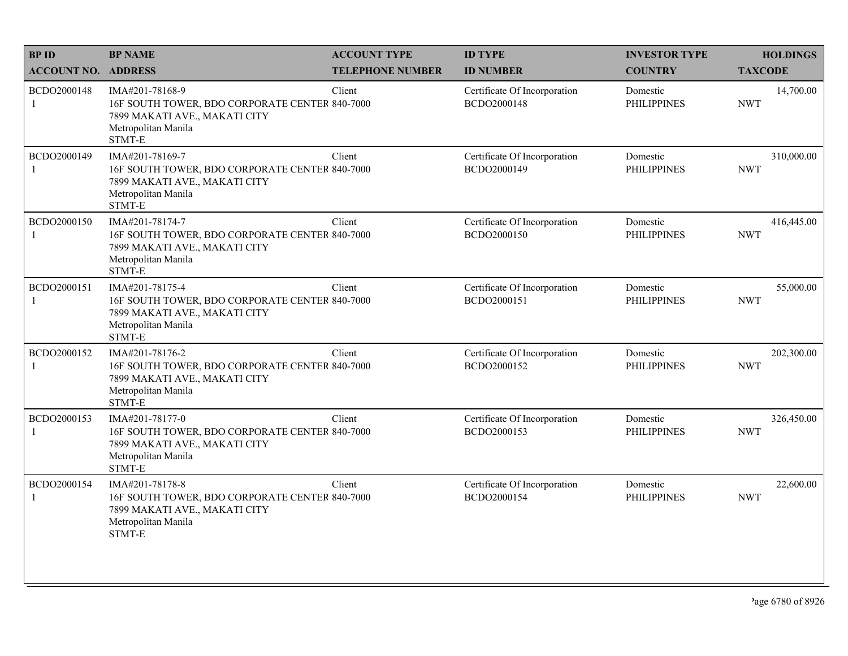| <b>BPID</b>                 | <b>BP NAME</b>                                                                                                                      | <b>ACCOUNT TYPE</b>     | <b>ID TYPE</b>                              | <b>INVESTOR TYPE</b>           | <b>HOLDINGS</b>          |
|-----------------------------|-------------------------------------------------------------------------------------------------------------------------------------|-------------------------|---------------------------------------------|--------------------------------|--------------------------|
| <b>ACCOUNT NO. ADDRESS</b>  |                                                                                                                                     | <b>TELEPHONE NUMBER</b> | <b>ID NUMBER</b>                            | <b>COUNTRY</b>                 | <b>TAXCODE</b>           |
| BCDO2000148<br>1            | IMA#201-78168-9<br>16F SOUTH TOWER, BDO CORPORATE CENTER 840-7000<br>7899 MAKATI AVE., MAKATI CITY<br>Metropolitan Manila<br>STMT-E | Client                  | Certificate Of Incorporation<br>BCDO2000148 | Domestic<br><b>PHILIPPINES</b> | 14,700.00<br><b>NWT</b>  |
| BCDO2000149                 | IMA#201-78169-7<br>16F SOUTH TOWER, BDO CORPORATE CENTER 840-7000<br>7899 MAKATI AVE., MAKATI CITY<br>Metropolitan Manila<br>STMT-E | Client                  | Certificate Of Incorporation<br>BCDO2000149 | Domestic<br><b>PHILIPPINES</b> | 310,000.00<br><b>NWT</b> |
| BCDO2000150                 | IMA#201-78174-7<br>16F SOUTH TOWER, BDO CORPORATE CENTER 840-7000<br>7899 MAKATI AVE., MAKATI CITY<br>Metropolitan Manila<br>STMT-E | Client                  | Certificate Of Incorporation<br>BCDO2000150 | Domestic<br><b>PHILIPPINES</b> | 416,445.00<br><b>NWT</b> |
| BCDO2000151                 | IMA#201-78175-4<br>16F SOUTH TOWER, BDO CORPORATE CENTER 840-7000<br>7899 MAKATI AVE., MAKATI CITY<br>Metropolitan Manila<br>STMT-E | Client                  | Certificate Of Incorporation<br>BCDO2000151 | Domestic<br><b>PHILIPPINES</b> | 55,000.00<br><b>NWT</b>  |
| BCDO2000152                 | IMA#201-78176-2<br>16F SOUTH TOWER, BDO CORPORATE CENTER 840-7000<br>7899 MAKATI AVE., MAKATI CITY<br>Metropolitan Manila<br>STMT-E | Client                  | Certificate Of Incorporation<br>BCDO2000152 | Domestic<br><b>PHILIPPINES</b> | 202,300.00<br><b>NWT</b> |
| BCDO2000153<br>-1           | IMA#201-78177-0<br>16F SOUTH TOWER, BDO CORPORATE CENTER 840-7000<br>7899 MAKATI AVE., MAKATI CITY<br>Metropolitan Manila<br>STMT-E | Client                  | Certificate Of Incorporation<br>BCDO2000153 | Domestic<br><b>PHILIPPINES</b> | 326,450.00<br><b>NWT</b> |
| BCDO2000154<br>$\mathbf{1}$ | IMA#201-78178-8<br>16F SOUTH TOWER, BDO CORPORATE CENTER 840-7000<br>7899 MAKATI AVE., MAKATI CITY<br>Metropolitan Manila<br>STMT-E | Client                  | Certificate Of Incorporation<br>BCDO2000154 | Domestic<br><b>PHILIPPINES</b> | 22,600.00<br><b>NWT</b>  |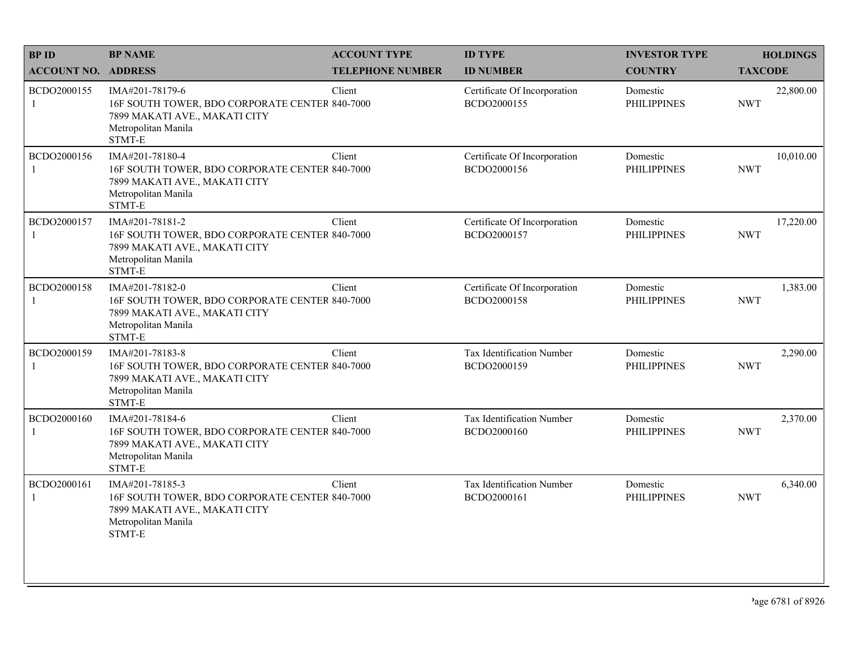| <b>BPID</b>                | <b>BP NAME</b>                                                                                                                      | <b>ACCOUNT TYPE</b>     | <b>ID TYPE</b>                              | <b>INVESTOR TYPE</b>           | <b>HOLDINGS</b>         |
|----------------------------|-------------------------------------------------------------------------------------------------------------------------------------|-------------------------|---------------------------------------------|--------------------------------|-------------------------|
| <b>ACCOUNT NO. ADDRESS</b> |                                                                                                                                     | <b>TELEPHONE NUMBER</b> | <b>ID NUMBER</b>                            | <b>COUNTRY</b>                 | <b>TAXCODE</b>          |
| BCDO2000155<br>1           | IMA#201-78179-6<br>16F SOUTH TOWER, BDO CORPORATE CENTER 840-7000<br>7899 MAKATI AVE., MAKATI CITY<br>Metropolitan Manila<br>STMT-E | Client                  | Certificate Of Incorporation<br>BCDO2000155 | Domestic<br><b>PHILIPPINES</b> | 22,800.00<br><b>NWT</b> |
| BCDO2000156                | IMA#201-78180-4<br>16F SOUTH TOWER, BDO CORPORATE CENTER 840-7000<br>7899 MAKATI AVE., MAKATI CITY<br>Metropolitan Manila<br>STMT-E | Client                  | Certificate Of Incorporation<br>BCDO2000156 | Domestic<br><b>PHILIPPINES</b> | 10,010.00<br><b>NWT</b> |
| BCDO2000157                | IMA#201-78181-2<br>16F SOUTH TOWER, BDO CORPORATE CENTER 840-7000<br>7899 MAKATI AVE., MAKATI CITY<br>Metropolitan Manila<br>STMT-E | Client                  | Certificate Of Incorporation<br>BCDO2000157 | Domestic<br><b>PHILIPPINES</b> | 17,220.00<br><b>NWT</b> |
| BCDO2000158                | IMA#201-78182-0<br>16F SOUTH TOWER, BDO CORPORATE CENTER 840-7000<br>7899 MAKATI AVE., MAKATI CITY<br>Metropolitan Manila<br>STMT-E | Client                  | Certificate Of Incorporation<br>BCDO2000158 | Domestic<br><b>PHILIPPINES</b> | 1,383.00<br><b>NWT</b>  |
| BCDO2000159                | IMA#201-78183-8<br>16F SOUTH TOWER, BDO CORPORATE CENTER 840-7000<br>7899 MAKATI AVE., MAKATI CITY<br>Metropolitan Manila<br>STMT-E | Client                  | Tax Identification Number<br>BCDO2000159    | Domestic<br><b>PHILIPPINES</b> | 2,290.00<br><b>NWT</b>  |
| BCDO2000160<br>1           | IMA#201-78184-6<br>16F SOUTH TOWER, BDO CORPORATE CENTER 840-7000<br>7899 MAKATI AVE., MAKATI CITY<br>Metropolitan Manila<br>STMT-E | Client                  | Tax Identification Number<br>BCDO2000160    | Domestic<br><b>PHILIPPINES</b> | 2,370.00<br><b>NWT</b>  |
| BCDO2000161<br>-1          | IMA#201-78185-3<br>16F SOUTH TOWER, BDO CORPORATE CENTER 840-7000<br>7899 MAKATI AVE., MAKATI CITY<br>Metropolitan Manila<br>STMT-E | Client                  | Tax Identification Number<br>BCDO2000161    | Domestic<br><b>PHILIPPINES</b> | 6,340.00<br><b>NWT</b>  |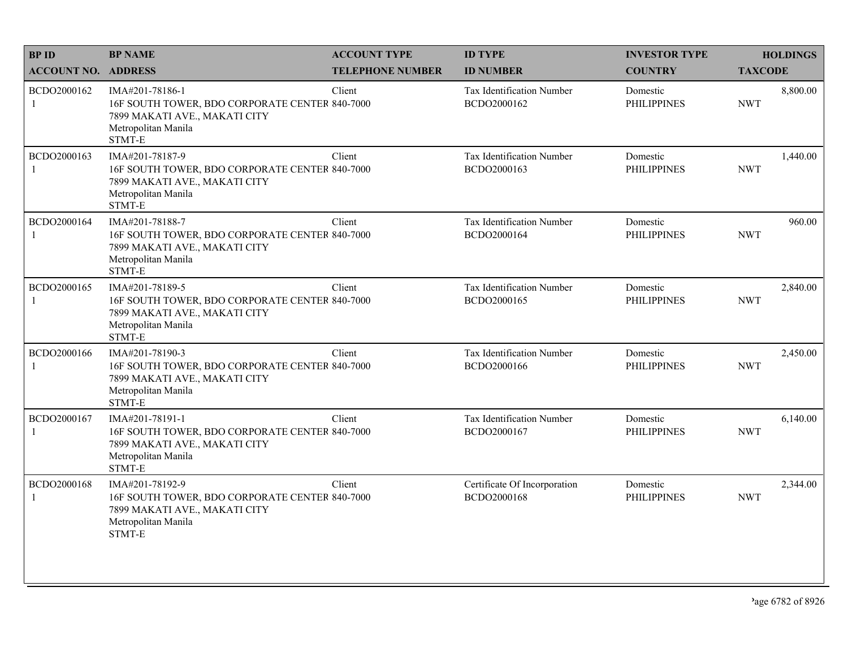| <b>BPID</b>                 | <b>BP NAME</b>                                                                                                                      | <b>ACCOUNT TYPE</b>     | <b>ID TYPE</b>                              | <b>INVESTOR TYPE</b>           | <b>HOLDINGS</b>        |
|-----------------------------|-------------------------------------------------------------------------------------------------------------------------------------|-------------------------|---------------------------------------------|--------------------------------|------------------------|
| <b>ACCOUNT NO. ADDRESS</b>  |                                                                                                                                     | <b>TELEPHONE NUMBER</b> | <b>ID NUMBER</b>                            | <b>COUNTRY</b>                 | <b>TAXCODE</b>         |
| BCDO2000162<br>1            | IMA#201-78186-1<br>16F SOUTH TOWER, BDO CORPORATE CENTER 840-7000<br>7899 MAKATI AVE., MAKATI CITY<br>Metropolitan Manila<br>STMT-E | Client                  | Tax Identification Number<br>BCDO2000162    | Domestic<br><b>PHILIPPINES</b> | 8,800.00<br><b>NWT</b> |
| BCDO2000163                 | IMA#201-78187-9<br>16F SOUTH TOWER, BDO CORPORATE CENTER 840-7000<br>7899 MAKATI AVE., MAKATI CITY<br>Metropolitan Manila<br>STMT-E | Client                  | Tax Identification Number<br>BCDO2000163    | Domestic<br><b>PHILIPPINES</b> | 1,440.00<br><b>NWT</b> |
| BCDO2000164                 | IMA#201-78188-7<br>16F SOUTH TOWER, BDO CORPORATE CENTER 840-7000<br>7899 MAKATI AVE., MAKATI CITY<br>Metropolitan Manila<br>STMT-E | Client                  | Tax Identification Number<br>BCDO2000164    | Domestic<br><b>PHILIPPINES</b> | 960.00<br><b>NWT</b>   |
| BCDO2000165                 | IMA#201-78189-5<br>16F SOUTH TOWER, BDO CORPORATE CENTER 840-7000<br>7899 MAKATI AVE., MAKATI CITY<br>Metropolitan Manila<br>STMT-E | Client                  | Tax Identification Number<br>BCDO2000165    | Domestic<br><b>PHILIPPINES</b> | 2,840.00<br><b>NWT</b> |
| BCDO2000166                 | IMA#201-78190-3<br>16F SOUTH TOWER, BDO CORPORATE CENTER 840-7000<br>7899 MAKATI AVE., MAKATI CITY<br>Metropolitan Manila<br>STMT-E | Client                  | Tax Identification Number<br>BCDO2000166    | Domestic<br><b>PHILIPPINES</b> | 2,450.00<br><b>NWT</b> |
| BCDO2000167<br>1            | IMA#201-78191-1<br>16F SOUTH TOWER, BDO CORPORATE CENTER 840-7000<br>7899 MAKATI AVE., MAKATI CITY<br>Metropolitan Manila<br>STMT-E | Client                  | Tax Identification Number<br>BCDO2000167    | Domestic<br><b>PHILIPPINES</b> | 6,140.00<br><b>NWT</b> |
| BCDO2000168<br>$\mathbf{1}$ | IMA#201-78192-9<br>16F SOUTH TOWER, BDO CORPORATE CENTER 840-7000<br>7899 MAKATI AVE., MAKATI CITY<br>Metropolitan Manila<br>STMT-E | Client                  | Certificate Of Incorporation<br>BCDO2000168 | Domestic<br><b>PHILIPPINES</b> | 2,344.00<br><b>NWT</b> |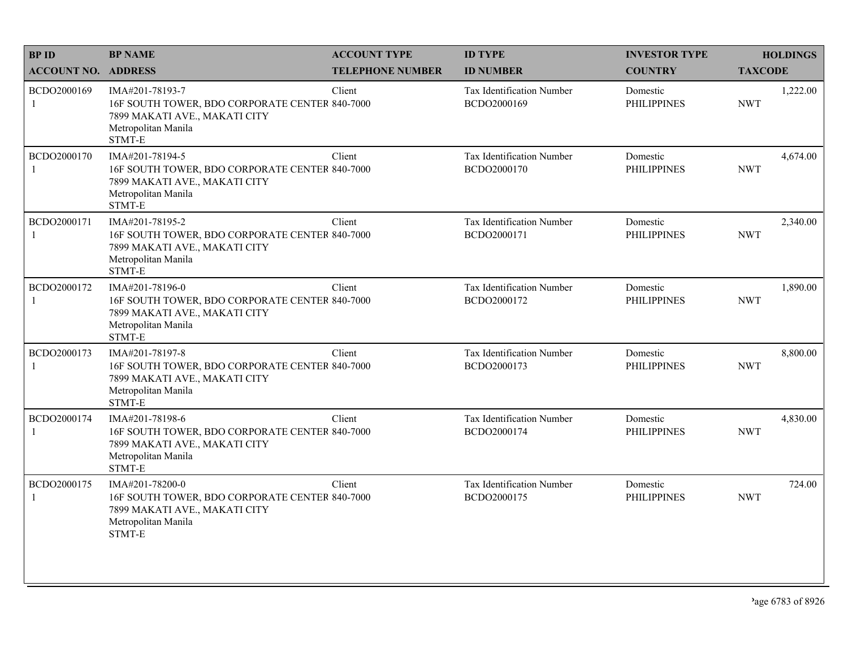| <b>BPID</b>                 | <b>BP NAME</b>                                                                                                                      | <b>ACCOUNT TYPE</b>     | <b>ID TYPE</b>                           | <b>INVESTOR TYPE</b>           | <b>HOLDINGS</b>        |
|-----------------------------|-------------------------------------------------------------------------------------------------------------------------------------|-------------------------|------------------------------------------|--------------------------------|------------------------|
| <b>ACCOUNT NO. ADDRESS</b>  |                                                                                                                                     | <b>TELEPHONE NUMBER</b> | <b>ID NUMBER</b>                         | <b>COUNTRY</b>                 | <b>TAXCODE</b>         |
| BCDO2000169<br>1            | IMA#201-78193-7<br>16F SOUTH TOWER, BDO CORPORATE CENTER 840-7000<br>7899 MAKATI AVE., MAKATI CITY<br>Metropolitan Manila<br>STMT-E | Client                  | Tax Identification Number<br>BCDO2000169 | Domestic<br><b>PHILIPPINES</b> | 1,222.00<br><b>NWT</b> |
| BCDO2000170                 | IMA#201-78194-5<br>16F SOUTH TOWER, BDO CORPORATE CENTER 840-7000<br>7899 MAKATI AVE., MAKATI CITY<br>Metropolitan Manila<br>STMT-E | Client                  | Tax Identification Number<br>BCDO2000170 | Domestic<br><b>PHILIPPINES</b> | 4,674.00<br><b>NWT</b> |
| BCDO2000171                 | IMA#201-78195-2<br>16F SOUTH TOWER, BDO CORPORATE CENTER 840-7000<br>7899 MAKATI AVE., MAKATI CITY<br>Metropolitan Manila<br>STMT-E | Client                  | Tax Identification Number<br>BCDO2000171 | Domestic<br><b>PHILIPPINES</b> | 2,340.00<br><b>NWT</b> |
| BCDO2000172<br>-1           | IMA#201-78196-0<br>16F SOUTH TOWER, BDO CORPORATE CENTER 840-7000<br>7899 MAKATI AVE., MAKATI CITY<br>Metropolitan Manila<br>STMT-E | Client                  | Tax Identification Number<br>BCDO2000172 | Domestic<br><b>PHILIPPINES</b> | 1,890.00<br><b>NWT</b> |
| BCDO2000173                 | IMA#201-78197-8<br>16F SOUTH TOWER, BDO CORPORATE CENTER 840-7000<br>7899 MAKATI AVE., MAKATI CITY<br>Metropolitan Manila<br>STMT-E | Client                  | Tax Identification Number<br>BCDO2000173 | Domestic<br><b>PHILIPPINES</b> | 8,800.00<br><b>NWT</b> |
| BCDO2000174<br>1            | IMA#201-78198-6<br>16F SOUTH TOWER, BDO CORPORATE CENTER 840-7000<br>7899 MAKATI AVE., MAKATI CITY<br>Metropolitan Manila<br>STMT-E | Client                  | Tax Identification Number<br>BCDO2000174 | Domestic<br><b>PHILIPPINES</b> | 4,830.00<br><b>NWT</b> |
| BCDO2000175<br>$\mathbf{1}$ | IMA#201-78200-0<br>16F SOUTH TOWER, BDO CORPORATE CENTER 840-7000<br>7899 MAKATI AVE., MAKATI CITY<br>Metropolitan Manila<br>STMT-E | Client                  | Tax Identification Number<br>BCDO2000175 | Domestic<br><b>PHILIPPINES</b> | 724.00<br><b>NWT</b>   |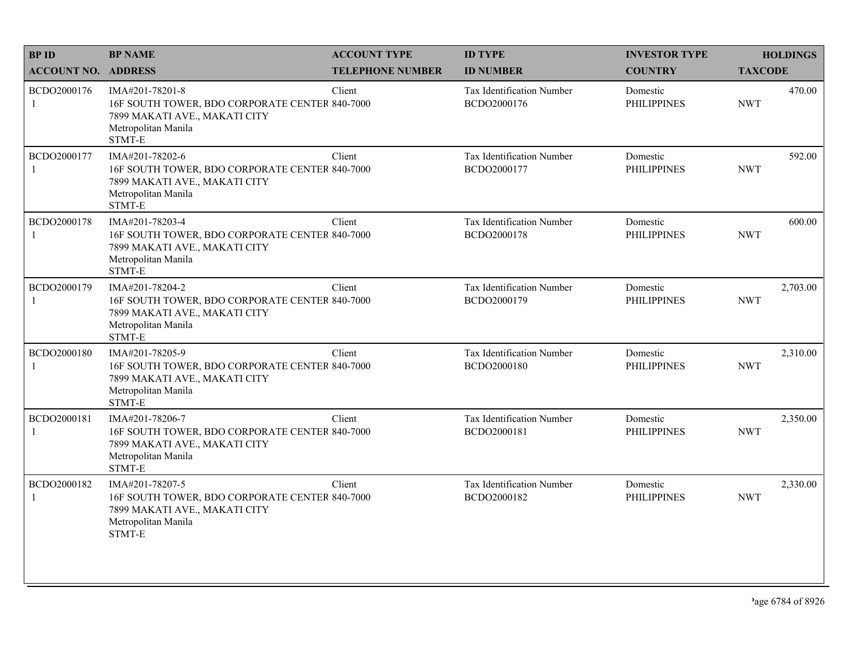| <b>BPID</b>                 | <b>BP NAME</b>                                                                                                                      | <b>ACCOUNT TYPE</b>     | <b>ID TYPE</b>                           | <b>INVESTOR TYPE</b>           | <b>HOLDINGS</b>        |
|-----------------------------|-------------------------------------------------------------------------------------------------------------------------------------|-------------------------|------------------------------------------|--------------------------------|------------------------|
| <b>ACCOUNT NO. ADDRESS</b>  |                                                                                                                                     | <b>TELEPHONE NUMBER</b> | <b>ID NUMBER</b>                         | <b>COUNTRY</b>                 | <b>TAXCODE</b>         |
| BCDO2000176<br>1            | IMA#201-78201-8<br>16F SOUTH TOWER, BDO CORPORATE CENTER 840-7000<br>7899 MAKATI AVE., MAKATI CITY<br>Metropolitan Manila<br>STMT-E | Client                  | Tax Identification Number<br>BCDO2000176 | Domestic<br><b>PHILIPPINES</b> | 470.00<br><b>NWT</b>   |
| BCDO2000177                 | IMA#201-78202-6<br>16F SOUTH TOWER, BDO CORPORATE CENTER 840-7000<br>7899 MAKATI AVE., MAKATI CITY<br>Metropolitan Manila<br>STMT-E | Client                  | Tax Identification Number<br>BCDO2000177 | Domestic<br><b>PHILIPPINES</b> | 592.00<br><b>NWT</b>   |
| BCDO2000178                 | IMA#201-78203-4<br>16F SOUTH TOWER, BDO CORPORATE CENTER 840-7000<br>7899 MAKATI AVE., MAKATI CITY<br>Metropolitan Manila<br>STMT-E | Client                  | Tax Identification Number<br>BCDO2000178 | Domestic<br><b>PHILIPPINES</b> | 600.00<br><b>NWT</b>   |
| BCDO2000179<br>-1           | IMA#201-78204-2<br>16F SOUTH TOWER, BDO CORPORATE CENTER 840-7000<br>7899 MAKATI AVE., MAKATI CITY<br>Metropolitan Manila<br>STMT-E | Client                  | Tax Identification Number<br>BCDO2000179 | Domestic<br><b>PHILIPPINES</b> | 2,703.00<br><b>NWT</b> |
| BCDO2000180                 | IMA#201-78205-9<br>16F SOUTH TOWER, BDO CORPORATE CENTER 840-7000<br>7899 MAKATI AVE., MAKATI CITY<br>Metropolitan Manila<br>STMT-E | Client                  | Tax Identification Number<br>BCDO2000180 | Domestic<br><b>PHILIPPINES</b> | 2,310.00<br><b>NWT</b> |
| BCDO2000181<br>1            | IMA#201-78206-7<br>16F SOUTH TOWER, BDO CORPORATE CENTER 840-7000<br>7899 MAKATI AVE., MAKATI CITY<br>Metropolitan Manila<br>STMT-E | Client                  | Tax Identification Number<br>BCDO2000181 | Domestic<br><b>PHILIPPINES</b> | 2,350.00<br><b>NWT</b> |
| BCDO2000182<br>$\mathbf{1}$ | IMA#201-78207-5<br>16F SOUTH TOWER, BDO CORPORATE CENTER 840-7000<br>7899 MAKATI AVE., MAKATI CITY<br>Metropolitan Manila<br>STMT-E | Client                  | Tax Identification Number<br>BCDO2000182 | Domestic<br><b>PHILIPPINES</b> | 2,330.00<br><b>NWT</b> |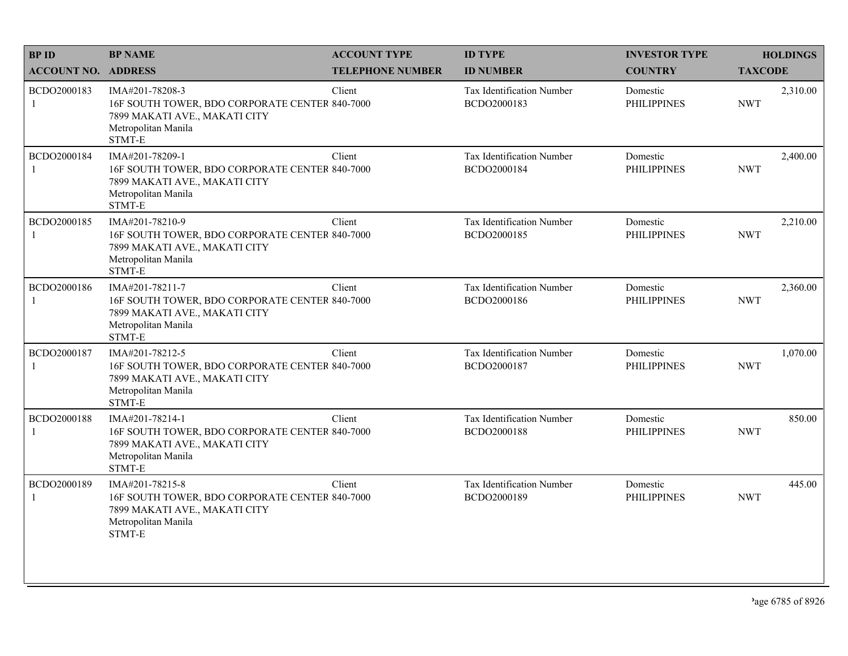| <b>BPID</b>                 | <b>BP NAME</b>                                                                                                                      | <b>ACCOUNT TYPE</b>     | <b>ID TYPE</b>                           | <b>INVESTOR TYPE</b>           | <b>HOLDINGS</b>        |
|-----------------------------|-------------------------------------------------------------------------------------------------------------------------------------|-------------------------|------------------------------------------|--------------------------------|------------------------|
| <b>ACCOUNT NO. ADDRESS</b>  |                                                                                                                                     | <b>TELEPHONE NUMBER</b> | <b>ID NUMBER</b>                         | <b>COUNTRY</b>                 | <b>TAXCODE</b>         |
| BCDO2000183<br>1            | IMA#201-78208-3<br>16F SOUTH TOWER, BDO CORPORATE CENTER 840-7000<br>7899 MAKATI AVE., MAKATI CITY<br>Metropolitan Manila<br>STMT-E | Client                  | Tax Identification Number<br>BCDO2000183 | Domestic<br><b>PHILIPPINES</b> | 2,310.00<br><b>NWT</b> |
| BCDO2000184                 | IMA#201-78209-1<br>16F SOUTH TOWER, BDO CORPORATE CENTER 840-7000<br>7899 MAKATI AVE., MAKATI CITY<br>Metropolitan Manila<br>STMT-E | Client                  | Tax Identification Number<br>BCDO2000184 | Domestic<br><b>PHILIPPINES</b> | 2,400.00<br><b>NWT</b> |
| BCDO2000185                 | IMA#201-78210-9<br>16F SOUTH TOWER, BDO CORPORATE CENTER 840-7000<br>7899 MAKATI AVE., MAKATI CITY<br>Metropolitan Manila<br>STMT-E | Client                  | Tax Identification Number<br>BCDO2000185 | Domestic<br><b>PHILIPPINES</b> | 2,210.00<br><b>NWT</b> |
| BCDO2000186                 | IMA#201-78211-7<br>16F SOUTH TOWER, BDO CORPORATE CENTER 840-7000<br>7899 MAKATI AVE., MAKATI CITY<br>Metropolitan Manila<br>STMT-E | Client                  | Tax Identification Number<br>BCDO2000186 | Domestic<br><b>PHILIPPINES</b> | 2,360.00<br><b>NWT</b> |
| BCDO2000187                 | IMA#201-78212-5<br>16F SOUTH TOWER, BDO CORPORATE CENTER 840-7000<br>7899 MAKATI AVE., MAKATI CITY<br>Metropolitan Manila<br>STMT-E | Client                  | Tax Identification Number<br>BCDO2000187 | Domestic<br><b>PHILIPPINES</b> | 1,070.00<br><b>NWT</b> |
| BCDO2000188<br>1            | IMA#201-78214-1<br>16F SOUTH TOWER, BDO CORPORATE CENTER 840-7000<br>7899 MAKATI AVE., MAKATI CITY<br>Metropolitan Manila<br>STMT-E | Client                  | Tax Identification Number<br>BCDO2000188 | Domestic<br><b>PHILIPPINES</b> | 850.00<br><b>NWT</b>   |
| BCDO2000189<br>$\mathbf{1}$ | IMA#201-78215-8<br>16F SOUTH TOWER, BDO CORPORATE CENTER 840-7000<br>7899 MAKATI AVE., MAKATI CITY<br>Metropolitan Manila<br>STMT-E | Client                  | Tax Identification Number<br>BCDO2000189 | Domestic<br><b>PHILIPPINES</b> | 445.00<br><b>NWT</b>   |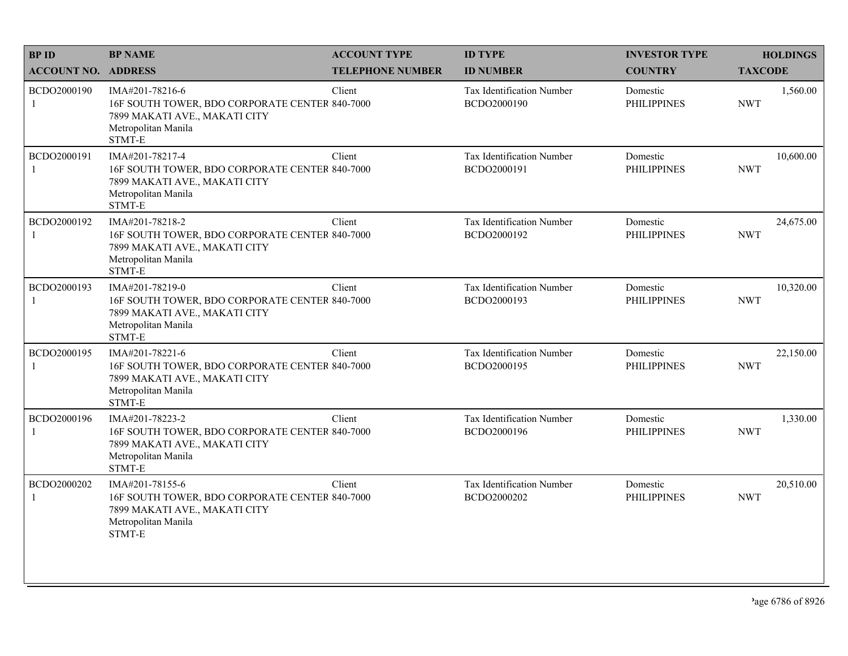| <b>BPID</b>                 | <b>BP NAME</b>                                                                                                                      | <b>ACCOUNT TYPE</b>     | <b>ID TYPE</b>                           | <b>INVESTOR TYPE</b>           | <b>HOLDINGS</b>         |
|-----------------------------|-------------------------------------------------------------------------------------------------------------------------------------|-------------------------|------------------------------------------|--------------------------------|-------------------------|
| <b>ACCOUNT NO. ADDRESS</b>  |                                                                                                                                     | <b>TELEPHONE NUMBER</b> | <b>ID NUMBER</b>                         | <b>COUNTRY</b>                 | <b>TAXCODE</b>          |
| BCDO2000190<br>1            | IMA#201-78216-6<br>16F SOUTH TOWER, BDO CORPORATE CENTER 840-7000<br>7899 MAKATI AVE., MAKATI CITY<br>Metropolitan Manila<br>STMT-E | Client                  | Tax Identification Number<br>BCDO2000190 | Domestic<br><b>PHILIPPINES</b> | 1,560.00<br><b>NWT</b>  |
| BCDO2000191                 | IMA#201-78217-4<br>16F SOUTH TOWER, BDO CORPORATE CENTER 840-7000<br>7899 MAKATI AVE., MAKATI CITY<br>Metropolitan Manila<br>STMT-E | Client                  | Tax Identification Number<br>BCDO2000191 | Domestic<br><b>PHILIPPINES</b> | 10,600.00<br><b>NWT</b> |
| BCDO2000192<br>-1           | IMA#201-78218-2<br>16F SOUTH TOWER, BDO CORPORATE CENTER 840-7000<br>7899 MAKATI AVE., MAKATI CITY<br>Metropolitan Manila<br>STMT-E | Client                  | Tax Identification Number<br>BCDO2000192 | Domestic<br><b>PHILIPPINES</b> | 24,675.00<br><b>NWT</b> |
| BCDO2000193                 | IMA#201-78219-0<br>16F SOUTH TOWER, BDO CORPORATE CENTER 840-7000<br>7899 MAKATI AVE., MAKATI CITY<br>Metropolitan Manila<br>STMT-E | Client                  | Tax Identification Number<br>BCDO2000193 | Domestic<br><b>PHILIPPINES</b> | 10,320.00<br><b>NWT</b> |
| BCDO2000195                 | IMA#201-78221-6<br>16F SOUTH TOWER, BDO CORPORATE CENTER 840-7000<br>7899 MAKATI AVE., MAKATI CITY<br>Metropolitan Manila<br>STMT-E | Client                  | Tax Identification Number<br>BCDO2000195 | Domestic<br><b>PHILIPPINES</b> | 22,150.00<br><b>NWT</b> |
| BCDO2000196<br>-1           | IMA#201-78223-2<br>16F SOUTH TOWER, BDO CORPORATE CENTER 840-7000<br>7899 MAKATI AVE., MAKATI CITY<br>Metropolitan Manila<br>STMT-E | Client                  | Tax Identification Number<br>BCDO2000196 | Domestic<br><b>PHILIPPINES</b> | 1,330.00<br><b>NWT</b>  |
| BCDO2000202<br>$\mathbf{1}$ | IMA#201-78155-6<br>16F SOUTH TOWER, BDO CORPORATE CENTER 840-7000<br>7899 MAKATI AVE., MAKATI CITY<br>Metropolitan Manila<br>STMT-E | Client                  | Tax Identification Number<br>BCDO2000202 | Domestic<br><b>PHILIPPINES</b> | 20,510.00<br><b>NWT</b> |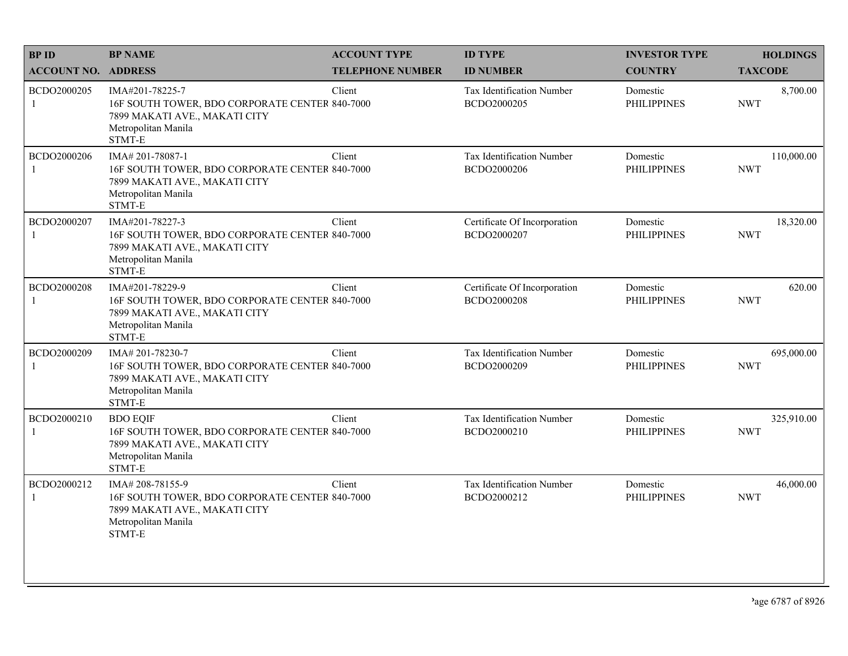| <b>BPID</b>                 | <b>BP NAME</b>                                                                                                                       | <b>ACCOUNT TYPE</b>     | <b>ID TYPE</b>                                  | <b>INVESTOR TYPE</b>           | <b>HOLDINGS</b>          |
|-----------------------------|--------------------------------------------------------------------------------------------------------------------------------------|-------------------------|-------------------------------------------------|--------------------------------|--------------------------|
| <b>ACCOUNT NO. ADDRESS</b>  |                                                                                                                                      | <b>TELEPHONE NUMBER</b> | <b>ID NUMBER</b>                                | <b>COUNTRY</b>                 | <b>TAXCODE</b>           |
| BCDO2000205                 | IMA#201-78225-7<br>16F SOUTH TOWER, BDO CORPORATE CENTER 840-7000<br>7899 MAKATI AVE., MAKATI CITY<br>Metropolitan Manila<br>STMT-E  | Client                  | <b>Tax Identification Number</b><br>BCDO2000205 | Domestic<br><b>PHILIPPINES</b> | 8,700.00<br><b>NWT</b>   |
| BCDO2000206                 | IMA# 201-78087-1<br>16F SOUTH TOWER, BDO CORPORATE CENTER 840-7000<br>7899 MAKATI AVE., MAKATI CITY<br>Metropolitan Manila<br>STMT-E | Client                  | Tax Identification Number<br>BCDO2000206        | Domestic<br><b>PHILIPPINES</b> | 110,000.00<br><b>NWT</b> |
| BCDO2000207                 | IMA#201-78227-3<br>16F SOUTH TOWER, BDO CORPORATE CENTER 840-7000<br>7899 MAKATI AVE., MAKATI CITY<br>Metropolitan Manila<br>STMT-E  | Client                  | Certificate Of Incorporation<br>BCDO2000207     | Domestic<br><b>PHILIPPINES</b> | 18,320.00<br><b>NWT</b>  |
| BCDO2000208                 | IMA#201-78229-9<br>16F SOUTH TOWER, BDO CORPORATE CENTER 840-7000<br>7899 MAKATI AVE., MAKATI CITY<br>Metropolitan Manila<br>STMT-E  | Client                  | Certificate Of Incorporation<br>BCDO2000208     | Domestic<br><b>PHILIPPINES</b> | 620.00<br><b>NWT</b>     |
| BCDO2000209                 | IMA#201-78230-7<br>16F SOUTH TOWER, BDO CORPORATE CENTER 840-7000<br>7899 MAKATI AVE., MAKATI CITY<br>Metropolitan Manila<br>STMT-E  | Client                  | Tax Identification Number<br>BCDO2000209        | Domestic<br><b>PHILIPPINES</b> | 695,000.00<br><b>NWT</b> |
| BCDO2000210<br>-1           | <b>BDO EQIF</b><br>16F SOUTH TOWER, BDO CORPORATE CENTER 840-7000<br>7899 MAKATI AVE., MAKATI CITY<br>Metropolitan Manila<br>STMT-E  | Client                  | Tax Identification Number<br>BCDO2000210        | Domestic<br><b>PHILIPPINES</b> | 325,910.00<br><b>NWT</b> |
| BCDO2000212<br>$\mathbf{1}$ | IMA# 208-78155-9<br>16F SOUTH TOWER, BDO CORPORATE CENTER 840-7000<br>7899 MAKATI AVE., MAKATI CITY<br>Metropolitan Manila<br>STMT-E | Client                  | Tax Identification Number<br>BCDO2000212        | Domestic<br><b>PHILIPPINES</b> | 46,000.00<br><b>NWT</b>  |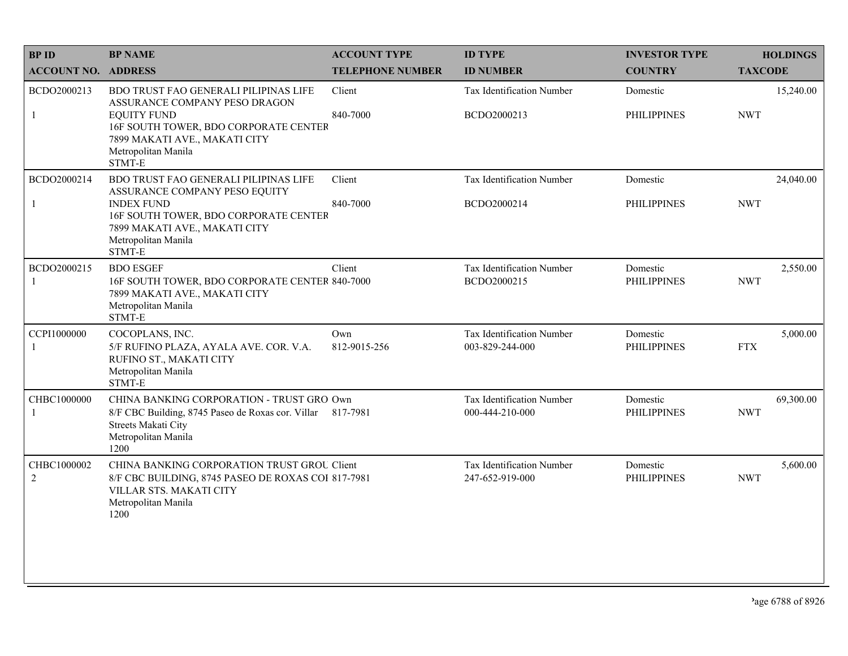| <b>BPID</b>                   | <b>BP NAME</b>                                                                                                                                                                                          | <b>ACCOUNT TYPE</b>     | <b>ID TYPE</b>                               | <b>INVESTOR TYPE</b>           | <b>HOLDINGS</b>         |
|-------------------------------|---------------------------------------------------------------------------------------------------------------------------------------------------------------------------------------------------------|-------------------------|----------------------------------------------|--------------------------------|-------------------------|
| <b>ACCOUNT NO. ADDRESS</b>    |                                                                                                                                                                                                         | <b>TELEPHONE NUMBER</b> | <b>ID NUMBER</b>                             | <b>COUNTRY</b>                 | <b>TAXCODE</b>          |
| BCDO2000213<br>$\mathbf{1}$   | BDO TRUST FAO GENERALI PILIPINAS LIFE<br>ASSURANCE COMPANY PESO DRAGON<br><b>EQUITY FUND</b><br>16F SOUTH TOWER, BDO CORPORATE CENTER<br>7899 MAKATI AVE., MAKATI CITY<br>Metropolitan Manila<br>STMT-E | Client<br>840-7000      | Tax Identification Number<br>BCDO2000213     | Domestic<br><b>PHILIPPINES</b> | 15,240.00<br><b>NWT</b> |
| BCDO2000214<br>$\mathbf{1}$   | BDO TRUST FAO GENERALI PILIPINAS LIFE<br>ASSURANCE COMPANY PESO EQUITY<br><b>INDEX FUND</b><br>16F SOUTH TOWER, BDO CORPORATE CENTER<br>7899 MAKATI AVE., MAKATI CITY<br>Metropolitan Manila<br>STMT-E  | Client<br>840-7000      | Tax Identification Number<br>BCDO2000214     | Domestic<br><b>PHILIPPINES</b> | 24,040.00<br><b>NWT</b> |
| BCDO2000215<br>1              | <b>BDO ESGEF</b><br>16F SOUTH TOWER, BDO CORPORATE CENTER 840-7000<br>7899 MAKATI AVE., MAKATI CITY<br>Metropolitan Manila<br>STMT-E                                                                    | Client                  | Tax Identification Number<br>BCDO2000215     | Domestic<br><b>PHILIPPINES</b> | 2,550.00<br><b>NWT</b>  |
| CCPI1000000<br>$\mathbf{1}$   | COCOPLANS, INC.<br>5/F RUFINO PLAZA, AYALA AVE. COR. V.A.<br>RUFINO ST., MAKATI CITY<br>Metropolitan Manila<br>STMT-E                                                                                   | Own<br>812-9015-256     | Tax Identification Number<br>003-829-244-000 | Domestic<br><b>PHILIPPINES</b> | 5,000.00<br><b>FTX</b>  |
| CHBC1000000<br>$\mathbf{1}$   | CHINA BANKING CORPORATION - TRUST GRO Own<br>8/F CBC Building, 8745 Paseo de Roxas cor. Villar 817-7981<br>Streets Makati City<br>Metropolitan Manila<br>1200                                           |                         | Tax Identification Number<br>000-444-210-000 | Domestic<br><b>PHILIPPINES</b> | 69,300.00<br><b>NWT</b> |
| CHBC1000002<br>$\overline{2}$ | CHINA BANKING CORPORATION TRUST GROU Client<br>8/F CBC BUILDING, 8745 PASEO DE ROXAS COI 817-7981<br>VILLAR STS. MAKATI CITY<br>Metropolitan Manila<br>1200                                             |                         | Tax Identification Number<br>247-652-919-000 | Domestic<br><b>PHILIPPINES</b> | 5,600.00<br><b>NWT</b>  |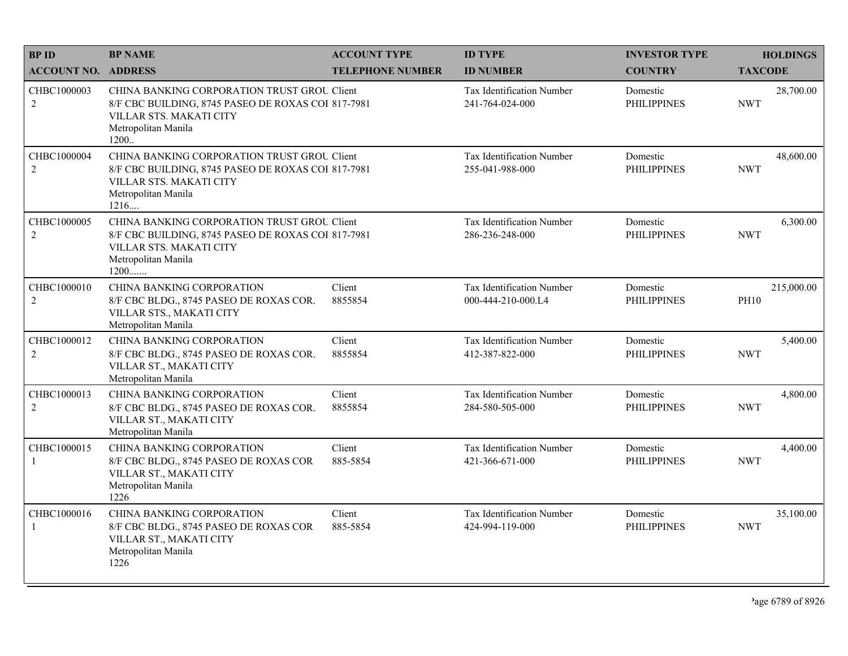| <b>BPID</b>                   | <b>BP NAME</b>                                                                                                                                                      | <b>ACCOUNT TYPE</b>     | <b>ID TYPE</b>                                         | <b>INVESTOR TYPE</b>           | <b>HOLDINGS</b>           |
|-------------------------------|---------------------------------------------------------------------------------------------------------------------------------------------------------------------|-------------------------|--------------------------------------------------------|--------------------------------|---------------------------|
| <b>ACCOUNT NO. ADDRESS</b>    |                                                                                                                                                                     | <b>TELEPHONE NUMBER</b> | <b>ID NUMBER</b>                                       | <b>COUNTRY</b>                 | <b>TAXCODE</b>            |
| CHBC1000003<br>$\overline{2}$ | <b>CHINA BANKING CORPORATION TRUST GROU Client</b><br>8/F CBC BUILDING, 8745 PASEO DE ROXAS COI 817-7981<br>VILLAR STS. MAKATI CITY<br>Metropolitan Manila<br>1200. |                         | <b>Tax Identification Number</b><br>241-764-024-000    | Domestic<br><b>PHILIPPINES</b> | 28,700.00<br><b>NWT</b>   |
| CHBC1000004<br>2              | CHINA BANKING CORPORATION TRUST GROU Client<br>8/F CBC BUILDING, 8745 PASEO DE ROXAS COI 817-7981<br>VILLAR STS. MAKATI CITY<br>Metropolitan Manila<br>1216         |                         | Tax Identification Number<br>255-041-988-000           | Domestic<br><b>PHILIPPINES</b> | 48,600.00<br><b>NWT</b>   |
| CHBC1000005<br>$\sqrt{2}$     | CHINA BANKING CORPORATION TRUST GROU Client<br>8/F CBC BUILDING, 8745 PASEO DE ROXAS COI 817-7981<br>VILLAR STS. MAKATI CITY<br>Metropolitan Manila<br>1200         |                         | <b>Tax Identification Number</b><br>286-236-248-000    | Domestic<br><b>PHILIPPINES</b> | 6,300.00<br><b>NWT</b>    |
| CHBC1000010<br>$\sqrt{2}$     | CHINA BANKING CORPORATION<br>8/F CBC BLDG., 8745 PASEO DE ROXAS COR.<br>VILLAR STS., MAKATI CITY<br>Metropolitan Manila                                             | Client<br>8855854       | <b>Tax Identification Number</b><br>000-444-210-000.L4 | Domestic<br><b>PHILIPPINES</b> | 215,000.00<br><b>PH10</b> |
| CHBC1000012<br>2              | CHINA BANKING CORPORATION<br>8/F CBC BLDG., 8745 PASEO DE ROXAS COR.<br>VILLAR ST., MAKATI CITY<br>Metropolitan Manila                                              | Client<br>8855854       | Tax Identification Number<br>412-387-822-000           | Domestic<br><b>PHILIPPINES</b> | 5,400.00<br><b>NWT</b>    |
| CHBC1000013<br>2              | CHINA BANKING CORPORATION<br>8/F CBC BLDG., 8745 PASEO DE ROXAS COR.<br>VILLAR ST., MAKATI CITY<br>Metropolitan Manila                                              | Client<br>8855854       | Tax Identification Number<br>284-580-505-000           | Domestic<br><b>PHILIPPINES</b> | 4,800.00<br><b>NWT</b>    |
| CHBC1000015<br>-1             | CHINA BANKING CORPORATION<br>8/F CBC BLDG., 8745 PASEO DE ROXAS COR<br>VILLAR ST., MAKATI CITY<br>Metropolitan Manila<br>1226                                       | Client<br>885-5854      | Tax Identification Number<br>421-366-671-000           | Domestic<br><b>PHILIPPINES</b> | 4,400.00<br><b>NWT</b>    |
| CHBC1000016<br>$\overline{1}$ | CHINA BANKING CORPORATION<br>8/F CBC BLDG., 8745 PASEO DE ROXAS COR<br>VILLAR ST., MAKATI CITY<br>Metropolitan Manila<br>1226                                       | Client<br>885-5854      | <b>Tax Identification Number</b><br>424-994-119-000    | Domestic<br><b>PHILIPPINES</b> | 35,100.00<br><b>NWT</b>   |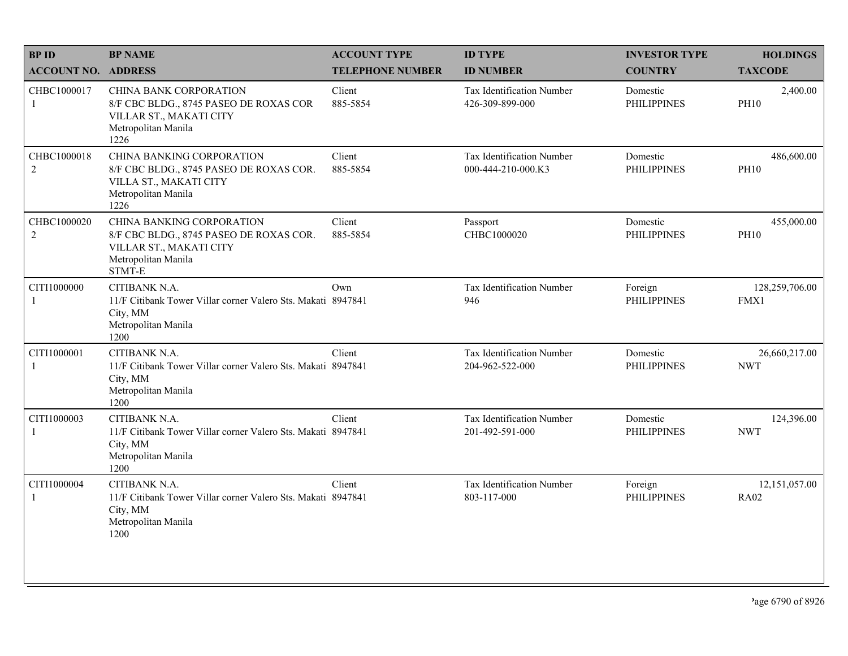| <b>BPID</b>                   | <b>BP NAME</b>                                                                                                                          | <b>ACCOUNT TYPE</b>     | <b>ID TYPE</b>                                  | <b>INVESTOR TYPE</b>           | <b>HOLDINGS</b>              |
|-------------------------------|-----------------------------------------------------------------------------------------------------------------------------------------|-------------------------|-------------------------------------------------|--------------------------------|------------------------------|
| <b>ACCOUNT NO. ADDRESS</b>    |                                                                                                                                         | <b>TELEPHONE NUMBER</b> | <b>ID NUMBER</b>                                | <b>COUNTRY</b>                 | <b>TAXCODE</b>               |
| CHBC1000017<br>1              | CHINA BANK CORPORATION<br>8/F CBC BLDG., 8745 PASEO DE ROXAS COR<br>VILLAR ST., MAKATI CITY<br>Metropolitan Manila<br>1226              | Client<br>885-5854      | Tax Identification Number<br>426-309-899-000    | Domestic<br><b>PHILIPPINES</b> | 2,400.00<br><b>PH10</b>      |
| CHBC1000018<br>$\overline{2}$ | <b>CHINA BANKING CORPORATION</b><br>8/F CBC BLDG., 8745 PASEO DE ROXAS COR.<br>VILLA ST., MAKATI CITY<br>Metropolitan Manila<br>1226    | Client<br>885-5854      | Tax Identification Number<br>000-444-210-000.K3 | Domestic<br><b>PHILIPPINES</b> | 486,600.00<br><b>PH10</b>    |
| CHBC1000020<br>$\overline{2}$ | <b>CHINA BANKING CORPORATION</b><br>8/F CBC BLDG., 8745 PASEO DE ROXAS COR.<br>VILLAR ST., MAKATI CITY<br>Metropolitan Manila<br>STMT-E | Client<br>885-5854      | Passport<br>CHBC1000020                         | Domestic<br><b>PHILIPPINES</b> | 455,000.00<br><b>PH10</b>    |
| CITI1000000                   | CITIBANK N.A.<br>11/F Citibank Tower Villar corner Valero Sts. Makati 8947841<br>City, MM<br>Metropolitan Manila<br>1200                | Own                     | Tax Identification Number<br>946                | Foreign<br><b>PHILIPPINES</b>  | 128,259,706.00<br>FMX1       |
| CITI1000001                   | CITIBANK N.A.<br>11/F Citibank Tower Villar corner Valero Sts. Makati 8947841<br>City, MM<br>Metropolitan Manila<br>1200                | Client                  | Tax Identification Number<br>204-962-522-000    | Domestic<br><b>PHILIPPINES</b> | 26,660,217.00<br><b>NWT</b>  |
| CITI1000003                   | CITIBANK N.A.<br>11/F Citibank Tower Villar corner Valero Sts. Makati 8947841<br>City, MM<br>Metropolitan Manila<br>1200                | Client                  | Tax Identification Number<br>201-492-591-000    | Domestic<br><b>PHILIPPINES</b> | 124,396.00<br><b>NWT</b>     |
| CITI1000004<br>-1             | CITIBANK N.A.<br>11/F Citibank Tower Villar corner Valero Sts. Makati 8947841<br>City, MM<br>Metropolitan Manila<br>1200                | Client                  | Tax Identification Number<br>803-117-000        | Foreign<br><b>PHILIPPINES</b>  | 12,151,057.00<br><b>RA02</b> |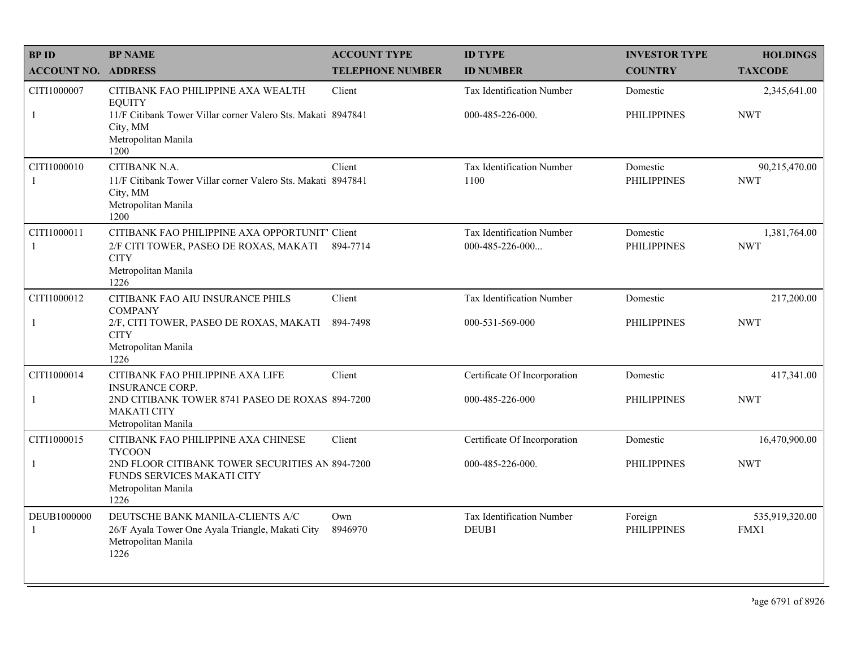| <b>BPID</b>                 | <b>BP NAME</b>                                                                                                                         | <b>ACCOUNT TYPE</b>     | <b>ID TYPE</b>                                 | <b>INVESTOR TYPE</b>           | <b>HOLDINGS</b>             |
|-----------------------------|----------------------------------------------------------------------------------------------------------------------------------------|-------------------------|------------------------------------------------|--------------------------------|-----------------------------|
| <b>ACCOUNT NO. ADDRESS</b>  |                                                                                                                                        | <b>TELEPHONE NUMBER</b> | <b>ID NUMBER</b>                               | <b>COUNTRY</b>                 | <b>TAXCODE</b>              |
| CITI1000007                 | CITIBANK FAO PHILIPPINE AXA WEALTH<br><b>EQUITY</b>                                                                                    | Client                  | <b>Tax Identification Number</b>               | Domestic                       | 2,345,641.00                |
| $\mathbf{1}$                | 11/F Citibank Tower Villar corner Valero Sts. Makati 8947841<br>City, MM<br>Metropolitan Manila<br>1200                                |                         | 000-485-226-000.                               | <b>PHILIPPINES</b>             | <b>NWT</b>                  |
| CITI1000010<br>-1           | CITIBANK N.A.<br>11/F Citibank Tower Villar corner Valero Sts. Makati 8947841<br>City, MM<br>Metropolitan Manila<br>1200               | Client                  | Tax Identification Number<br>1100              | Domestic<br><b>PHILIPPINES</b> | 90,215,470.00<br><b>NWT</b> |
| CITI1000011<br>-1           | CITIBANK FAO PHILIPPINE AXA OPPORTUNIT' Client<br>2/F CITI TOWER, PASEO DE ROXAS, MAKATI<br><b>CITY</b><br>Metropolitan Manila<br>1226 | 894-7714                | Tax Identification Number<br>$000-485-226-000$ | Domestic<br><b>PHILIPPINES</b> | 1,381,764.00<br><b>NWT</b>  |
| CITI1000012                 | CITIBANK FAO AIU INSURANCE PHILS<br><b>COMPANY</b>                                                                                     | Client                  | Tax Identification Number                      | Domestic                       | 217,200.00                  |
| $\mathbf{1}$                | 2/F, CITI TOWER, PASEO DE ROXAS, MAKATI<br><b>CITY</b><br>Metropolitan Manila<br>1226                                                  | 894-7498                | 000-531-569-000                                | <b>PHILIPPINES</b>             | <b>NWT</b>                  |
| CITI1000014                 | CITIBANK FAO PHILIPPINE AXA LIFE<br><b>INSURANCE CORP.</b>                                                                             | Client                  | Certificate Of Incorporation                   | Domestic                       | 417,341.00                  |
| $\mathbf{1}$                | 2ND CITIBANK TOWER 8741 PASEO DE ROXAS 894-7200<br><b>MAKATI CITY</b><br>Metropolitan Manila                                           |                         | 000-485-226-000                                | <b>PHILIPPINES</b>             | <b>NWT</b>                  |
| CITI1000015                 | CITIBANK FAO PHILIPPINE AXA CHINESE<br><b>TYCOON</b>                                                                                   | Client                  | Certificate Of Incorporation                   | Domestic                       | 16,470,900.00               |
| -1                          | 2ND FLOOR CITIBANK TOWER SECURITIES AN 894-7200<br>FUNDS SERVICES MAKATI CITY<br>Metropolitan Manila<br>1226                           |                         | 000-485-226-000.                               | <b>PHILIPPINES</b>             | <b>NWT</b>                  |
| DEUB1000000<br>$\mathbf{1}$ | DEUTSCHE BANK MANILA-CLIENTS A/C<br>26/F Ayala Tower One Ayala Triangle, Makati City<br>Metropolitan Manila<br>1226                    | Own<br>8946970          | Tax Identification Number<br>DEUB1             | Foreign<br><b>PHILIPPINES</b>  | 535,919,320.00<br>FMX1      |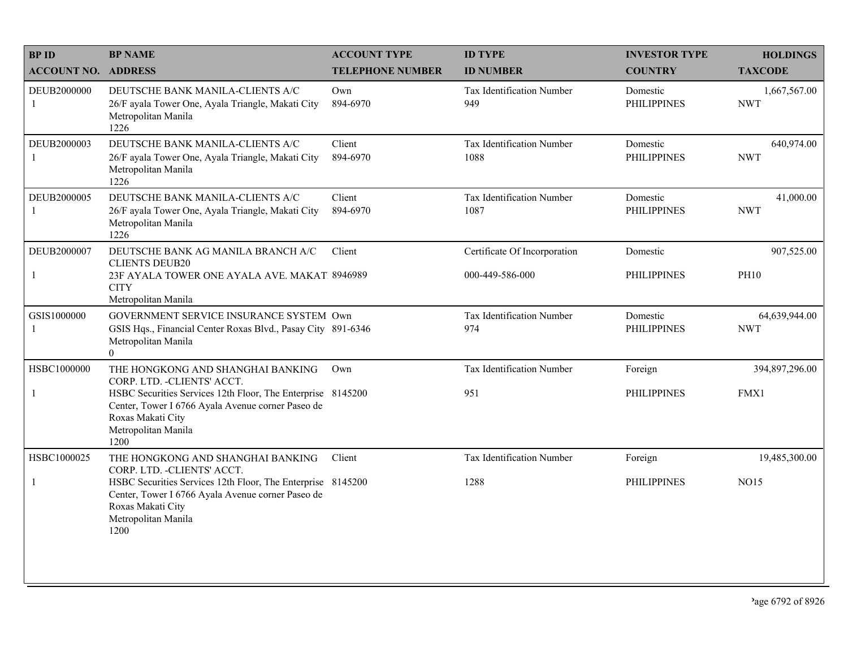| <b>BPID</b>                | <b>BP NAME</b>                                                                                                                                                       | <b>ACCOUNT TYPE</b>     | <b>ID TYPE</b>                    | <b>INVESTOR TYPE</b>           | <b>HOLDINGS</b>             |
|----------------------------|----------------------------------------------------------------------------------------------------------------------------------------------------------------------|-------------------------|-----------------------------------|--------------------------------|-----------------------------|
| <b>ACCOUNT NO. ADDRESS</b> |                                                                                                                                                                      | <b>TELEPHONE NUMBER</b> | <b>ID NUMBER</b>                  | <b>COUNTRY</b>                 | <b>TAXCODE</b>              |
| DEUB2000000                | DEUTSCHE BANK MANILA-CLIENTS A/C<br>26/F ayala Tower One, Ayala Triangle, Makati City<br>Metropolitan Manila<br>1226                                                 | Own<br>894-6970         | Tax Identification Number<br>949  | Domestic<br><b>PHILIPPINES</b> | 1,667,567.00<br><b>NWT</b>  |
| DEUB2000003<br>1           | DEUTSCHE BANK MANILA-CLIENTS A/C<br>26/F ayala Tower One, Ayala Triangle, Makati City<br>Metropolitan Manila<br>1226                                                 | Client<br>894-6970      | Tax Identification Number<br>1088 | Domestic<br><b>PHILIPPINES</b> | 640,974.00<br><b>NWT</b>    |
| DEUB2000005                | DEUTSCHE BANK MANILA-CLIENTS A/C<br>26/F ayala Tower One, Ayala Triangle, Makati City<br>Metropolitan Manila<br>1226                                                 | Client<br>894-6970      | Tax Identification Number<br>1087 | Domestic<br><b>PHILIPPINES</b> | 41,000.00<br><b>NWT</b>     |
| DEUB2000007                | DEUTSCHE BANK AG MANILA BRANCH A/C                                                                                                                                   | Client                  | Certificate Of Incorporation      | Domestic                       | 907,525.00                  |
| 1                          | <b>CLIENTS DEUB20</b><br>23F AYALA TOWER ONE AYALA AVE. MAKAT. 8946989<br><b>CITY</b><br>Metropolitan Manila                                                         |                         | 000-449-586-000                   | <b>PHILIPPINES</b>             | <b>PH10</b>                 |
| GSIS1000000<br>1           | GOVERNMENT SERVICE INSURANCE SYSTEM Own<br>GSIS Hqs., Financial Center Roxas Blvd., Pasay City 891-6346<br>Metropolitan Manila<br>$\overline{0}$                     |                         | Tax Identification Number<br>974  | Domestic<br><b>PHILIPPINES</b> | 64,639,944.00<br><b>NWT</b> |
| HSBC1000000                | THE HONGKONG AND SHANGHAI BANKING<br>CORP. LTD. - CLIENTS' ACCT.                                                                                                     | Own                     | Tax Identification Number         | Foreign                        | 394,897,296.00              |
| $\mathbf{1}$               | HSBC Securities Services 12th Floor, The Enterprise 8145200<br>Center, Tower I 6766 Ayala Avenue corner Paseo de<br>Roxas Makati City<br>Metropolitan Manila<br>1200 |                         | 951                               | <b>PHILIPPINES</b>             | FMX1                        |
| HSBC1000025                | THE HONGKONG AND SHANGHAI BANKING<br>CORP. LTD. - CLIENTS' ACCT.                                                                                                     | Client                  | Tax Identification Number         | Foreign                        | 19,485,300.00               |
| 1                          | HSBC Securities Services 12th Floor, The Enterprise 8145200<br>Center, Tower I 6766 Ayala Avenue corner Paseo de<br>Roxas Makati City<br>Metropolitan Manila<br>1200 |                         | 1288                              | <b>PHILIPPINES</b>             | <b>NO15</b>                 |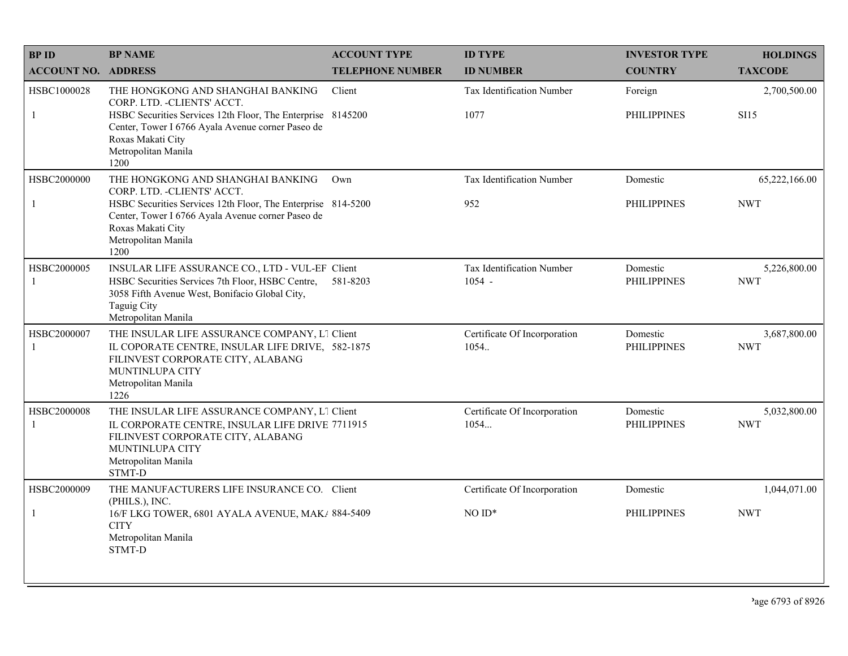| <b>BPID</b>                | <b>BP NAME</b>                                                                                                                                                                                                                            | <b>ACCOUNT TYPE</b>     | <b>ID TYPE</b>                           | <b>INVESTOR TYPE</b>           | <b>HOLDINGS</b>             |
|----------------------------|-------------------------------------------------------------------------------------------------------------------------------------------------------------------------------------------------------------------------------------------|-------------------------|------------------------------------------|--------------------------------|-----------------------------|
| <b>ACCOUNT NO. ADDRESS</b> |                                                                                                                                                                                                                                           | <b>TELEPHONE NUMBER</b> | <b>ID NUMBER</b>                         | <b>COUNTRY</b>                 | <b>TAXCODE</b>              |
| HSBC1000028<br>-1          | THE HONGKONG AND SHANGHAI BANKING<br>CORP. LTD. - CLIENTS' ACCT.<br>HSBC Securities Services 12th Floor, The Enterprise 8145200<br>Center, Tower I 6766 Ayala Avenue corner Paseo de<br>Roxas Makati City<br>Metropolitan Manila<br>1200  | Client                  | <b>Tax Identification Number</b><br>1077 | Foreign<br>PHILIPPINES         | 2,700,500.00<br><b>SI15</b> |
| HSBC2000000<br>-1          | THE HONGKONG AND SHANGHAI BANKING<br>CORP. LTD. - CLIENTS' ACCT.<br>HSBC Securities Services 12th Floor, The Enterprise 814-5200<br>Center, Tower I 6766 Ayala Avenue corner Paseo de<br>Roxas Makati City<br>Metropolitan Manila<br>1200 | Own                     | Tax Identification Number<br>952         | Domestic<br><b>PHILIPPINES</b> | 65,222,166.00<br><b>NWT</b> |
| HSBC2000005                | INSULAR LIFE ASSURANCE CO., LTD - VUL-EF Client<br>HSBC Securities Services 7th Floor, HSBC Centre,<br>3058 Fifth Avenue West, Bonifacio Global City,<br>Taguig City<br>Metropolitan Manila                                               | 581-8203                | Tax Identification Number<br>$1054 -$    | Domestic<br><b>PHILIPPINES</b> | 5,226,800.00<br><b>NWT</b>  |
| HSBC2000007<br>-1          | THE INSULAR LIFE ASSURANCE COMPANY, L1 Client<br>IL COPORATE CENTRE, INSULAR LIFE DRIVE, 582-1875<br>FILINVEST CORPORATE CITY, ALABANG<br><b>MUNTINLUPA CITY</b><br>Metropolitan Manila<br>1226                                           |                         | Certificate Of Incorporation<br>1054.    | Domestic<br><b>PHILIPPINES</b> | 3,687,800.00<br><b>NWT</b>  |
| HSBC2000008<br>-1          | THE INSULAR LIFE ASSURANCE COMPANY, L1 Client<br>IL CORPORATE CENTRE, INSULAR LIFE DRIVE 7711915<br>FILINVEST CORPORATE CITY, ALABANG<br>MUNTINLUPA CITY<br>Metropolitan Manila<br>STMT-D                                                 |                         | Certificate Of Incorporation<br>1054     | Domestic<br><b>PHILIPPINES</b> | 5,032,800.00<br><b>NWT</b>  |
| HSBC2000009<br>1           | THE MANUFACTURERS LIFE INSURANCE CO. Client<br>(PHILS.), INC.<br>16/F LKG TOWER, 6801 AYALA AVENUE, MAK/ 884-5409<br><b>CITY</b><br>Metropolitan Manila<br>STMT-D                                                                         |                         | Certificate Of Incorporation<br>$NOID*$  | Domestic<br><b>PHILIPPINES</b> | 1,044,071.00<br><b>NWT</b>  |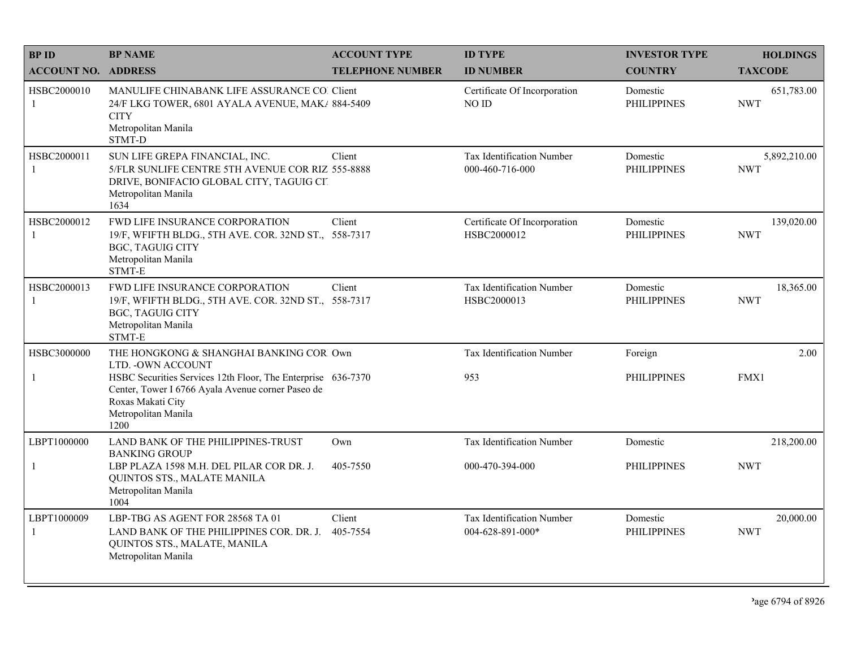| <b>BPID</b>                   | <b>BP NAME</b>                                                                                                                                                        | <b>ACCOUNT TYPE</b>     | <b>ID TYPE</b>                                | <b>INVESTOR TYPE</b>           | <b>HOLDINGS</b>            |
|-------------------------------|-----------------------------------------------------------------------------------------------------------------------------------------------------------------------|-------------------------|-----------------------------------------------|--------------------------------|----------------------------|
| <b>ACCOUNT NO. ADDRESS</b>    |                                                                                                                                                                       | <b>TELEPHONE NUMBER</b> | <b>ID NUMBER</b>                              | <b>COUNTRY</b>                 | <b>TAXCODE</b>             |
| HSBC2000010<br>-1             | MANULIFE CHINABANK LIFE ASSURANCE CO. Client<br>24/F LKG TOWER, 6801 AYALA AVENUE, MAK/ 884-5409<br><b>CITY</b><br>Metropolitan Manila<br>STMT-D                      |                         | Certificate Of Incorporation<br>NO ID         | Domestic<br><b>PHILIPPINES</b> | 651,783.00<br><b>NWT</b>   |
| HSBC2000011<br>$\overline{1}$ | SUN LIFE GREPA FINANCIAL, INC.<br>5/FLR SUNLIFE CENTRE 5TH AVENUE COR RIZ 555-8888<br>DRIVE, BONIFACIO GLOBAL CITY, TAGUIG CIT<br>Metropolitan Manila<br>1634         | Client                  | Tax Identification Number<br>000-460-716-000  | Domestic<br><b>PHILIPPINES</b> | 5,892,210.00<br><b>NWT</b> |
| HSBC2000012<br>-1             | FWD LIFE INSURANCE CORPORATION<br>19/F, WFIFTH BLDG., 5TH AVE. COR. 32ND ST., 558-7317<br><b>BGC, TAGUIG CITY</b><br>Metropolitan Manila<br>STMT-E                    | Client                  | Certificate Of Incorporation<br>HSBC2000012   | Domestic<br><b>PHILIPPINES</b> | 139,020.00<br><b>NWT</b>   |
| HSBC2000013<br>$\overline{1}$ | FWD LIFE INSURANCE CORPORATION<br>19/F, WFIFTH BLDG., 5TH AVE. COR. 32ND ST., 558-7317<br><b>BGC, TAGUIG CITY</b><br>Metropolitan Manila<br>STMT-E                    | Client                  | Tax Identification Number<br>HSBC2000013      | Domestic<br><b>PHILIPPINES</b> | 18,365.00<br><b>NWT</b>    |
| HSBC3000000                   | THE HONGKONG & SHANGHAI BANKING COR Own<br>LTD. - OWN ACCOUNT                                                                                                         |                         | Tax Identification Number                     | Foreign                        | 2.00                       |
| -1                            | HSBC Securities Services 12th Floor, The Enterprise 636-7370<br>Center, Tower I 6766 Ayala Avenue corner Paseo de<br>Roxas Makati City<br>Metropolitan Manila<br>1200 |                         | 953                                           | <b>PHILIPPINES</b>             | FMX1                       |
| LBPT1000000                   | LAND BANK OF THE PHILIPPINES-TRUST<br><b>BANKING GROUP</b>                                                                                                            | Own                     | Tax Identification Number                     | Domestic                       | 218,200.00                 |
| -1                            | LBP PLAZA 1598 M.H. DEL PILAR COR DR. J.<br>QUINTOS STS., MALATE MANILA<br>Metropolitan Manila<br>1004                                                                | 405-7550                | 000-470-394-000                               | <b>PHILIPPINES</b>             | <b>NWT</b>                 |
| LBPT1000009<br>-1             | LBP-TBG AS AGENT FOR 28568 TA 01<br>LAND BANK OF THE PHILIPPINES COR. DR. J.<br>QUINTOS STS., MALATE, MANILA<br>Metropolitan Manila                                   | Client<br>405-7554      | Tax Identification Number<br>004-628-891-000* | Domestic<br><b>PHILIPPINES</b> | 20,000.00<br><b>NWT</b>    |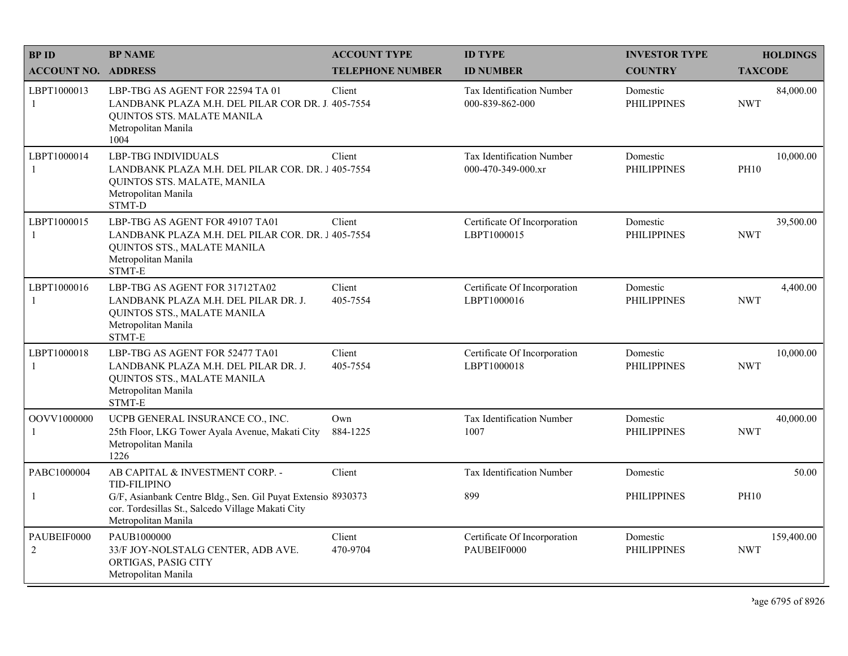| <b>BPID</b>                   | <b>BP NAME</b>                                                                                                                                       | <b>ACCOUNT TYPE</b>     | <b>ID TYPE</b>                                      | <b>INVESTOR TYPE</b>           | <b>HOLDINGS</b>          |
|-------------------------------|------------------------------------------------------------------------------------------------------------------------------------------------------|-------------------------|-----------------------------------------------------|--------------------------------|--------------------------|
| <b>ACCOUNT NO. ADDRESS</b>    |                                                                                                                                                      | <b>TELEPHONE NUMBER</b> | <b>ID NUMBER</b>                                    | <b>COUNTRY</b>                 | <b>TAXCODE</b>           |
| LBPT1000013<br>1              | LBP-TBG AS AGENT FOR 22594 TA 01<br>LANDBANK PLAZA M.H. DEL PILAR COR DR. J. 405-7554<br>QUINTOS STS. MALATE MANILA<br>Metropolitan Manila<br>1004   | Client                  | <b>Tax Identification Number</b><br>000-839-862-000 | Domestic<br><b>PHILIPPINES</b> | 84,000.00<br><b>NWT</b>  |
| LBPT1000014<br>1              | <b>LBP-TBG INDIVIDUALS</b><br>LANDBANK PLAZA M.H. DEL PILAR COR. DR. J 405-7554<br>QUINTOS STS. MALATE, MANILA<br>Metropolitan Manila<br>STMT-D      | Client                  | Tax Identification Number<br>000-470-349-000.xr     | Domestic<br><b>PHILIPPINES</b> | 10,000.00<br><b>PH10</b> |
| LBPT1000015<br>$\mathbf{1}$   | LBP-TBG AS AGENT FOR 49107 TA01<br>LANDBANK PLAZA M.H. DEL PILAR COR. DR. J 405-7554<br>QUINTOS STS., MALATE MANILA<br>Metropolitan Manila<br>STMT-E | Client                  | Certificate Of Incorporation<br>LBPT1000015         | Domestic<br><b>PHILIPPINES</b> | 39,500.00<br><b>NWT</b>  |
| LBPT1000016<br>$\mathbf{1}$   | LBP-TBG AS AGENT FOR 31712TA02<br>LANDBANK PLAZA M.H. DEL PILAR DR. J.<br>QUINTOS STS., MALATE MANILA<br>Metropolitan Manila<br>STMT-E               | Client<br>405-7554      | Certificate Of Incorporation<br>LBPT1000016         | Domestic<br><b>PHILIPPINES</b> | 4,400.00<br><b>NWT</b>   |
| LBPT1000018<br>$\mathbf{1}$   | LBP-TBG AS AGENT FOR 52477 TA01<br>LANDBANK PLAZA M.H. DEL PILAR DR. J.<br>QUINTOS STS., MALATE MANILA<br>Metropolitan Manila<br>STMT-E              | Client<br>405-7554      | Certificate Of Incorporation<br>LBPT1000018         | Domestic<br><b>PHILIPPINES</b> | 10,000.00<br><b>NWT</b>  |
| OOVV1000000<br>$\mathbf{1}$   | UCPB GENERAL INSURANCE CO., INC.<br>25th Floor, LKG Tower Ayala Avenue, Makati City<br>Metropolitan Manila<br>1226                                   | Own<br>884-1225         | Tax Identification Number<br>1007                   | Domestic<br><b>PHILIPPINES</b> | 40,000.00<br><b>NWT</b>  |
| PABC1000004                   | AB CAPITAL & INVESTMENT CORP. -<br>TID-FILIPINO                                                                                                      | Client                  | Tax Identification Number                           | Domestic                       | 50.00                    |
| $\mathbf{1}$                  | G/F, Asianbank Centre Bldg., Sen. Gil Puyat Extensio 8930373<br>cor. Tordesillas St., Salcedo Village Makati City<br>Metropolitan Manila             |                         | 899                                                 | <b>PHILIPPINES</b>             | <b>PH10</b>              |
| PAUBEIF0000<br>$\overline{2}$ | PAUB1000000<br>33/F JOY-NOLSTALG CENTER, ADB AVE.<br>ORTIGAS, PASIG CITY<br>Metropolitan Manila                                                      | Client<br>470-9704      | Certificate Of Incorporation<br>PAUBEIF0000         | Domestic<br><b>PHILIPPINES</b> | 159,400.00<br><b>NWT</b> |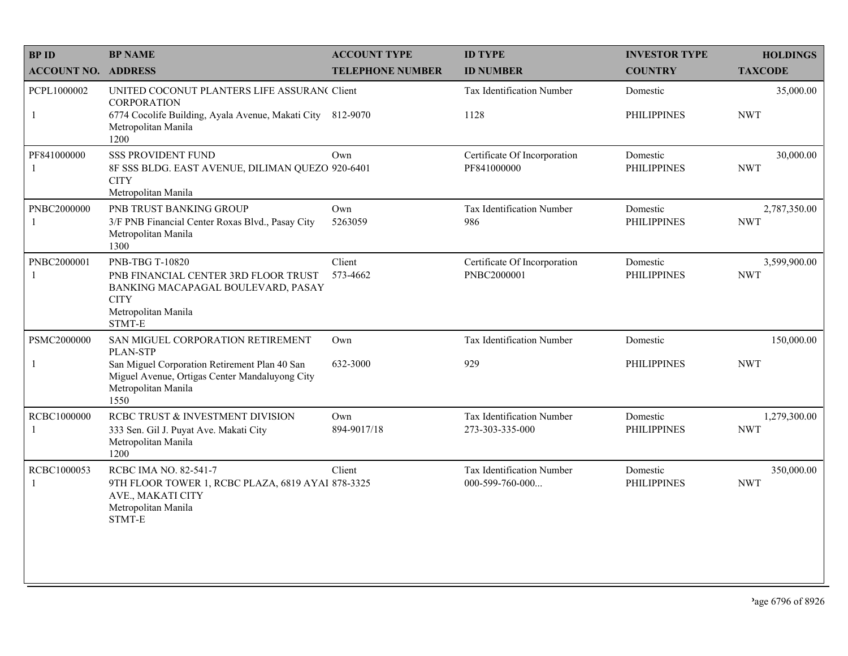| <b>BPID</b>                 | <b>BP NAME</b>                                                                                                                                                  | <b>ACCOUNT TYPE</b>     | <b>ID TYPE</b>                               | <b>INVESTOR TYPE</b>           | <b>HOLDINGS</b>            |
|-----------------------------|-----------------------------------------------------------------------------------------------------------------------------------------------------------------|-------------------------|----------------------------------------------|--------------------------------|----------------------------|
| <b>ACCOUNT NO. ADDRESS</b>  |                                                                                                                                                                 | <b>TELEPHONE NUMBER</b> | <b>ID NUMBER</b>                             | <b>COUNTRY</b>                 | <b>TAXCODE</b>             |
| PCPL1000002<br>1            | UNITED COCONUT PLANTERS LIFE ASSURAN( Client<br><b>CORPORATION</b><br>6774 Cocolife Building, Ayala Avenue, Makati City 812-9070<br>Metropolitan Manila<br>1200 |                         | Tax Identification Number<br>1128            | Domestic<br><b>PHILIPPINES</b> | 35,000.00<br><b>NWT</b>    |
| PF841000000<br>$\mathbf{1}$ | <b>SSS PROVIDENT FUND</b><br>8F SSS BLDG. EAST AVENUE, DILIMAN QUEZO 920-6401<br><b>CITY</b><br>Metropolitan Manila                                             | Own                     | Certificate Of Incorporation<br>PF841000000  | Domestic<br><b>PHILIPPINES</b> | 30,000.00<br><b>NWT</b>    |
| PNBC2000000<br>1            | <b>PNB TRUST BANKING GROUP</b><br>3/F PNB Financial Center Roxas Blvd., Pasay City<br>Metropolitan Manila<br>1300                                               | Own<br>5263059          | Tax Identification Number<br>986             | Domestic<br><b>PHILIPPINES</b> | 2,787,350.00<br><b>NWT</b> |
| PNBC2000001<br>$\mathbf{1}$ | PNB-TBG T-10820<br>PNB FINANCIAL CENTER 3RD FLOOR TRUST<br>BANKING MACAPAGAL BOULEVARD, PASAY<br><b>CITY</b><br>Metropolitan Manila<br><b>STMT-E</b>            | Client<br>573-4662      | Certificate Of Incorporation<br>PNBC2000001  | Domestic<br><b>PHILIPPINES</b> | 3,599,900.00<br><b>NWT</b> |
| PSMC2000000                 | SAN MIGUEL CORPORATION RETIREMENT<br><b>PLAN-STP</b>                                                                                                            | Own                     | Tax Identification Number                    | Domestic                       | 150,000.00                 |
| $\mathbf{1}$                | San Miguel Corporation Retirement Plan 40 San<br>Miguel Avenue, Ortigas Center Mandaluyong City<br>Metropolitan Manila<br>1550                                  | 632-3000                | 929                                          | <b>PHILIPPINES</b>             | <b>NWT</b>                 |
| RCBC1000000<br>1            | RCBC TRUST & INVESTMENT DIVISION<br>333 Sen. Gil J. Puyat Ave. Makati City<br>Metropolitan Manila<br>1200                                                       | Own<br>894-9017/18      | Tax Identification Number<br>273-303-335-000 | Domestic<br><b>PHILIPPINES</b> | 1,279,300.00<br><b>NWT</b> |
| RCBC1000053<br>1            | RCBC IMA NO. 82-541-7<br>9TH FLOOR TOWER 1, RCBC PLAZA, 6819 AYAI 878-3325<br>AVE., MAKATI CITY<br>Metropolitan Manila<br>STMT-E                                | Client                  | Tax Identification Number<br>000-599-760-000 | Domestic<br><b>PHILIPPINES</b> | 350,000.00<br><b>NWT</b>   |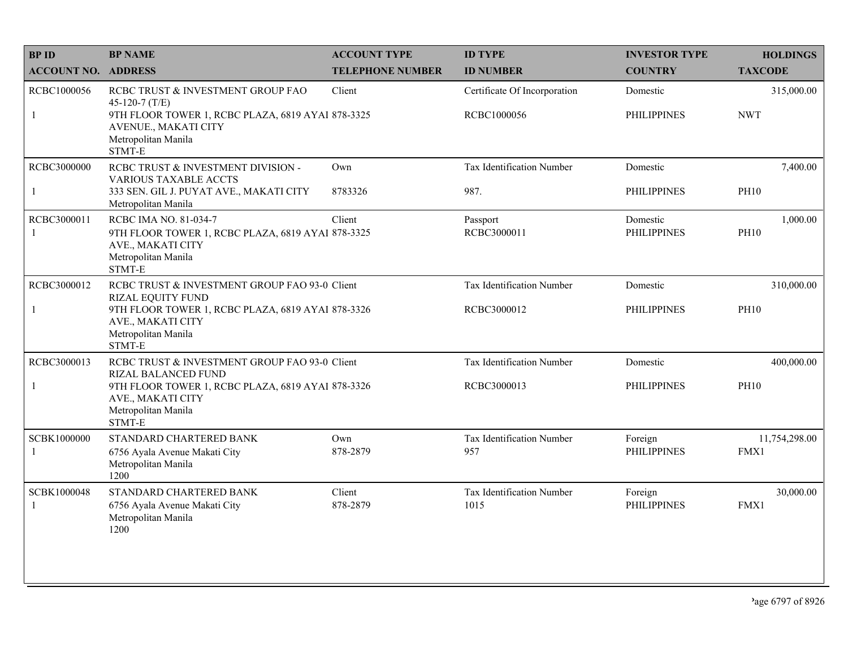| <b>BPID</b>                 | <b>BP NAME</b>                                                                                                                   | <b>ACCOUNT TYPE</b>     | <b>ID TYPE</b>                              | <b>INVESTOR TYPE</b>           | <b>HOLDINGS</b>          |
|-----------------------------|----------------------------------------------------------------------------------------------------------------------------------|-------------------------|---------------------------------------------|--------------------------------|--------------------------|
| <b>ACCOUNT NO. ADDRESS</b>  |                                                                                                                                  | <b>TELEPHONE NUMBER</b> | <b>ID NUMBER</b>                            | <b>COUNTRY</b>                 | <b>TAXCODE</b>           |
| RCBC1000056<br>$\mathbf{1}$ | RCBC TRUST & INVESTMENT GROUP FAO<br>45-120-7 $(T/E)$<br>9TH FLOOR TOWER 1, RCBC PLAZA, 6819 AYAI 878-3325                       | Client                  | Certificate Of Incorporation<br>RCBC1000056 | Domestic<br><b>PHILIPPINES</b> | 315,000.00<br><b>NWT</b> |
|                             | AVENUE., MAKATI CITY<br>Metropolitan Manila<br>STMT-E                                                                            |                         |                                             |                                |                          |
| RCBC3000000                 | RCBC TRUST & INVESTMENT DIVISION -<br><b>VARIOUS TAXABLE ACCTS</b>                                                               | Own                     | Tax Identification Number                   | Domestic                       | 7,400.00                 |
| $\mathbf{1}$                | 333 SEN. GIL J. PUYAT AVE., MAKATI CITY<br>Metropolitan Manila                                                                   | 8783326                 | 987.                                        | <b>PHILIPPINES</b>             | <b>PH10</b>              |
| RCBC3000011<br>1            | RCBC IMA NO. 81-034-7<br>9TH FLOOR TOWER 1, RCBC PLAZA, 6819 AYAI 878-3325<br>AVE., MAKATI CITY<br>Metropolitan Manila<br>STMT-E | Client                  | Passport<br>RCBC3000011                     | Domestic<br><b>PHILIPPINES</b> | 1,000.00<br><b>PH10</b>  |
| RCBC3000012                 | RCBC TRUST & INVESTMENT GROUP FAO 93-0 Client<br><b>RIZAL EQUITY FUND</b>                                                        |                         | Tax Identification Number                   | Domestic                       | 310,000.00               |
| $\mathbf{1}$                | 9TH FLOOR TOWER 1, RCBC PLAZA, 6819 AYAI 878-3326<br>AVE., MAKATI CITY<br>Metropolitan Manila<br>STMT-E                          |                         | RCBC3000012                                 | <b>PHILIPPINES</b>             | <b>PH10</b>              |
| RCBC3000013                 | RCBC TRUST & INVESTMENT GROUP FAO 93-0 Client<br>RIZAL BALANCED FUND                                                             |                         | Tax Identification Number                   | Domestic                       | 400,000.00               |
| $\mathbf{1}$                | 9TH FLOOR TOWER 1, RCBC PLAZA, 6819 AYAI 878-3326<br>AVE., MAKATI CITY<br>Metropolitan Manila<br>STMT-E                          |                         | RCBC3000013                                 | PHILIPPINES                    | <b>PH10</b>              |
| SCBK1000000<br>-1           | STANDARD CHARTERED BANK<br>6756 Ayala Avenue Makati City<br>Metropolitan Manila<br>1200                                          | Own<br>878-2879         | Tax Identification Number<br>957            | Foreign<br><b>PHILIPPINES</b>  | 11,754,298.00<br>FMX1    |
| SCBK1000048<br>-1           | STANDARD CHARTERED BANK<br>6756 Ayala Avenue Makati City<br>Metropolitan Manila<br>1200                                          | Client<br>878-2879      | Tax Identification Number<br>1015           | Foreign<br><b>PHILIPPINES</b>  | 30,000.00<br>FMX1        |
|                             |                                                                                                                                  |                         |                                             |                                |                          |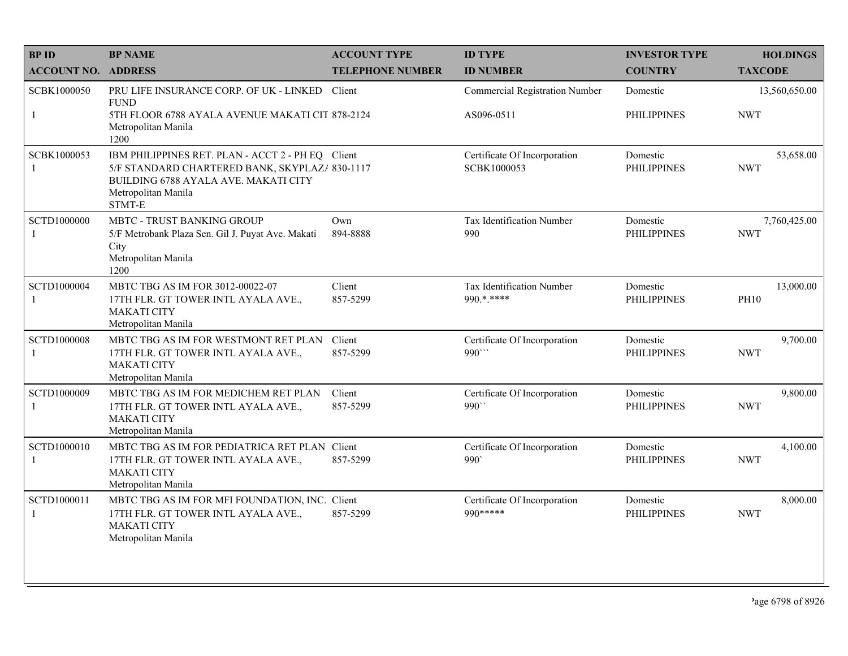| <b>BPID</b>                   | <b>BP NAME</b>                                                                                                                                                               | <b>ACCOUNT TYPE</b>     | <b>ID TYPE</b>                                      | <b>INVESTOR TYPE</b>           | <b>HOLDINGS</b>             |
|-------------------------------|------------------------------------------------------------------------------------------------------------------------------------------------------------------------------|-------------------------|-----------------------------------------------------|--------------------------------|-----------------------------|
| <b>ACCOUNT NO. ADDRESS</b>    |                                                                                                                                                                              | <b>TELEPHONE NUMBER</b> | <b>ID NUMBER</b>                                    | <b>COUNTRY</b>                 | <b>TAXCODE</b>              |
| SCBK1000050<br>-1             | PRU LIFE INSURANCE CORP. OF UK - LINKED<br><b>FUND</b><br>5TH FLOOR 6788 AYALA AVENUE MAKATI CIT 878-2124<br>Metropolitan Manila<br>1200                                     | Client                  | <b>Commercial Registration Number</b><br>AS096-0511 | Domestic<br>PHILIPPINES        | 13,560,650.00<br><b>NWT</b> |
| SCBK1000053<br>$\overline{1}$ | IBM PHILIPPINES RET. PLAN - ACCT 2 - PH EQ Client<br>5/F STANDARD CHARTERED BANK, SKYPLAZ/ 830-1117<br>BUILDING 6788 AYALA AVE. MAKATI CITY<br>Metropolitan Manila<br>STMT-E |                         | Certificate Of Incorporation<br>SCBK1000053         | Domestic<br><b>PHILIPPINES</b> | 53,658.00<br><b>NWT</b>     |
| SCTD1000000                   | MBTC - TRUST BANKING GROUP<br>5/F Metrobank Plaza Sen. Gil J. Puyat Ave. Makati<br>City<br>Metropolitan Manila<br>1200                                                       | Own<br>894-8888         | Tax Identification Number<br>990                    | Domestic<br><b>PHILIPPINES</b> | 7,760,425.00<br><b>NWT</b>  |
| SCTD1000004<br>-1             | MBTC TBG AS IM FOR 3012-00022-07<br>17TH FLR. GT TOWER INTL AYALA AVE.,<br><b>MAKATI CITY</b><br>Metropolitan Manila                                                         | Client<br>857-5299      | Tax Identification Number<br>990.*.****             | Domestic<br><b>PHILIPPINES</b> | 13,000.00<br><b>PH10</b>    |
| <b>SCTD1000008</b><br>-1      | MBTC TBG AS IM FOR WESTMONT RET PLAN<br>17TH FLR. GT TOWER INTL AYALA AVE.,<br><b>MAKATI CITY</b><br>Metropolitan Manila                                                     | Client<br>857-5299      | Certificate Of Incorporation<br>990                 | Domestic<br><b>PHILIPPINES</b> | 9,700.00<br><b>NWT</b>      |
| SCTD1000009<br>-1             | MBTC TBG AS IM FOR MEDICHEM RET PLAN<br>17TH FLR. GT TOWER INTL AYALA AVE.,<br><b>MAKATI CITY</b><br>Metropolitan Manila                                                     | Client<br>857-5299      | Certificate Of Incorporation<br>990"                | Domestic<br><b>PHILIPPINES</b> | 9,800.00<br><b>NWT</b>      |
| SCTD1000010<br>-1             | MBTC TBG AS IM FOR PEDIATRICA RET PLAN Client<br>17TH FLR. GT TOWER INTL AYALA AVE.,<br><b>MAKATI CITY</b><br>Metropolitan Manila                                            | 857-5299                | Certificate Of Incorporation<br>990                 | Domestic<br><b>PHILIPPINES</b> | 4,100.00<br><b>NWT</b>      |
| SCTD1000011<br>-1             | MBTC TBG AS IM FOR MFI FOUNDATION, INC. Client<br>17TH FLR. GT TOWER INTL AYALA AVE.,<br><b>MAKATI CITY</b><br>Metropolitan Manila                                           | 857-5299                | Certificate Of Incorporation<br>990 *****           | Domestic<br><b>PHILIPPINES</b> | 8,000.00<br><b>NWT</b>      |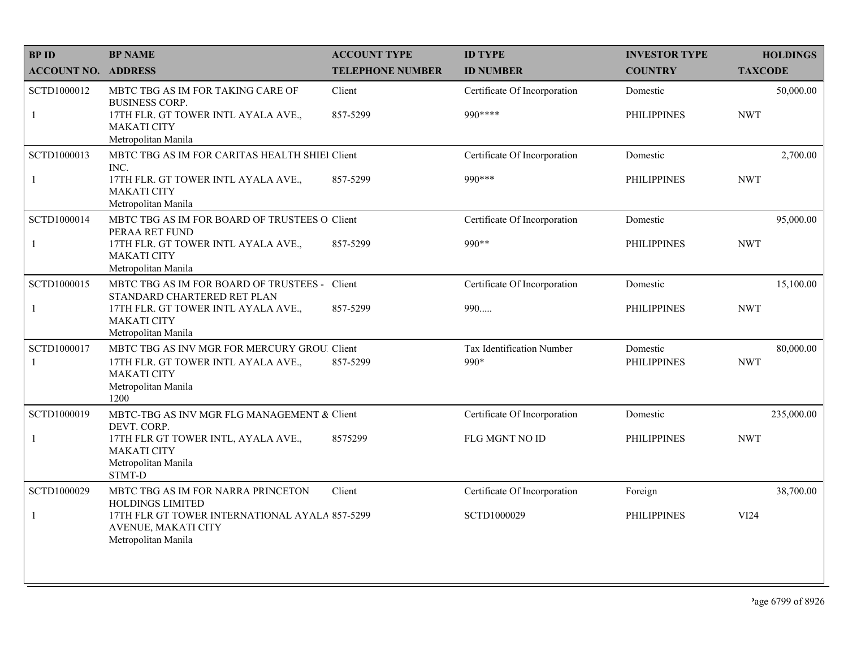| <b>BPID</b>                | <b>BP NAME</b>                                                                                                                           | <b>ACCOUNT TYPE</b>     | <b>ID TYPE</b>                    | <b>INVESTOR TYPE</b>           | <b>HOLDINGS</b>         |
|----------------------------|------------------------------------------------------------------------------------------------------------------------------------------|-------------------------|-----------------------------------|--------------------------------|-------------------------|
| <b>ACCOUNT NO. ADDRESS</b> |                                                                                                                                          | <b>TELEPHONE NUMBER</b> | <b>ID NUMBER</b>                  | <b>COUNTRY</b>                 | <b>TAXCODE</b>          |
| SCTD1000012                | MBTC TBG AS IM FOR TAKING CARE OF<br><b>BUSINESS CORP.</b>                                                                               | Client                  | Certificate Of Incorporation      | Domestic                       | 50,000.00               |
| -1                         | 17TH FLR. GT TOWER INTL AYALA AVE.,<br><b>MAKATI CITY</b><br>Metropolitan Manila                                                         | 857-5299                | 990 ****                          | PHILIPPINES                    | <b>NWT</b>              |
| SCTD1000013                | MBTC TBG AS IM FOR CARITAS HEALTH SHIEl Client<br>INC.                                                                                   |                         | Certificate Of Incorporation      | Domestic                       | 2,700.00                |
| -1                         | 17TH FLR. GT TOWER INTL AYALA AVE.,<br><b>MAKATI CITY</b><br>Metropolitan Manila                                                         | 857-5299                | 990 ***                           | <b>PHILIPPINES</b>             | <b>NWT</b>              |
| SCTD1000014                | MBTC TBG AS IM FOR BOARD OF TRUSTEES O Client<br>PERAA RET FUND                                                                          |                         | Certificate Of Incorporation      | Domestic                       | 95,000.00               |
| $\mathbf{1}$               | 17TH FLR. GT TOWER INTL AYALA AVE.,<br><b>MAKATI CITY</b><br>Metropolitan Manila                                                         | 857-5299                | 990**                             | <b>PHILIPPINES</b>             | <b>NWT</b>              |
| SCTD1000015                | MBTC TBG AS IM FOR BOARD OF TRUSTEES - Client<br>STANDARD CHARTERED RET PLAN                                                             |                         | Certificate Of Incorporation      | Domestic                       | 15,100.00               |
| -1                         | 17TH FLR. GT TOWER INTL AYALA AVE.,<br><b>MAKATI CITY</b><br>Metropolitan Manila                                                         | 857-5299                | 990                               | <b>PHILIPPINES</b>             | <b>NWT</b>              |
| SCTD1000017<br>-1          | MBTC TBG AS INV MGR FOR MERCURY GROU. Client<br>17TH FLR. GT TOWER INTL AYALA AVE.,<br><b>MAKATI CITY</b><br>Metropolitan Manila<br>1200 | 857-5299                | Tax Identification Number<br>990* | Domestic<br><b>PHILIPPINES</b> | 80,000.00<br><b>NWT</b> |
| SCTD1000019                | MBTC-TBG AS INV MGR FLG MANAGEMENT & Client<br>DEVT. CORP.                                                                               |                         | Certificate Of Incorporation      | Domestic                       | 235,000.00              |
| $\mathbf{1}$               | 17TH FLR GT TOWER INTL, AYALA AVE.,<br><b>MAKATI CITY</b><br>Metropolitan Manila<br>STMT-D                                               | 8575299                 | FLG MGNT NO ID                    | PHILIPPINES                    | <b>NWT</b>              |
| SCTD1000029                | MBTC TBG AS IM FOR NARRA PRINCETON<br><b>HOLDINGS LIMITED</b>                                                                            | Client                  | Certificate Of Incorporation      | Foreign                        | 38,700.00               |
| $\mathbf{1}$               | 17TH FLR GT TOWER INTERNATIONAL AYALA 857-5299<br>AVENUE, MAKATI CITY<br>Metropolitan Manila                                             |                         | SCTD1000029                       | <b>PHILIPPINES</b>             | VI24                    |
|                            |                                                                                                                                          |                         |                                   |                                |                         |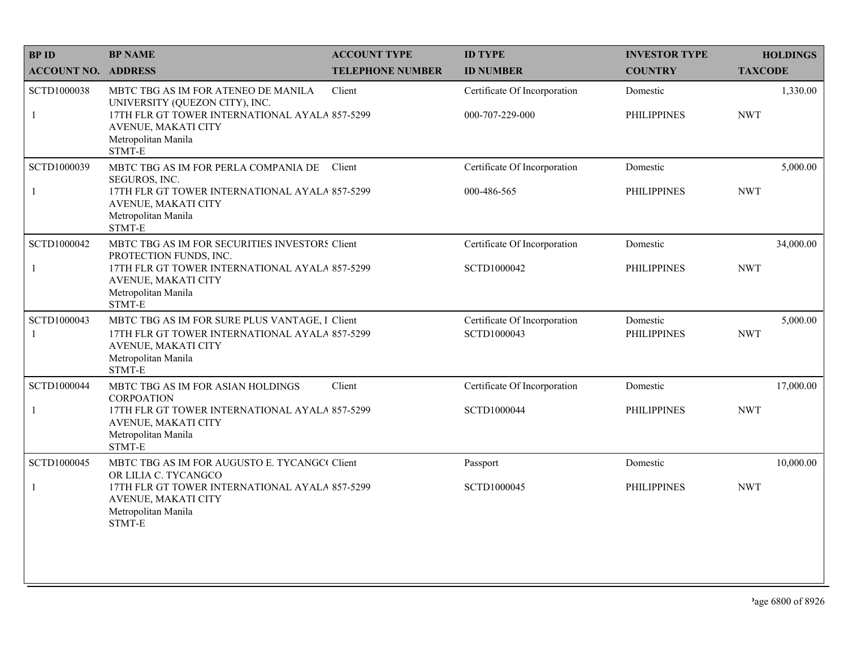| <b>BPID</b>                 | <b>BP NAME</b>                                                                                                                                                                     | <b>ACCOUNT TYPE</b>     | <b>ID TYPE</b>                                  | <b>INVESTOR TYPE</b>           | <b>HOLDINGS</b>         |
|-----------------------------|------------------------------------------------------------------------------------------------------------------------------------------------------------------------------------|-------------------------|-------------------------------------------------|--------------------------------|-------------------------|
| <b>ACCOUNT NO. ADDRESS</b>  |                                                                                                                                                                                    | <b>TELEPHONE NUMBER</b> | <b>ID NUMBER</b>                                | <b>COUNTRY</b>                 | <b>TAXCODE</b>          |
| SCTD1000038<br>$\mathbf{1}$ | MBTC TBG AS IM FOR ATENEO DE MANILA<br>UNIVERSITY (QUEZON CITY), INC.<br>17TH FLR GT TOWER INTERNATIONAL AYALA 857-5299<br>AVENUE, MAKATI CITY<br>Metropolitan Manila<br>STMT-E    | Client                  | Certificate Of Incorporation<br>000-707-229-000 | Domestic<br><b>PHILIPPINES</b> | 1,330.00<br><b>NWT</b>  |
| SCTD1000039<br>$\mathbf{1}$ | MBTC TBG AS IM FOR PERLA COMPANIA DE<br>SEGUROS, INC.<br>17TH FLR GT TOWER INTERNATIONAL AYALA 857-5299<br>AVENUE, MAKATI CITY<br>Metropolitan Manila<br>STMT-E                    | Client                  | Certificate Of Incorporation<br>000-486-565     | Domestic<br><b>PHILIPPINES</b> | 5,000.00<br><b>NWT</b>  |
| SCTD1000042<br>$\mathbf{1}$ | MBTC TBG AS IM FOR SECURITIES INVESTORS Client<br>PROTECTION FUNDS, INC.<br>17TH FLR GT TOWER INTERNATIONAL AYALA 857-5299<br>AVENUE, MAKATI CITY<br>Metropolitan Manila<br>STMT-E |                         | Certificate Of Incorporation<br>SCTD1000042     | Domestic<br><b>PHILIPPINES</b> | 34,000.00<br><b>NWT</b> |
| SCTD1000043<br>$\mathbf{1}$ | MBTC TBG AS IM FOR SURE PLUS VANTAGE, I Client<br>17TH FLR GT TOWER INTERNATIONAL AYALA 857-5299<br>AVENUE, MAKATI CITY<br>Metropolitan Manila<br>STMT-E                           |                         | Certificate Of Incorporation<br>SCTD1000043     | Domestic<br><b>PHILIPPINES</b> | 5,000.00<br><b>NWT</b>  |
| SCTD1000044                 | MBTC TBG AS IM FOR ASIAN HOLDINGS<br><b>CORPOATION</b>                                                                                                                             | Client                  | Certificate Of Incorporation                    | Domestic                       | 17,000.00               |
| 1                           | 17TH FLR GT TOWER INTERNATIONAL AYALA 857-5299<br>AVENUE, MAKATI CITY<br>Metropolitan Manila<br>STMT-E                                                                             |                         | SCTD1000044                                     | PHILIPPINES                    | <b>NWT</b>              |
| SCTD1000045                 | MBTC TBG AS IM FOR AUGUSTO E. TYCANGC Client<br>OR LILIA C. TYCANGCO                                                                                                               |                         | Passport                                        | Domestic                       | 10,000.00               |
| $\mathbf{1}$                | 17TH FLR GT TOWER INTERNATIONAL AYALA 857-5299<br>AVENUE, MAKATI CITY<br>Metropolitan Manila<br>STMT-E                                                                             |                         | SCTD1000045                                     | <b>PHILIPPINES</b>             | <b>NWT</b>              |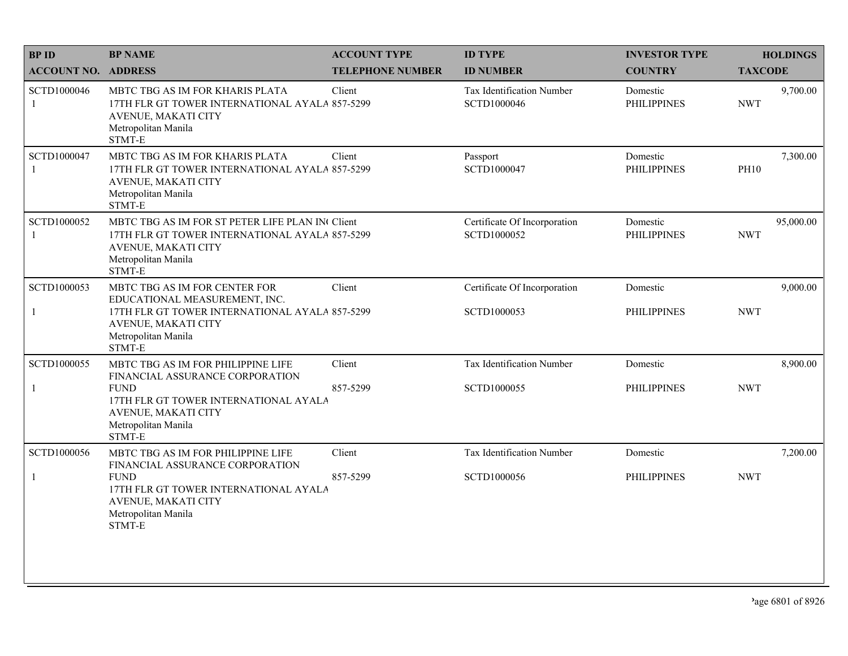| <b>BPID</b>                 | <b>BP NAME</b>                                                                                                                                            | <b>ACCOUNT TYPE</b>     | <b>ID TYPE</b>                                  | <b>INVESTOR TYPE</b>           | <b>HOLDINGS</b>         |
|-----------------------------|-----------------------------------------------------------------------------------------------------------------------------------------------------------|-------------------------|-------------------------------------------------|--------------------------------|-------------------------|
| <b>ACCOUNT NO. ADDRESS</b>  |                                                                                                                                                           | <b>TELEPHONE NUMBER</b> | <b>ID NUMBER</b>                                | <b>COUNTRY</b>                 | <b>TAXCODE</b>          |
| SCTD1000046<br>1            | MBTC TBG AS IM FOR KHARIS PLATA<br>17TH FLR GT TOWER INTERNATIONAL AYALA 857-5299<br>AVENUE, MAKATI CITY<br>Metropolitan Manila<br>STMT-E                 | Client                  | <b>Tax Identification Number</b><br>SCTD1000046 | Domestic<br><b>PHILIPPINES</b> | 9,700.00<br><b>NWT</b>  |
| SCTD1000047<br>$\mathbf{1}$ | MBTC TBG AS IM FOR KHARIS PLATA<br>17TH FLR GT TOWER INTERNATIONAL AYALA 857-5299<br>AVENUE, MAKATI CITY<br>Metropolitan Manila<br>STMT-E                 | Client                  | Passport<br>SCTD1000047                         | Domestic<br><b>PHILIPPINES</b> | 7,300.00<br><b>PH10</b> |
| SCTD1000052<br>$\mathbf{1}$ | MBTC TBG AS IM FOR ST PETER LIFE PLAN INCClient<br>17TH FLR GT TOWER INTERNATIONAL AYALA 857-5299<br>AVENUE, MAKATI CITY<br>Metropolitan Manila<br>STMT-E |                         | Certificate Of Incorporation<br>SCTD1000052     | Domestic<br><b>PHILIPPINES</b> | 95,000.00<br><b>NWT</b> |
| SCTD1000053                 | MBTC TBG AS IM FOR CENTER FOR                                                                                                                             | Client                  | Certificate Of Incorporation                    | Domestic                       | 9,000.00                |
| $\mathbf{1}$                | EDUCATIONAL MEASUREMENT, INC.<br>17TH FLR GT TOWER INTERNATIONAL AYALA 857-5299<br>AVENUE, MAKATI CITY<br>Metropolitan Manila<br>STMT-E                   |                         | SCTD1000053                                     | <b>PHILIPPINES</b>             | <b>NWT</b>              |
| SCTD1000055                 | MBTC TBG AS IM FOR PHILIPPINE LIFE<br>FINANCIAL ASSURANCE CORPORATION                                                                                     | Client                  | Tax Identification Number                       | Domestic                       | 8,900.00                |
| $\mathbf{1}$                | <b>FUND</b><br>17TH FLR GT TOWER INTERNATIONAL AYALA<br>AVENUE, MAKATI CITY<br>Metropolitan Manila<br>STMT-E                                              | 857-5299                | SCTD1000055                                     | <b>PHILIPPINES</b>             | <b>NWT</b>              |
| SCTD1000056                 | MBTC TBG AS IM FOR PHILIPPINE LIFE<br>FINANCIAL ASSURANCE CORPORATION                                                                                     | Client                  | Tax Identification Number                       | Domestic                       | 7,200.00                |
| $\mathbf{1}$                | <b>FUND</b><br>17TH FLR GT TOWER INTERNATIONAL AYALA<br>AVENUE, MAKATI CITY<br>Metropolitan Manila<br>STMT-E                                              | 857-5299                | SCTD1000056                                     | <b>PHILIPPINES</b>             | <b>NWT</b>              |
|                             |                                                                                                                                                           |                         |                                                 |                                |                         |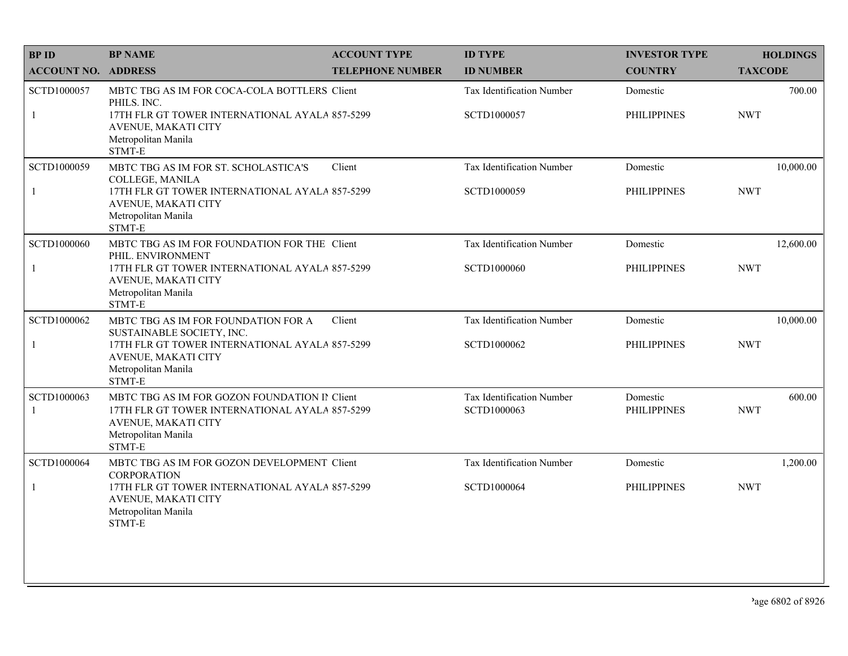| <b>BPID</b>                        | <b>BP NAME</b>                                                                                                                                                               | <b>ACCOUNT TYPE</b>     | <b>ID TYPE</b>                           | <b>INVESTOR TYPE</b>           | <b>HOLDINGS</b>         |
|------------------------------------|------------------------------------------------------------------------------------------------------------------------------------------------------------------------------|-------------------------|------------------------------------------|--------------------------------|-------------------------|
| <b>ACCOUNT NO. ADDRESS</b>         |                                                                                                                                                                              | <b>TELEPHONE NUMBER</b> | <b>ID NUMBER</b>                         | <b>COUNTRY</b>                 | <b>TAXCODE</b>          |
| SCTD1000057<br>$\mathbf{1}$        | MBTC TBG AS IM FOR COCA-COLA BOTTLERS Client<br>PHILS. INC.<br>17TH FLR GT TOWER INTERNATIONAL AYALA 857-5299<br><b>AVENUE, MAKATI CITY</b><br>Metropolitan Manila<br>STMT-E |                         | Tax Identification Number<br>SCTD1000057 | Domestic<br><b>PHILIPPINES</b> | 700.00<br><b>NWT</b>    |
| SCTD1000059<br>$\mathbf{1}$        | MBTC TBG AS IM FOR ST. SCHOLASTICA'S<br>COLLEGE, MANILA<br>17TH FLR GT TOWER INTERNATIONAL AYALA 857-5299<br>AVENUE, MAKATI CITY<br>Metropolitan Manila<br>STMT-E            | Client                  | Tax Identification Number<br>SCTD1000059 | Domestic<br><b>PHILIPPINES</b> | 10,000.00<br><b>NWT</b> |
| SCTD1000060<br>$\mathbf{1}$        | MBTC TBG AS IM FOR FOUNDATION FOR THE Client<br>PHIL. ENVIRONMENT<br>17TH FLR GT TOWER INTERNATIONAL AYALA 857-5299<br>AVENUE, MAKATI CITY<br>Metropolitan Manila<br>STMT-E  |                         | Tax Identification Number<br>SCTD1000060 | Domestic<br><b>PHILIPPINES</b> | 12,600.00<br><b>NWT</b> |
| SCTD1000062<br>$\mathbf{1}$        | MBTC TBG AS IM FOR FOUNDATION FOR A<br>SUSTAINABLE SOCIETY, INC.<br>17TH FLR GT TOWER INTERNATIONAL AYALA 857-5299<br>AVENUE, MAKATI CITY<br>Metropolitan Manila<br>STMT-E   | Client                  | Tax Identification Number<br>SCTD1000062 | Domestic<br><b>PHILIPPINES</b> | 10,000.00<br><b>NWT</b> |
| SCTD1000063<br>1                   | MBTC TBG AS IM FOR GOZON FOUNDATION II Client<br>17TH FLR GT TOWER INTERNATIONAL AYALA 857-5299<br>AVENUE, MAKATI CITY<br>Metropolitan Manila<br>STMT-E                      |                         | Tax Identification Number<br>SCTD1000063 | Domestic<br><b>PHILIPPINES</b> | 600.00<br><b>NWT</b>    |
| <b>SCTD1000064</b><br>$\mathbf{1}$ | MBTC TBG AS IM FOR GOZON DEVELOPMENT Client<br>CORPORATION<br>17TH FLR GT TOWER INTERNATIONAL AYALA 857-5299<br>AVENUE, MAKATI CITY<br>Metropolitan Manila<br>STMT-E         |                         | Tax Identification Number<br>SCTD1000064 | Domestic<br><b>PHILIPPINES</b> | 1,200.00<br><b>NWT</b>  |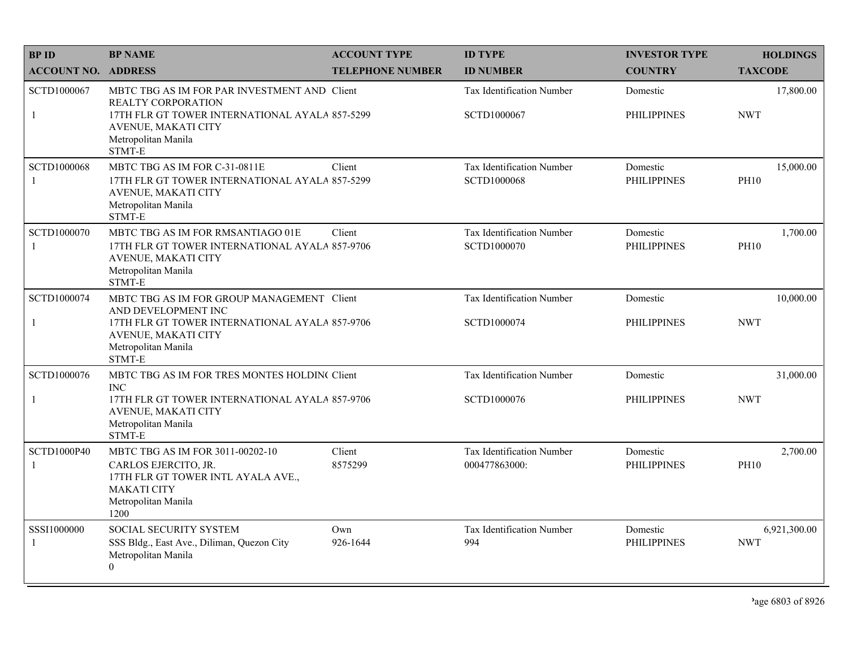| <b>BP ID</b>                         | <b>BP NAME</b>                                                                                                                                                                             | <b>ACCOUNT TYPE</b>     | <b>ID TYPE</b>                                  | <b>INVESTOR TYPE</b>           | <b>HOLDINGS</b>            |
|--------------------------------------|--------------------------------------------------------------------------------------------------------------------------------------------------------------------------------------------|-------------------------|-------------------------------------------------|--------------------------------|----------------------------|
| <b>ACCOUNT NO. ADDRESS</b>           |                                                                                                                                                                                            | <b>TELEPHONE NUMBER</b> | <b>ID NUMBER</b>                                | <b>COUNTRY</b>                 | <b>TAXCODE</b>             |
| SCTD1000067<br>-1                    | MBTC TBG AS IM FOR PAR INVESTMENT AND Client<br>REALTY CORPORATION<br>17TH FLR GT TOWER INTERNATIONAL AYALA 857-5299<br><b>AVENUE, MAKATI CITY</b><br>Metropolitan Manila<br><b>STMT-E</b> |                         | Tax Identification Number<br>SCTD1000067        | Domestic<br>PHILIPPINES        | 17,800.00<br><b>NWT</b>    |
| SCTD1000068<br>$\overline{1}$        | MBTC TBG AS IM FOR C-31-0811E<br>17TH FLR GT TOWER INTERNATIONAL AYALA 857-5299<br>AVENUE, MAKATI CITY<br>Metropolitan Manila<br>STMT-E                                                    | Client                  | Tax Identification Number<br><b>SCTD1000068</b> | Domestic<br><b>PHILIPPINES</b> | 15,000.00<br><b>PH10</b>   |
| SCTD1000070<br>-1                    | MBTC TBG AS IM FOR RMSANTIAGO 01E<br>17TH FLR GT TOWER INTERNATIONAL AYALA 857-9706<br>AVENUE, MAKATI CITY<br>Metropolitan Manila<br>STMT-E                                                | Client                  | Tax Identification Number<br>SCTD1000070        | Domestic<br><b>PHILIPPINES</b> | 1,700.00<br><b>PH10</b>    |
| <b>SCTD1000074</b>                   | MBTC TBG AS IM FOR GROUP MANAGEMENT Client<br>AND DEVELOPMENT INC                                                                                                                          |                         | Tax Identification Number                       | Domestic                       | 10,000.00                  |
| -1                                   | 17TH FLR GT TOWER INTERNATIONAL AYALA 857-9706<br>AVENUE, MAKATI CITY<br>Metropolitan Manila<br>STMT-E                                                                                     |                         | SCTD1000074                                     | <b>PHILIPPINES</b>             | <b>NWT</b>                 |
| SCTD1000076                          | MBTC TBG AS IM FOR TRES MONTES HOLDIN( Client<br><b>INC</b>                                                                                                                                |                         | Tax Identification Number                       | Domestic                       | 31,000.00                  |
| -1                                   | 17TH FLR GT TOWER INTERNATIONAL AYALA 857-9706<br>AVENUE, MAKATI CITY<br>Metropolitan Manila<br>STMT-E                                                                                     |                         | SCTD1000076                                     | <b>PHILIPPINES</b>             | <b>NWT</b>                 |
| <b>SCTD1000P40</b><br>$\overline{1}$ | MBTC TBG AS IM FOR 3011-00202-10<br>CARLOS EJERCITO, JR.<br>17TH FLR GT TOWER INTL AYALA AVE.,<br><b>MAKATI CITY</b><br>Metropolitan Manila<br>1200                                        | Client<br>8575299       | Tax Identification Number<br>000477863000:      | Domestic<br><b>PHILIPPINES</b> | 2,700.00<br><b>PH10</b>    |
| SSSI1000000<br>-1                    | SOCIAL SECURITY SYSTEM<br>SSS Bldg., East Ave., Diliman, Quezon City<br>Metropolitan Manila<br>$\overline{0}$                                                                              | Own<br>926-1644         | Tax Identification Number<br>994                | Domestic<br><b>PHILIPPINES</b> | 6,921,300.00<br><b>NWT</b> |